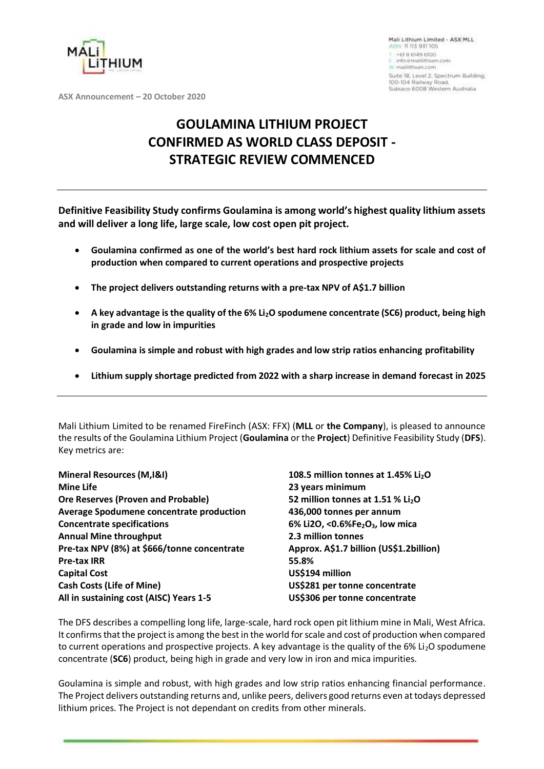

Mali Lithium Limited - ASX-MLL ABN 11113 931105 +618 6149 6100 info itmal@hium.com W. malilithium.com Suite 18, Level 2, Spectrum Building. 100-104 Railway Road. Subiaco 6008 Western Australia

**ASX Announcement – 20 October 2020**

# **GOULAMINA LITHIUM PROJECT CONFIRMED AS WORLD CLASS DEPOSIT - STRATEGIC REVIEW COMMENCED**

**Definitive Feasibility Study confirms Goulamina is among world's highest quality lithium assets and will deliver a long life, large scale, low cost open pit project.**

- **Goulamina confirmed as one of the world's best hard rock lithium assets for scale and cost of production when compared to current operations and prospective projects**
- **The project delivers outstanding returns with a pre-tax NPV of A\$1.7 billion**
- **A key advantage is the quality of the 6% Li2O spodumene concentrate (SC6) product, being high in grade and low in impurities**
- **Goulamina is simple and robust with high grades and low strip ratios enhancing profitability**
- **Lithium supply shortage predicted from 2022 with a sharp increase in demand forecast in 2025**

Mali Lithium Limited to be renamed FireFinch (ASX: FFX) (**MLL** or **the Company**), is pleased to announce the results of the Goulamina Lithium Project (**Goulamina** or the **Project**) Definitive Feasibility Study (**DFS**). Key metrics are:

| Mineral Resources (M, I&I)                  | 108.5 million tonnes at 1.45% Li <sub>2</sub> O         |
|---------------------------------------------|---------------------------------------------------------|
| <b>Mine Life</b>                            | 23 years minimum                                        |
| <b>Ore Reserves (Proven and Probable)</b>   | 52 million tonnes at 1.51 % Li <sub>2</sub> O           |
| Average Spodumene concentrate production    | 436,000 tonnes per annum                                |
| <b>Concentrate specifications</b>           | 6% Li2O, <0.6%Fe <sub>2</sub> O <sub>3</sub> , low mica |
| <b>Annual Mine throughput</b>               | 2.3 million tonnes                                      |
| Pre-tax NPV (8%) at \$666/tonne concentrate | Approx. A\$1.7 billion (US\$1.2billion)                 |
| <b>Pre-tax IRR</b>                          | 55.8%                                                   |
| <b>Capital Cost</b>                         | US\$194 million                                         |
| <b>Cash Costs (Life of Mine)</b>            | US\$281 per tonne concentrate                           |
| All in sustaining cost (AISC) Years 1-5     | US\$306 per tonne concentrate                           |

The DFS describes a compelling long life, large-scale, hard rock open pit lithium mine in Mali, West Africa. It confirms that the project is among the best in the world for scale and cost of production when compared to current operations and prospective projects. A key advantage is the quality of the 6% Li<sub>2</sub>O spodumene concentrate (**SC6**) product, being high in grade and very low in iron and mica impurities.

Goulamina is simple and robust, with high grades and low strip ratios enhancing financial performance. The Project delivers outstanding returns and, unlike peers, delivers good returns even at todays depressed lithium prices. The Project is not dependant on credits from other minerals.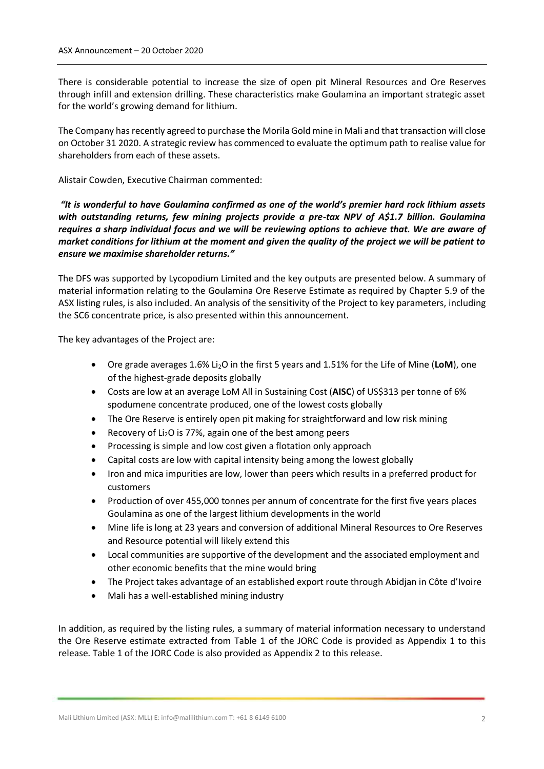There is considerable potential to increase the size of open pit Mineral Resources and Ore Reserves through infill and extension drilling. These characteristics make Goulamina an important strategic asset for the world's growing demand for lithium.

The Company has recently agreed to purchase the Morila Gold mine in Mali and that transaction will close on October 31 2020. A strategic review has commenced to evaluate the optimum path to realise value for shareholders from each of these assets.

Alistair Cowden, Executive Chairman commented:

*"It is wonderful to have Goulamina confirmed as one of the world's premier hard rock lithium assets with outstanding returns, few mining projects provide a pre-tax NPV of A\$1.7 billion. Goulamina requires a sharp individual focus and we will be reviewing options to achieve that. We are aware of market conditions for lithium at the moment and given the quality of the project we will be patient to ensure we maximise shareholder returns."*

The DFS was supported by Lycopodium Limited and the key outputs are presented below. A summary of material information relating to the Goulamina Ore Reserve Estimate as required by Chapter 5.9 of the ASX listing rules, is also included. An analysis of the sensitivity of the Project to key parameters, including the SC6 concentrate price, is also presented within this announcement.

The key advantages of the Project are:

- Ore grade averages 1.6% Li2O in the first 5 years and 1.51% for the Life of Mine (**LoM**), one of the highest-grade deposits globally
- Costs are low at an average LoM All in Sustaining Cost (**AISC**) of US\$313 per tonne of 6% spodumene concentrate produced, one of the lowest costs globally
- The Ore Reserve is entirely open pit making for straightforward and low risk mining
- Recovery of  $Li<sub>2</sub>O$  is 77%, again one of the best among peers
- Processing is simple and low cost given a flotation only approach
- Capital costs are low with capital intensity being among the lowest globally
- Iron and mica impurities are low, lower than peers which results in a preferred product for customers
- Production of over 455,000 tonnes per annum of concentrate for the first five years places Goulamina as one of the largest lithium developments in the world
- Mine life is long at 23 years and conversion of additional Mineral Resources to Ore Reserves and Resource potential will likely extend this
- Local communities are supportive of the development and the associated employment and other economic benefits that the mine would bring
- The Project takes advantage of an established export route through Abidjan in Côte d'Ivoire
- Mali has a well-established mining industry

In addition, as required by the listing rules, a summary of material information necessary to understand the Ore Reserve estimate extracted from Table 1 of the JORC Code is provided as Appendix 1 to this release. Table 1 of the JORC Code is also provided as Appendix 2 to this release.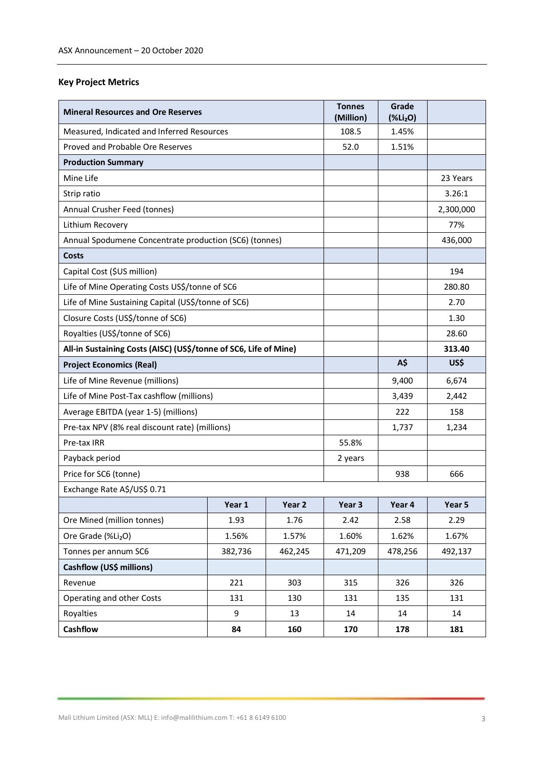### **Key Project Metrics**

| <b>Mineral Resources and Ore Reserves</b>                        |         |         | <b>Tonnes</b><br>(Million) | Grade<br>(%Li <sub>2</sub> O) |           |
|------------------------------------------------------------------|---------|---------|----------------------------|-------------------------------|-----------|
| Measured, Indicated and Inferred Resources                       |         |         | 108.5                      | 1.45%                         |           |
| Proved and Probable Ore Reserves                                 |         |         | 52.0                       | 1.51%                         |           |
| <b>Production Summary</b>                                        |         |         |                            |                               |           |
| Mine Life                                                        |         |         |                            |                               | 23 Years  |
| Strip ratio                                                      |         |         |                            |                               | 3.26:1    |
| Annual Crusher Feed (tonnes)                                     |         |         |                            |                               | 2,300,000 |
| Lithium Recovery                                                 |         |         |                            |                               | 77%       |
| Annual Spodumene Concentrate production (SC6) (tonnes)           |         |         |                            |                               | 436,000   |
| Costs                                                            |         |         |                            |                               |           |
| Capital Cost (\$US million)                                      |         |         |                            |                               | 194       |
| Life of Mine Operating Costs US\$/tonne of SC6                   |         |         |                            |                               | 280.80    |
| Life of Mine Sustaining Capital (US\$/tonne of SC6)              |         |         |                            |                               | 2.70      |
| Closure Costs (US\$/tonne of SC6)                                |         |         |                            |                               | 1.30      |
| Royalties (US\$/tonne of SC6)                                    |         |         |                            |                               | 28.60     |
| All-in Sustaining Costs (AISC) (US\$/tonne of SC6, Life of Mine) |         |         |                            |                               | 313.40    |
| <b>Project Economics (Real)</b>                                  |         |         |                            | A\$                           | US\$      |
| Life of Mine Revenue (millions)                                  |         |         |                            | 9,400                         | 6,674     |
| Life of Mine Post-Tax cashflow (millions)                        |         |         |                            | 3,439                         | 2,442     |
| Average EBITDA (year 1-5) (millions)                             |         |         |                            | 222                           | 158       |
| Pre-tax NPV (8% real discount rate) (millions)                   |         |         |                            | 1,737                         | 1,234     |
| Pre-tax IRR                                                      |         |         | 55.8%                      |                               |           |
| Payback period                                                   |         |         | 2 years                    |                               |           |
| Price for SC6 (tonne)                                            |         |         |                            | 938                           | 666       |
| Exchange Rate A\$/US\$ 0.71                                      |         |         |                            |                               |           |
|                                                                  | Year 1  | Year 2  | Year 3                     | Year 4                        | Year 5    |
| Ore Mined (million tonnes)                                       | 1.93    | 1.76    | 2.42                       | 2.58                          | 2.29      |
| Ore Grade (%Li2O)                                                | 1.56%   | 1.57%   | 1.60%                      | 1.62%                         | 1.67%     |
| Tonnes per annum SC6                                             | 382,736 | 462,245 | 471,209                    | 478,256                       | 492,137   |
| Cashflow (US\$ millions)                                         |         |         |                            |                               |           |
| Revenue                                                          | 221     | 303     | 315                        | 326                           | 326       |
| Operating and other Costs                                        | 131     | 130     | 131                        | 135                           | 131       |
| Royalties                                                        | 9       | 13      | 14                         | 14                            | 14        |
| Cashflow                                                         | 84      | 160     | 170                        | 178                           | 181       |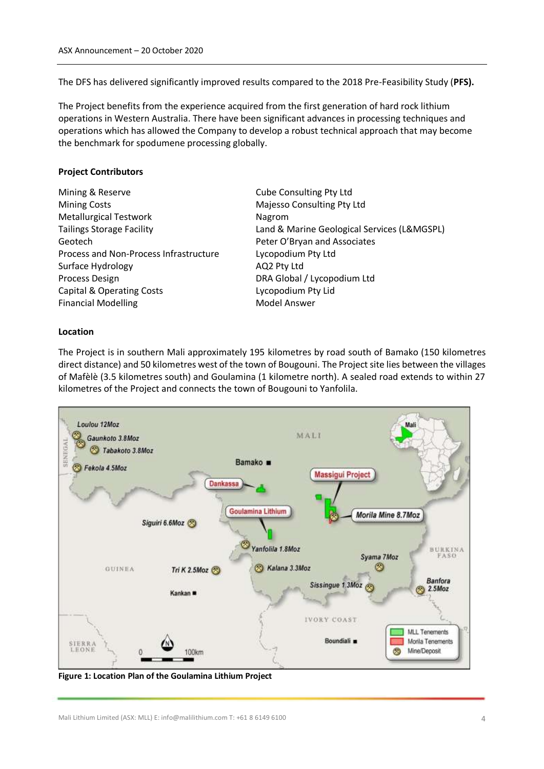The DFS has delivered significantly improved results compared to the 2018 Pre-Feasibility Study (**PFS).**

The Project benefits from the experience acquired from the first generation of hard rock lithium operations in Western Australia. There have been significant advances in processing techniques and operations which has allowed the Company to develop a robust technical approach that may become the benchmark for spodumene processing globally.

### **Project Contributors**

- Mining & Reserve **Cube Consulting Pty Ltd** Mining Costs **Majesso Consulting Pty Ltd** Metallurgical Testwork Nagrom Tailings Storage Facility Land & Marine Geological Services (L&MGSPL) Geotech **Peter O'Bryan and Associates** Process and Non-Process Infrastructure Lycopodium Pty Ltd Surface Hydrology **AQ2 Pty Ltd** Process Design **DRA Global / Lycopodium Ltd** Capital & Operating Costs **Lycopodium Pty Lid** Financial Modelling Model Answer
- 

### **Location**

The Project is in southern Mali approximately 195 kilometres by road south of Bamako (150 kilometres direct distance) and 50 kilometres west of the town of Bougouni. The Project site lies between the villages of Mafèlè (3.5 kilometres south) and Goulamina (1 kilometre north). A sealed road extends to within 27 kilometres of the Project and connects the town of Bougouni to Yanfolila.



**Figure 1: Location Plan of the Goulamina Lithium Project**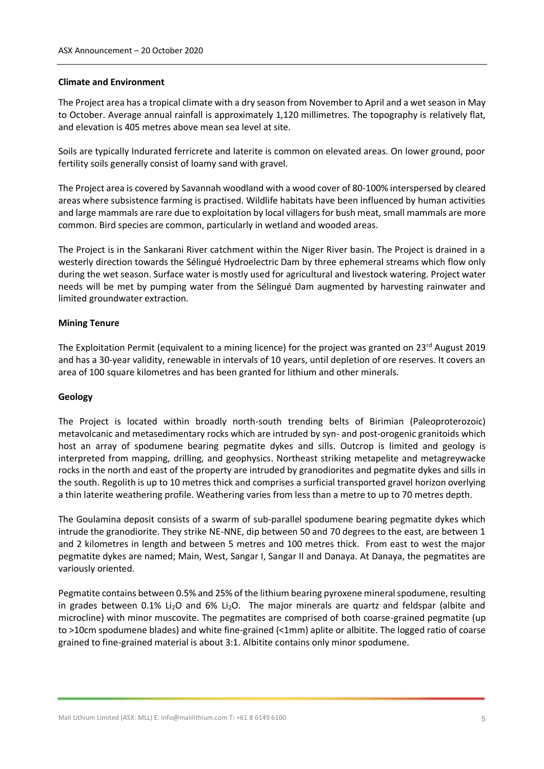#### **Climate and Environment**

The Project area has a tropical climate with a dry season from November to April and a wet season in May to October. Average annual rainfall is approximately 1,120 millimetres. The topography is relatively flat, and elevation is 405 metres above mean sea level at site.

Soils are typically Indurated ferricrete and laterite is common on elevated areas. On lower ground, poor fertility soils generally consist of loamy sand with gravel.

The Project area is covered by Savannah woodland with a wood cover of 80-100% interspersed by cleared areas where subsistence farming is practised. Wildlife habitats have been influenced by human activities and large mammals are rare due to exploitation by local villagers for bush meat, small mammals are more common. Bird species are common, particularly in wetland and wooded areas.

The Project is in the Sankarani River catchment within the Niger River basin. The Project is drained in a westerly direction towards the Sélingué Hydroelectric Dam by three ephemeral streams which flow only during the wet season. Surface water is mostly used for agricultural and livestock watering. Project water needs will be met by pumping water from the Sélingué Dam augmented by harvesting rainwater and limited groundwater extraction.

### **Mining Tenure**

The Exploitation Permit (equivalent to a mining licence) for the project was granted on  $23^{\text{rd}}$  August 2019 and has a 30-year validity, renewable in intervals of 10 years, until depletion of ore reserves. It covers an area of 100 square kilometres and has been granted for lithium and other minerals.

### **Geology**

The Project is located within broadly north-south trending belts of Birimian (Paleoproterozoic) metavolcanic and metasedimentary rocks which are intruded by syn- and post-orogenic granitoids which host an array of spodumene bearing pegmatite dykes and sills. Outcrop is limited and geology is interpreted from mapping, drilling, and geophysics. Northeast striking metapelite and metagreywacke rocks in the north and east of the property are intruded by granodiorites and pegmatite dykes and sills in the south. Regolith is up to 10 metres thick and comprises a surficial transported gravel horizon overlying a thin laterite weathering profile. Weathering varies from less than a metre to up to 70 metres depth.

The Goulamina deposit consists of a swarm of sub-parallel spodumene bearing pegmatite dykes which intrude the granodiorite. They strike NE-NNE, dip between 50 and 70 degrees to the east, are between 1 and 2 kilometres in length and between 5 metres and 100 metres thick. From east to west the major pegmatite dykes are named; Main, West, Sangar I, Sangar II and Danaya. At Danaya, the pegmatites are variously oriented.

Pegmatite contains between 0.5% and 25% of the lithium bearing pyroxene mineral spodumene, resulting in grades between 0.1% Li<sub>2</sub>O and 6% Li<sub>2</sub>O. The major minerals are quartz and feldspar (albite and microcline) with minor muscovite. The pegmatites are comprised of both coarse-grained pegmatite (up to >10cm spodumene blades) and white fine-grained (<1mm) aplite or albitite. The logged ratio of coarse grained to fine-grained material is about 3:1. Albitite contains only minor spodumene.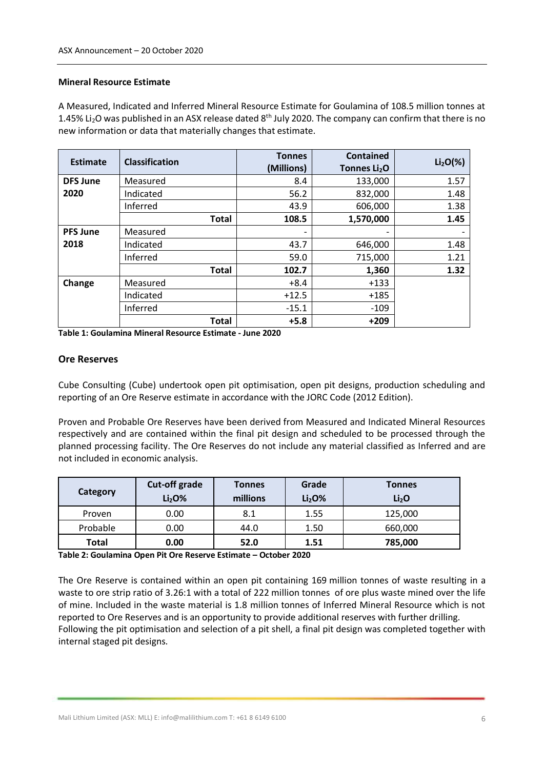#### **Mineral Resource Estimate**

A Measured, Indicated and Inferred Mineral Resource Estimate for Goulamina of 108.5 million tonnes at 1.45% Li<sub>2</sub>O was published in an ASX release dated  $8<sup>th</sup>$  July 2020. The company can confirm that there is no new information or data that materially changes that estimate.

| Estimate        | <b>Classification</b> | <b>Tonnes</b><br>(Millions) | <b>Contained</b><br>Tonnes Li <sub>2</sub> O | $Li2O(\%)$ |
|-----------------|-----------------------|-----------------------------|----------------------------------------------|------------|
| <b>DFS June</b> | Measured              | 8.4                         | 133,000                                      | 1.57       |
| 2020            | Indicated             | 56.2                        | 832,000                                      | 1.48       |
|                 | Inferred              | 43.9                        | 606,000                                      | 1.38       |
|                 | <b>Total</b>          | 108.5                       | 1,570,000                                    | 1.45       |
| <b>PFS June</b> | Measured              |                             |                                              |            |
| 2018            | Indicated             | 43.7                        | 646,000                                      | 1.48       |
|                 | Inferred              | 59.0                        | 715,000                                      | 1.21       |
|                 | <b>Total</b>          | 102.7                       | 1,360                                        | 1.32       |
| Change          | Measured              | $+8.4$                      | $+133$                                       |            |
|                 | Indicated             | $+12.5$                     | $+185$                                       |            |
|                 | Inferred              | $-15.1$                     | $-109$                                       |            |
|                 | <b>Total</b>          | $+5.8$                      | $+209$                                       |            |

**Table 1: Goulamina Mineral Resource Estimate - June 2020**

#### **Ore Reserves**

Cube Consulting (Cube) undertook open pit optimisation, open pit designs, production scheduling and reporting of an Ore Reserve estimate in accordance with the JORC Code (2012 Edition).

Proven and Probable Ore Reserves have been derived from Measured and Indicated Mineral Resources respectively and are contained within the final pit design and scheduled to be processed through the planned processing facility. The Ore Reserves do not include any material classified as Inferred and are not included in economic analysis.

| Category     | Cut-off grade<br>Li <sub>2</sub> O <sub>%</sub> | <b>Tonnes</b><br>millions | Grade<br>Li <sub>2</sub> O <sub>%</sub> | <b>Tonnes</b><br>Li <sub>2</sub> O |
|--------------|-------------------------------------------------|---------------------------|-----------------------------------------|------------------------------------|
| Proven       | 0.00                                            | 8.1                       | 1.55                                    | 125,000                            |
| Probable     | 0.00                                            | 44.0                      | 1.50                                    | 660,000                            |
| <b>Total</b> | 0.00                                            | 52.0                      | 1.51                                    | 785,000                            |

**Table 2: Goulamina Open Pit Ore Reserve Estimate – October 2020**

The Ore Reserve is contained within an open pit containing 169 million tonnes of waste resulting in a waste to ore strip ratio of 3.26:1 with a total of 222 million tonnes of ore plus waste mined over the life of mine. Included in the waste material is 1.8 million tonnes of Inferred Mineral Resource which is not reported to Ore Reserves and is an opportunity to provide additional reserves with further drilling. Following the pit optimisation and selection of a pit shell, a final pit design was completed together with internal staged pit designs.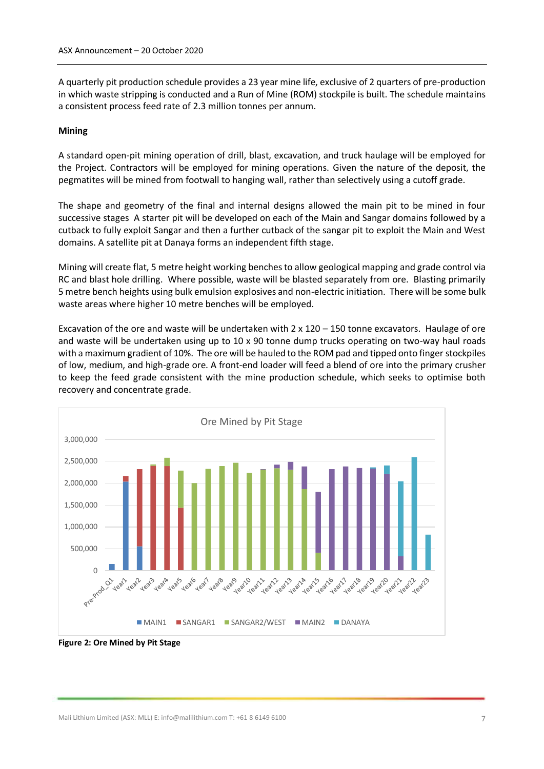A quarterly pit production schedule provides a 23 year mine life, exclusive of 2 quarters of pre-production in which waste stripping is conducted and a Run of Mine (ROM) stockpile is built. The schedule maintains a consistent process feed rate of 2.3 million tonnes per annum.

#### **Mining**

A standard open-pit mining operation of drill, blast, excavation, and truck haulage will be employed for the Project. Contractors will be employed for mining operations. Given the nature of the deposit, the pegmatites will be mined from footwall to hanging wall, rather than selectively using a cutoff grade.

The shape and geometry of the final and internal designs allowed the main pit to be mined in four successive stages A starter pit will be developed on each of the Main and Sangar domains followed by a cutback to fully exploit Sangar and then a further cutback of the sangar pit to exploit the Main and West domains. A satellite pit at Danaya forms an independent fifth stage.

Mining will create flat, 5 metre height working benches to allow geological mapping and grade control via RC and blast hole drilling. Where possible, waste will be blasted separately from ore. Blasting primarily 5 metre bench heights using bulk emulsion explosives and non-electric initiation. There will be some bulk waste areas where higher 10 metre benches will be employed.

Excavation of the ore and waste will be undertaken with 2 x 120 – 150 tonne excavators. Haulage of ore and waste will be undertaken using up to 10 x 90 tonne dump trucks operating on two-way haul roads with a maximum gradient of 10%. The ore will be hauled to the ROM pad and tipped onto finger stockpiles of low, medium, and high-grade ore. A front-end loader will feed a blend of ore into the primary crusher to keep the feed grade consistent with the mine production schedule, which seeks to optimise both recovery and concentrate grade.



**Figure 2: Ore Mined by Pit Stage**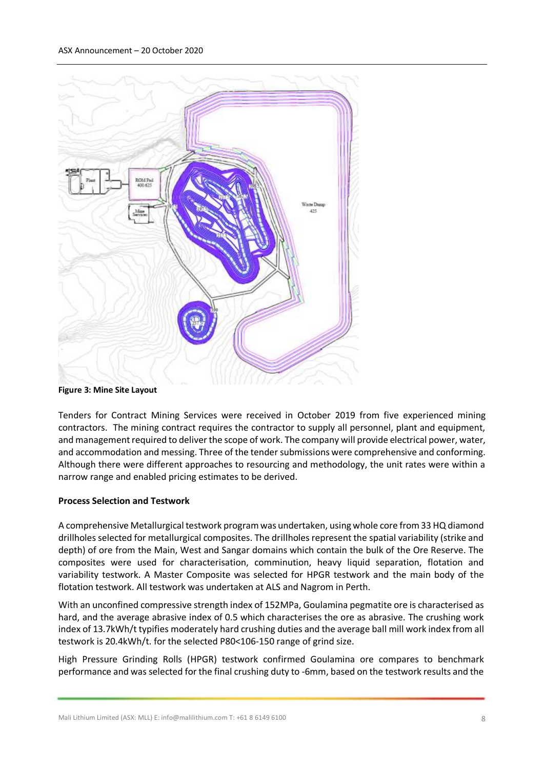

**Figure 3: Mine Site Layout** 

Tenders for Contract Mining Services were received in October 2019 from five experienced mining contractors. The mining contract requires the contractor to supply all personnel, plant and equipment, and management required to deliver the scope of work. The company will provide electrical power, water, and accommodation and messing. Three of the tender submissions were comprehensive and conforming. Although there were different approaches to resourcing and methodology, the unit rates were within a narrow range and enabled pricing estimates to be derived.

### **Process Selection and Testwork**

A comprehensive Metallurgical testwork program was undertaken, using whole core from 33 HQ diamond drillholes selected for metallurgical composites. The drillholes represent the spatial variability (strike and depth) of ore from the Main, West and Sangar domains which contain the bulk of the Ore Reserve. The composites were used for characterisation, comminution, heavy liquid separation, flotation and variability testwork. A Master Composite was selected for HPGR testwork and the main body of the flotation testwork. All testwork was undertaken at ALS and Nagrom in Perth.

With an unconfined compressive strength index of 152MPa, Goulamina pegmatite ore is characterised as hard, and the average abrasive index of 0.5 which characterises the ore as abrasive. The crushing work index of 13.7kWh/t typifies moderately hard crushing duties and the average ball mill work index from all testwork is 20.4kWh/t. for the selected P80<106-150 range of grind size.

High Pressure Grinding Rolls (HPGR) testwork confirmed Goulamina ore compares to benchmark performance and was selected for the final crushing duty to -6mm, based on the testwork results and the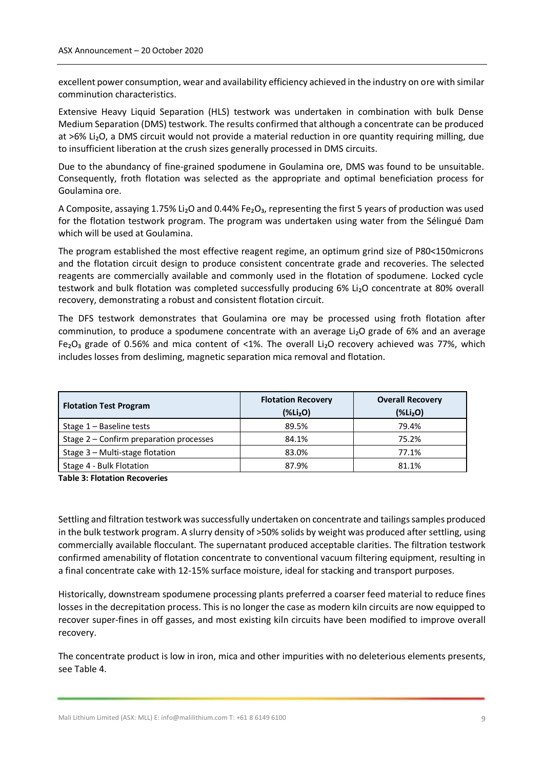excellent power consumption, wear and availability efficiency achieved in the industry on ore with similar comminution characteristics.

Extensive Heavy Liquid Separation (HLS) testwork was undertaken in combination with bulk Dense Medium Separation (DMS) testwork. The results confirmed that although a concentrate can be produced at >6% Li<sub>2</sub>O, a DMS circuit would not provide a material reduction in ore quantity requiring milling, due to insufficient liberation at the crush sizes generally processed in DMS circuits.

Due to the abundancy of fine-grained spodumene in Goulamina ore, DMS was found to be unsuitable. Consequently, froth flotation was selected as the appropriate and optimal beneficiation process for Goulamina ore.

A Composite, assaying 1.75% Li<sub>2</sub>O and 0.44% Fe<sub>2</sub>O<sub>3</sub>, representing the first 5 years of production was used for the flotation testwork program. The program was undertaken using water from the Sélingué Dam which will be used at Goulamina.

The program established the most effective reagent regime, an optimum grind size of P80<150microns and the flotation circuit design to produce consistent concentrate grade and recoveries. The selected reagents are commercially available and commonly used in the flotation of spodumene. Locked cycle testwork and bulk flotation was completed successfully producing 6% Li<sub>2</sub>O concentrate at 80% overall recovery, demonstrating a robust and consistent flotation circuit.

The DFS testwork demonstrates that Goulamina ore may be processed using froth flotation after comminution, to produce a spodumene concentrate with an average Li<sub>2</sub>O grade of 6% and an average Fe<sub>2</sub>O<sub>3</sub> grade of 0.56% and mica content of <1%. The overall Li<sub>2</sub>O recovery achieved was 77%, which includes losses from desliming, magnetic separation mica removal and flotation.

| <b>Flotation Test Program</b>             | <b>Flotation Recovery</b><br>$(\%Li2O)$ | <b>Overall Recovery</b><br>$(\%Li2O)$ |
|-------------------------------------------|-----------------------------------------|---------------------------------------|
| Stage $1 -$ Baseline tests                | 89.5%                                   | 79.4%                                 |
| Stage $2$ – Confirm preparation processes | 84.1%                                   | 75.2%                                 |
| Stage 3 - Multi-stage flotation           | 83.0%                                   | 77.1%                                 |
| Stage 4 - Bulk Flotation                  | 87.9%                                   | 81.1%                                 |

**Table 3: Flotation Recoveries**

Settling and filtration testwork was successfully undertaken on concentrate and tailings samples produced in the bulk testwork program. A slurry density of >50% solids by weight was produced after settling, using commercially available flocculant. The supernatant produced acceptable clarities. The filtration testwork confirmed amenability of flotation concentrate to conventional vacuum filtering equipment, resulting in a final concentrate cake with 12-15% surface moisture, ideal for stacking and transport purposes.

Historically, downstream spodumene processing plants preferred a coarser feed material to reduce fines losses in the decrepitation process. This is no longer the case as modern kiln circuits are now equipped to recover super-fines in off gasses, and most existing kiln circuits have been modified to improve overall recovery.

The concentrate product is low in iron, mica and other impurities with no deleterious elements presents, see Table 4.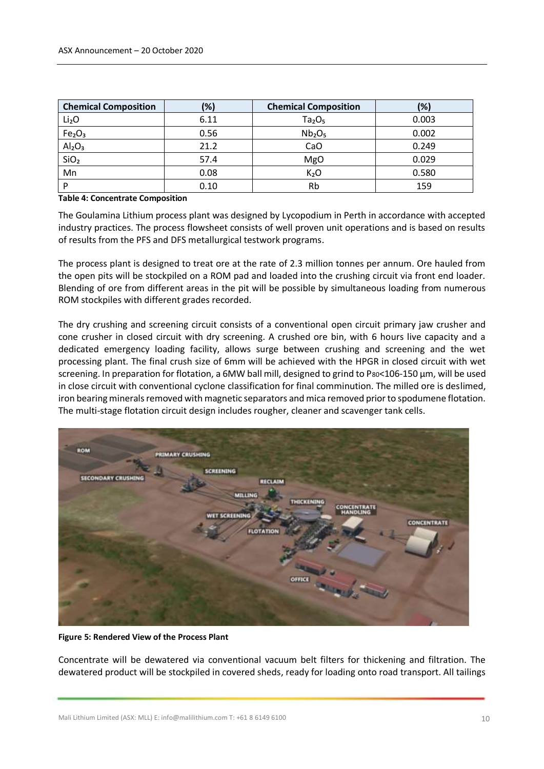| <b>Chemical Composition</b>    | (%)  | <b>Chemical Composition</b>    | (%)   |
|--------------------------------|------|--------------------------------|-------|
| Li <sub>2</sub> O              | 6.11 | Ta <sub>2</sub> O <sub>5</sub> | 0.003 |
| Fe <sub>2</sub> O <sub>3</sub> | 0.56 | Nb <sub>2</sub> O <sub>5</sub> | 0.002 |
| Al <sub>2</sub> O <sub>3</sub> | 21.2 | CaO                            | 0.249 |
| SiO <sub>2</sub>               | 57.4 | MgO                            | 0.029 |
| Mn                             | 0.08 | K <sub>2</sub> O               | 0.580 |
| D                              | 0.10 | Rb                             | 159   |

#### **Table 4: Concentrate Composition**

The Goulamina Lithium process plant was designed by Lycopodium in Perth in accordance with accepted industry practices. The process flowsheet consists of well proven unit operations and is based on results of results from the PFS and DFS metallurgical testwork programs.

The process plant is designed to treat ore at the rate of 2.3 million tonnes per annum. Ore hauled from the open pits will be stockpiled on a ROM pad and loaded into the crushing circuit via front end loader. Blending of ore from different areas in the pit will be possible by simultaneous loading from numerous ROM stockpiles with different grades recorded.

The dry crushing and screening circuit consists of a conventional open circuit primary jaw crusher and cone crusher in closed circuit with dry screening. A crushed ore bin, with 6 hours live capacity and a dedicated emergency loading facility, allows surge between crushing and screening and the wet processing plant. The final crush size of 6mm will be achieved with the HPGR in closed circuit with wet screening. In preparation for flotation, a 6MW ball mill, designed to grind to P80<106-150 µm, will be used in close circuit with conventional cyclone classification for final comminution. The milled ore is deslimed, iron bearing minerals removed with magnetic separators and mica removed prior to spodumene flotation. The multi-stage flotation circuit design includes rougher, cleaner and scavenger tank cells.



#### **Figure 5: Rendered View of the Process Plant**

Concentrate will be dewatered via conventional vacuum belt filters for thickening and filtration. The dewatered product will be stockpiled in covered sheds, ready for loading onto road transport. All tailings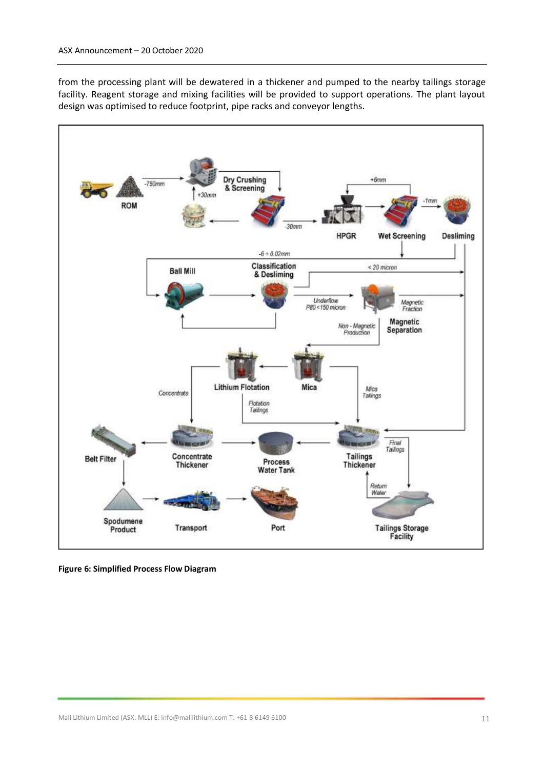from the processing plant will be dewatered in a thickener and pumped to the nearby tailings storage facility. Reagent storage and mixing facilities will be provided to support operations. The plant layout design was optimised to reduce footprint, pipe racks and conveyor lengths.



**Figure 6: Simplified Process Flow Diagram**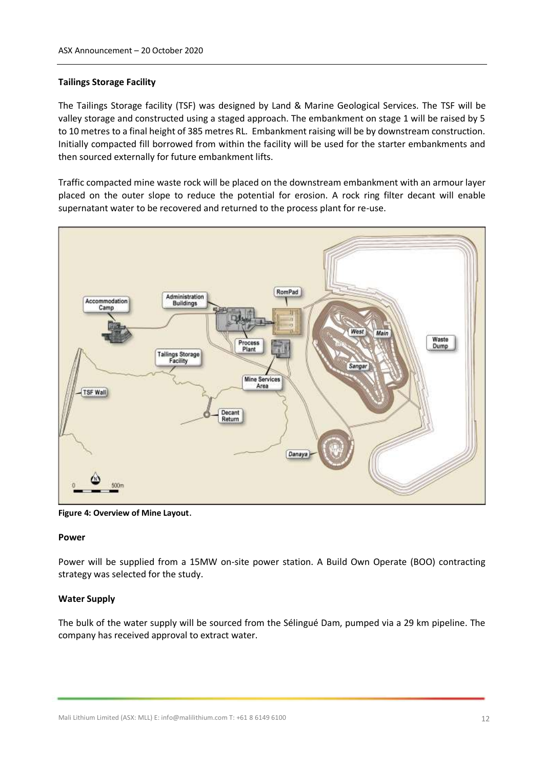#### **Tailings Storage Facility**

The Tailings Storage facility (TSF) was designed by Land & Marine Geological Services. The TSF will be valley storage and constructed using a staged approach. The embankment on stage 1 will be raised by 5 to 10 metres to a final height of 385 metres RL. Embankment raising will be by downstream construction. Initially compacted fill borrowed from within the facility will be used for the starter embankments and then sourced externally for future embankment lifts.

Traffic compacted mine waste rock will be placed on the downstream embankment with an armour layer placed on the outer slope to reduce the potential for erosion. A rock ring filter decant will enable supernatant water to be recovered and returned to the process plant for re-use.



**Figure 4: Overview of Mine Layout**.

#### **Power**

Power will be supplied from a 15MW on-site power station. A Build Own Operate (BOO) contracting strategy was selected for the study.

#### **Water Supply**

The bulk of the water supply will be sourced from the Sélingué Dam, pumped via a 29 km pipeline. The company has received approval to extract water.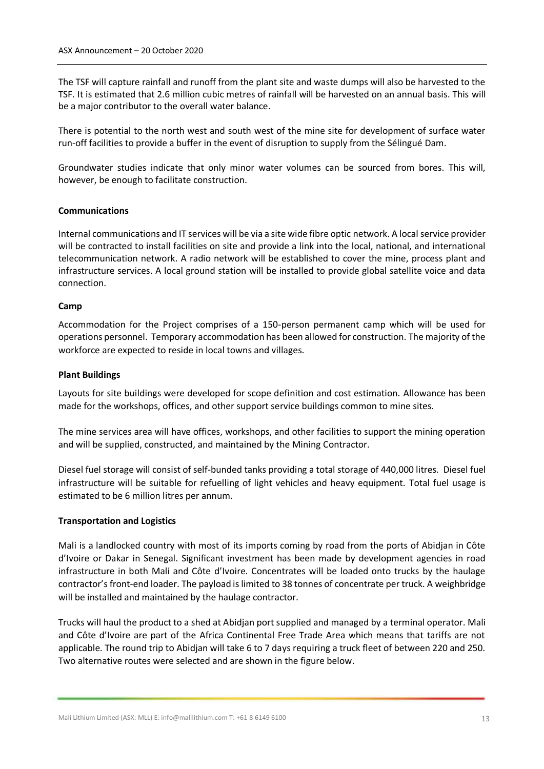The TSF will capture rainfall and runoff from the plant site and waste dumps will also be harvested to the TSF. It is estimated that 2.6 million cubic metres of rainfall will be harvested on an annual basis. This will be a major contributor to the overall water balance.

There is potential to the north west and south west of the mine site for development of surface water run-off facilities to provide a buffer in the event of disruption to supply from the Sélingué Dam.

Groundwater studies indicate that only minor water volumes can be sourced from bores. This will, however, be enough to facilitate construction.

#### **Communications**

Internal communications and IT services will be via a site wide fibre optic network. A local service provider will be contracted to install facilities on site and provide a link into the local, national, and international telecommunication network. A radio network will be established to cover the mine, process plant and infrastructure services. A local ground station will be installed to provide global satellite voice and data connection.

#### **Camp**

Accommodation for the Project comprises of a 150-person permanent camp which will be used for operations personnel. Temporary accommodation has been allowed for construction. The majority of the workforce are expected to reside in local towns and villages.

#### **Plant Buildings**

Layouts for site buildings were developed for scope definition and cost estimation. Allowance has been made for the workshops, offices, and other support service buildings common to mine sites.

The mine services area will have offices, workshops, and other facilities to support the mining operation and will be supplied, constructed, and maintained by the Mining Contractor.

Diesel fuel storage will consist of self-bunded tanks providing a total storage of 440,000 litres. Diesel fuel infrastructure will be suitable for refuelling of light vehicles and heavy equipment. Total fuel usage is estimated to be 6 million litres per annum.

#### **Transportation and Logistics**

Mali is a landlocked country with most of its imports coming by road from the ports of Abidjan in Côte d'Ivoire or Dakar in Senegal. Significant investment has been made by development agencies in road infrastructure in both Mali and Côte d'Ivoire. Concentrates will be loaded onto trucks by the haulage contractor's front-end loader. The payload is limited to 38 tonnes of concentrate per truck. A weighbridge will be installed and maintained by the haulage contractor.

Trucks will haul the product to a shed at Abidjan port supplied and managed by a terminal operator. Mali and Côte d'Ivoire are part of the Africa Continental Free Trade Area which means that tariffs are not applicable. The round trip to Abidjan will take 6 to 7 days requiring a truck fleet of between 220 and 250. Two alternative routes were selected and are shown in the figure below.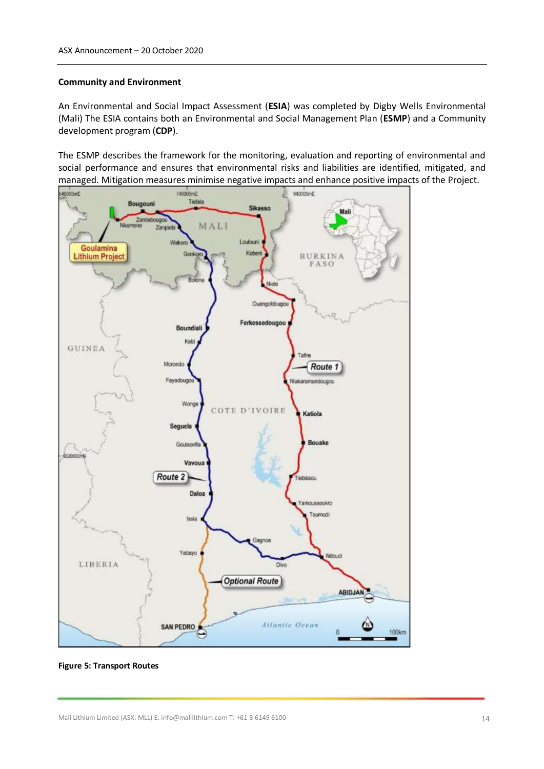#### **Community and Environment**

An Environmental and Social Impact Assessment (**ESIA**) was completed by Digby Wells Environmental (Mali) The ESIA contains both an Environmental and Social Management Plan (**ESMP**) and a Community development program (**CDP**).

The ESMP describes the framework for the monitoring, evaluation and reporting of environmental and social performance and ensures that environmental risks and liabilities are identified, mitigated, and managed. Mitigation measures minimise negative impacts and enhance positive impacts of the Project.



**Figure 5: Transport Routes**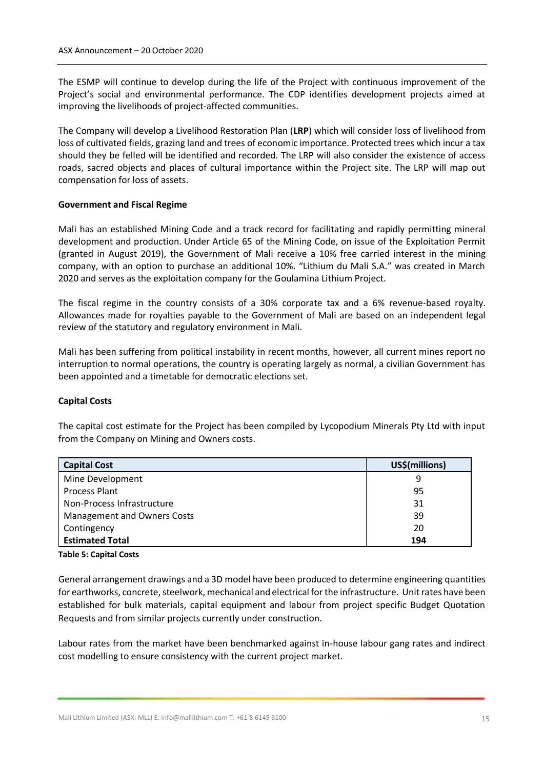The ESMP will continue to develop during the life of the Project with continuous improvement of the Project's social and environmental performance. The CDP identifies development projects aimed at improving the livelihoods of project-affected communities.

The Company will develop a Livelihood Restoration Plan (**LRP**) which will consider loss of livelihood from loss of cultivated fields, grazing land and trees of economic importance. Protected trees which incur a tax should they be felled will be identified and recorded. The LRP will also consider the existence of access roads, sacred objects and places of cultural importance within the Project site. The LRP will map out compensation for loss of assets.

#### **Government and Fiscal Regime**

Mali has an established Mining Code and a track record for facilitating and rapidly permitting mineral development and production. Under Article 65 of the Mining Code, on issue of the Exploitation Permit (granted in August 2019), the Government of Mali receive a 10% free carried interest in the mining company, with an option to purchase an additional 10%. "Lithium du Mali S.A." was created in March 2020 and serves as the exploitation company for the Goulamina Lithium Project.

The fiscal regime in the country consists of a 30% corporate tax and a 6% revenue-based royalty. Allowances made for royalties payable to the Government of Mali are based on an independent legal review of the statutory and regulatory environment in Mali.

Mali has been suffering from political instability in recent months, however, all current mines report no interruption to normal operations, the country is operating largely as normal, a civilian Government has been appointed and a timetable for democratic elections set.

#### **Capital Costs**

The capital cost estimate for the Project has been compiled by Lycopodium Minerals Pty Ltd with input from the Company on Mining and Owners costs.

| <b>Capital Cost</b>                | US\$(millions) |
|------------------------------------|----------------|
| Mine Development                   | 9              |
| <b>Process Plant</b>               | 95             |
| Non-Process Infrastructure         | 31             |
| <b>Management and Owners Costs</b> | 39             |
| Contingency                        | 20             |
| <b>Estimated Total</b>             | 194            |

#### **Table 5: Capital Costs**

General arrangement drawings and a 3D model have been produced to determine engineering quantities for earthworks, concrete, steelwork, mechanical and electrical for the infrastructure. Unit rates have been established for bulk materials, capital equipment and labour from project specific Budget Quotation Requests and from similar projects currently under construction.

Labour rates from the market have been benchmarked against in-house labour gang rates and indirect cost modelling to ensure consistency with the current project market.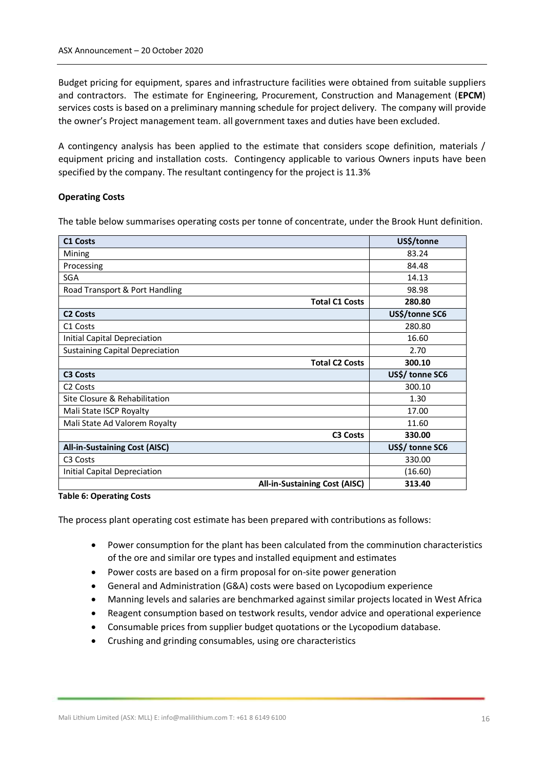Budget pricing for equipment, spares and infrastructure facilities were obtained from suitable suppliers and contractors. The estimate for Engineering, Procurement, Construction and Management (**EPCM**) services costs is based on a preliminary manning schedule for project delivery. The company will provide the owner's Project management team. all government taxes and duties have been excluded.

A contingency analysis has been applied to the estimate that considers scope definition, materials / equipment pricing and installation costs. Contingency applicable to various Owners inputs have been specified by the company. The resultant contingency for the project is 11.3%

### **Operating Costs**

The table below summarises operating costs per tonne of concentrate, under the Brook Hunt definition.

| <b>C1 Costs</b>                        | US\$/tonne      |
|----------------------------------------|-----------------|
| Mining                                 | 83.24           |
| Processing                             | 84.48           |
| SGA                                    | 14.13           |
| Road Transport & Port Handling         | 98.98           |
| <b>Total C1 Costs</b>                  | 280.80          |
| <b>C2 Costs</b>                        | US\$/tonne SC6  |
| C <sub>1</sub> Costs                   | 280.80          |
| <b>Initial Capital Depreciation</b>    | 16.60           |
| <b>Sustaining Capital Depreciation</b> | 2.70            |
| <b>Total C2 Costs</b>                  | 300.10          |
| <b>C3 Costs</b>                        | US\$/ tonne SC6 |
| C <sub>2</sub> Costs                   | 300.10          |
| Site Closure & Rehabilitation          | 1.30            |
| Mali State ISCP Royalty                | 17.00           |
| Mali State Ad Valorem Royalty          | 11.60           |
| <b>C3 Costs</b>                        | 330.00          |
| <b>All-in-Sustaining Cost (AISC)</b>   | US\$/ tonne SC6 |
| C <sub>3</sub> Costs                   | 330.00          |
| Initial Capital Depreciation           | (16.60)         |
| <b>All-in-Sustaining Cost (AISC)</b>   | 313.40          |

**Table 6: Operating Costs**

The process plant operating cost estimate has been prepared with contributions as follows:

- Power consumption for the plant has been calculated from the comminution characteristics of the ore and similar ore types and installed equipment and estimates
- Power costs are based on a firm proposal for on-site power generation
- General and Administration (G&A) costs were based on Lycopodium experience
- Manning levels and salaries are benchmarked against similar projects located in West Africa
- Reagent consumption based on testwork results, vendor advice and operational experience
- Consumable prices from supplier budget quotations or the Lycopodium database.
- Crushing and grinding consumables, using ore characteristics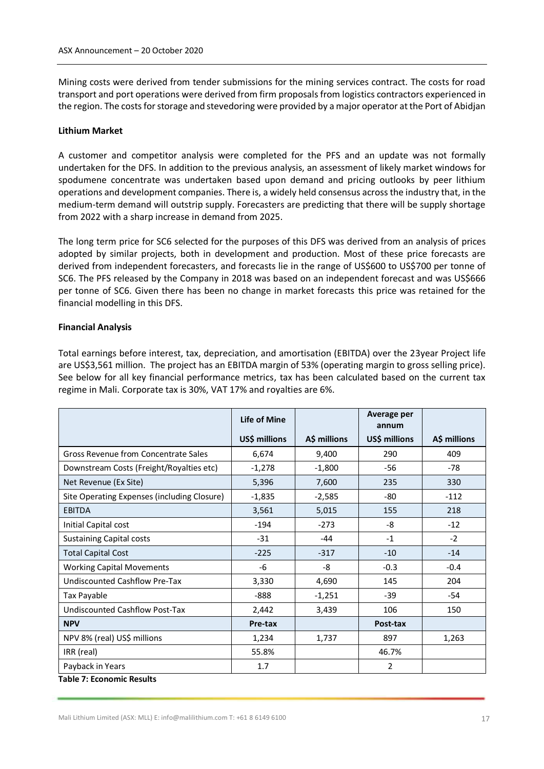Mining costs were derived from tender submissions for the mining services contract. The costs for road transport and port operations were derived from firm proposals from logistics contractors experienced in the region. The costs for storage and stevedoring were provided by a major operator at the Port of Abidjan

### **Lithium Market**

A customer and competitor analysis were completed for the PFS and an update was not formally undertaken for the DFS. In addition to the previous analysis, an assessment of likely market windows for spodumene concentrate was undertaken based upon demand and pricing outlooks by peer lithium operations and development companies. There is, a widely held consensus across the industry that, in the medium-term demand will outstrip supply. Forecasters are predicting that there will be supply shortage from 2022 with a sharp increase in demand from 2025.

The long term price for SC6 selected for the purposes of this DFS was derived from an analysis of prices adopted by similar projects, both in development and production. Most of these price forecasts are derived from independent forecasters, and forecasts lie in the range of US\$600 to US\$700 per tonne of SC6. The PFS released by the Company in 2018 was based on an independent forecast and was US\$666 per tonne of SC6. Given there has been no change in market forecasts this price was retained for the financial modelling in this DFS.

### **Financial Analysis**

Total earnings before interest, tax, depreciation, and amortisation (EBITDA) over the 23year Project life are US\$3,561 million. The project has an EBITDA margin of 53% (operating margin to gross selling price). See below for all key financial performance metrics, tax has been calculated based on the current tax regime in Mali. Corporate tax is 30%, VAT 17% and royalties are 6%.

|                                             | <b>Life of Mine</b> |              | Average per<br>annum |              |
|---------------------------------------------|---------------------|--------------|----------------------|--------------|
|                                             | US\$ millions       | A\$ millions | US\$ millions        | A\$ millions |
| Gross Revenue from Concentrate Sales        | 6,674               | 9,400        | 290                  | 409          |
| Downstream Costs (Freight/Royalties etc)    | $-1,278$            | $-1,800$     | -56                  | $-78$        |
| Net Revenue (Ex Site)                       | 5,396               | 7,600        | 235                  | 330          |
| Site Operating Expenses (including Closure) | $-1,835$            | $-2,585$     | $-80$                | $-112$       |
| <b>EBITDA</b>                               | 3,561               | 5,015        | 155                  | 218          |
| Initial Capital cost                        | $-194$              | $-273$       | -8                   | $-12$        |
| <b>Sustaining Capital costs</b>             | $-31$               | -44          | $-1$                 | $-2$         |
| <b>Total Capital Cost</b>                   | $-225$              | $-317$       | $-10$                | $-14$        |
| <b>Working Capital Movements</b>            | -6                  | -8           | $-0.3$               | $-0.4$       |
| Undiscounted Cashflow Pre-Tax               | 3,330               | 4,690        | 145                  | 204          |
| Tax Payable                                 | -888                | $-1,251$     | $-39$                | -54          |
| <b>Undiscounted Cashflow Post-Tax</b>       | 2,442               | 3,439        | 106                  | 150          |
| <b>NPV</b>                                  | Pre-tax             |              | Post-tax             |              |
| NPV 8% (real) US\$ millions                 | 1,234               | 1,737        | 897                  | 1,263        |
| IRR (real)                                  | 55.8%               |              | 46.7%                |              |
| Payback in Years                            | 1.7                 |              | $\overline{2}$       |              |
| <b>Table 7: Economic Results</b>            |                     |              |                      |              |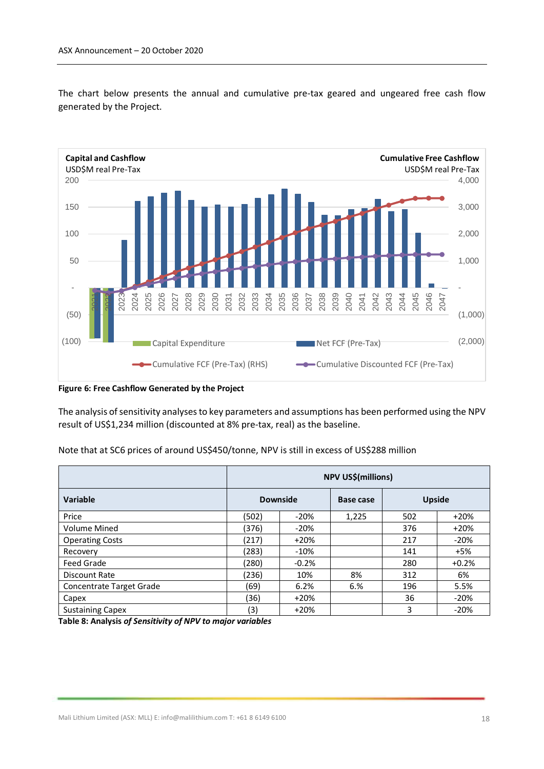The chart below presents the annual and cumulative pre-tax geared and ungeared free cash flow generated by the Project.



**Figure 6: Free Cashflow Generated by the Project**

The analysis of sensitivity analyses to key parameters and assumptions has been performed using the NPV result of US\$1,234 million (discounted at 8% pre-tax, real) as the baseline.

| Note that at SC6 prices of around US\$450/tonne, NPV is still in excess of US\$288 million |  |
|--------------------------------------------------------------------------------------------|--|
|--------------------------------------------------------------------------------------------|--|

|                          | NPV US\$(millions) |         |           |               |         |
|--------------------------|--------------------|---------|-----------|---------------|---------|
| Variable                 | <b>Downside</b>    |         | Base case | <b>Upside</b> |         |
| Price                    | (502)              | $-20%$  | 1,225     | 502           | $+20%$  |
| <b>Volume Mined</b>      | (376)              | $-20%$  |           | 376           | $+20%$  |
| <b>Operating Costs</b>   | (217)              | $+20%$  |           | 217           | $-20%$  |
| Recovery                 | (283)              | $-10%$  |           | 141           | +5%     |
| <b>Feed Grade</b>        | (280)              | $-0.2%$ |           | 280           | $+0.2%$ |
| Discount Rate            | (236)              | 10%     | 8%        | 312           | 6%      |
| Concentrate Target Grade | (69)               | 6.2%    | 6.%       | 196           | 5.5%    |
| Capex                    | (36)               | $+20%$  |           | 36            | $-20%$  |
| <b>Sustaining Capex</b>  | (3)                | $+20%$  |           | 3             | $-20%$  |

**Table 8: Analysis** *of Sensitivity of NPV to major variables*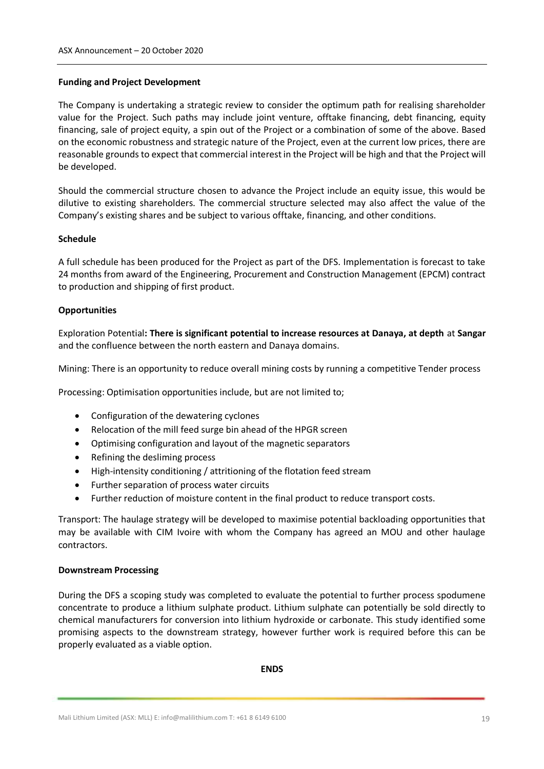#### **Funding and Project Development**

The Company is undertaking a strategic review to consider the optimum path for realising shareholder value for the Project. Such paths may include joint venture, offtake financing, debt financing, equity financing, sale of project equity, a spin out of the Project or a combination of some of the above. Based on the economic robustness and strategic nature of the Project, even at the current low prices, there are reasonable grounds to expect that commercial interest in the Project will be high and that the Project will be developed.

Should the commercial structure chosen to advance the Project include an equity issue, this would be dilutive to existing shareholders. The commercial structure selected may also affect the value of the Company's existing shares and be subject to various offtake, financing, and other conditions.

#### **Schedule**

A full schedule has been produced for the Project as part of the DFS. Implementation is forecast to take 24 months from award of the Engineering, Procurement and Construction Management (EPCM) contract to production and shipping of first product.

#### **Opportunities**

Exploration Potential**: There is significant potential to increase resources at Danaya, at depth** at **Sangar**  and the confluence between the north eastern and Danaya domains.

Mining: There is an opportunity to reduce overall mining costs by running a competitive Tender process

Processing: Optimisation opportunities include, but are not limited to;

- Configuration of the dewatering cyclones
- Relocation of the mill feed surge bin ahead of the HPGR screen
- Optimising configuration and layout of the magnetic separators
- Refining the desliming process
- High-intensity conditioning / attritioning of the flotation feed stream
- Further separation of process water circuits
- Further reduction of moisture content in the final product to reduce transport costs.

Transport: The haulage strategy will be developed to maximise potential backloading opportunities that may be available with CIM Ivoire with whom the Company has agreed an MOU and other haulage contractors.

#### **Downstream Processing**

During the DFS a scoping study was completed to evaluate the potential to further process spodumene concentrate to produce a lithium sulphate product. Lithium sulphate can potentially be sold directly to chemical manufacturers for conversion into lithium hydroxide or carbonate. This study identified some promising aspects to the downstream strategy, however further work is required before this can be properly evaluated as a viable option.

**ENDS**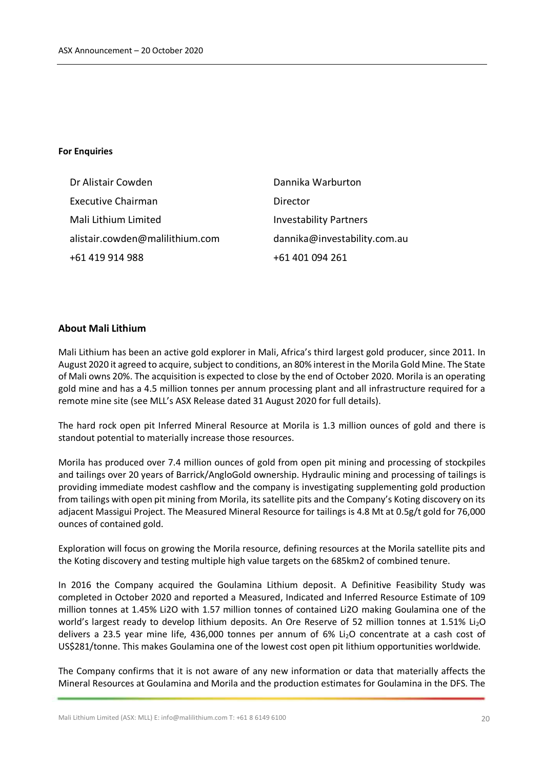#### **For Enquiries**

| Dr Alistair Cowden              | Dannika Warburton             |
|---------------------------------|-------------------------------|
| <b>Executive Chairman</b>       | Director                      |
| Mali Lithium Limited            | <b>Investability Partners</b> |
| alistair.cowden@malilithium.com | dannika@investability.com.au  |
| +61 419 914 988                 | +61 401 094 261               |

#### **About Mali Lithium**

Mali Lithium has been an active gold explorer in Mali, Africa's third largest gold producer, since 2011. In August 2020 it agreed to acquire, subject to conditions, an 80% interest in the Morila Gold Mine. The State of Mali owns 20%. The acquisition is expected to close by the end of October 2020. Morila is an operating gold mine and has a 4.5 million tonnes per annum processing plant and all infrastructure required for a remote mine site (see MLL's ASX Release dated 31 August 2020 for full details).

The hard rock open pit Inferred Mineral Resource at Morila is 1.3 million ounces of gold and there is standout potential to materially increase those resources.

Morila has produced over 7.4 million ounces of gold from open pit mining and processing of stockpiles and tailings over 20 years of Barrick/AngloGold ownership. Hydraulic mining and processing of tailings is providing immediate modest cashflow and the company is investigating supplementing gold production from tailings with open pit mining from Morila, its satellite pits and the Company's Koting discovery on its adjacent Massigui Project. The Measured Mineral Resource for tailings is 4.8 Mt at 0.5g/t gold for 76,000 ounces of contained gold.

Exploration will focus on growing the Morila resource, defining resources at the Morila satellite pits and the Koting discovery and testing multiple high value targets on the 685km2 of combined tenure.

In 2016 the Company acquired the Goulamina Lithium deposit. A Definitive Feasibility Study was completed in October 2020 and reported a Measured, Indicated and Inferred Resource Estimate of 109 million tonnes at 1.45% Li2O with 1.57 million tonnes of contained Li2O making Goulamina one of the world's largest ready to develop lithium deposits. An Ore Reserve of 52 million tonnes at 1.51% Li<sub>2</sub>O delivers a 23.5 year mine life, 436,000 tonnes per annum of 6% Li<sub>2</sub>O concentrate at a cash cost of US\$281/tonne. This makes Goulamina one of the lowest cost open pit lithium opportunities worldwide.

The Company confirms that it is not aware of any new information or data that materially affects the Mineral Resources at Goulamina and Morila and the production estimates for Goulamina in the DFS. The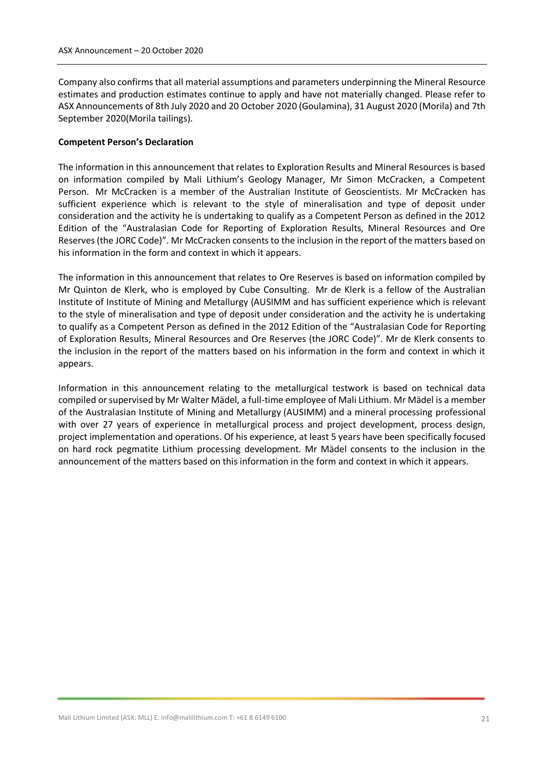Company also confirms that all material assumptions and parameters underpinning the Mineral Resource estimates and production estimates continue to apply and have not materially changed. Please refer to ASX Announcements of 8th July 2020 and 20 October 2020 (Goulamina), 31 August 2020 (Morila) and 7th September 2020(Morila tailings).

#### **Competent Person's Declaration**

The information in this announcement that relates to Exploration Results and Mineral Resources is based on information compiled by Mali Lithium's Geology Manager, Mr Simon McCracken, a Competent Person. Mr McCracken is a member of the Australian Institute of Geoscientists. Mr McCracken has sufficient experience which is relevant to the style of mineralisation and type of deposit under consideration and the activity he is undertaking to qualify as a Competent Person as defined in the 2012 Edition of the "Australasian Code for Reporting of Exploration Results, Mineral Resources and Ore Reserves (the JORC Code)". Mr McCracken consents to the inclusion in the report of the matters based on his information in the form and context in which it appears.

The information in this announcement that relates to Ore Reserves is based on information compiled by Mr Quinton de Klerk, who is employed by Cube Consulting. Mr de Klerk is a fellow of the Australian Institute of Institute of Mining and Metallurgy (AUSIMM and has sufficient experience which is relevant to the style of mineralisation and type of deposit under consideration and the activity he is undertaking to qualify as a Competent Person as defined in the 2012 Edition of the "Australasian Code for Reporting of Exploration Results, Mineral Resources and Ore Reserves (the JORC Code)". Mr de Klerk consents to the inclusion in the report of the matters based on his information in the form and context in which it appears.

Information in this announcement relating to the metallurgical testwork is based on technical data compiled or supervised by Mr Walter Mädel, a full-time employee of Mali Lithium. Mr Mädel is a member of the Australasian Institute of Mining and Metallurgy (AUSIMM) and a mineral processing professional with over 27 years of experience in metallurgical process and project development, process design, project implementation and operations. Of his experience, at least 5 years have been specifically focused on hard rock pegmatite Lithium processing development. Mr Mädel consents to the inclusion in the announcement of the matters based on this information in the form and context in which it appears.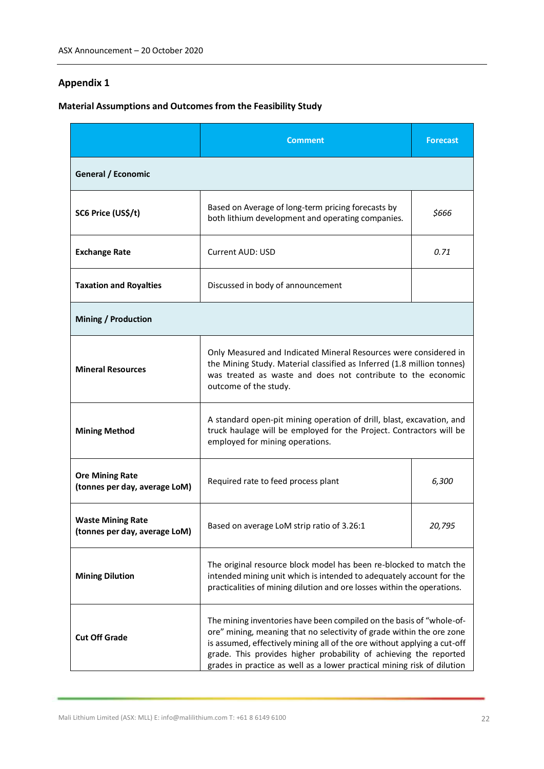### **Appendix 1**

# **Material Assumptions and Outcomes from the Feasibility Study**

|                                                           | <b>Comment</b><br><b>Forecast</b>                                                                                                                                                                                                                                                                                                                                         |  |
|-----------------------------------------------------------|---------------------------------------------------------------------------------------------------------------------------------------------------------------------------------------------------------------------------------------------------------------------------------------------------------------------------------------------------------------------------|--|
| General / Economic                                        |                                                                                                                                                                                                                                                                                                                                                                           |  |
| SC6 Price (US\$/t)                                        | Based on Average of long-term pricing forecasts by<br>\$666<br>both lithium development and operating companies.                                                                                                                                                                                                                                                          |  |
| <b>Exchange Rate</b>                                      | <b>Current AUD: USD</b><br>0.71                                                                                                                                                                                                                                                                                                                                           |  |
| <b>Taxation and Royalties</b>                             | Discussed in body of announcement                                                                                                                                                                                                                                                                                                                                         |  |
| <b>Mining / Production</b>                                |                                                                                                                                                                                                                                                                                                                                                                           |  |
| <b>Mineral Resources</b>                                  | Only Measured and Indicated Mineral Resources were considered in<br>the Mining Study. Material classified as Inferred (1.8 million tonnes)<br>was treated as waste and does not contribute to the economic<br>outcome of the study.                                                                                                                                       |  |
| <b>Mining Method</b>                                      | A standard open-pit mining operation of drill, blast, excavation, and<br>truck haulage will be employed for the Project. Contractors will be<br>employed for mining operations.                                                                                                                                                                                           |  |
| <b>Ore Mining Rate</b><br>(tonnes per day, average LoM)   | Required rate to feed process plant<br>6,300                                                                                                                                                                                                                                                                                                                              |  |
| <b>Waste Mining Rate</b><br>(tonnes per day, average LoM) | Based on average LoM strip ratio of 3.26:1<br>20,795                                                                                                                                                                                                                                                                                                                      |  |
| <b>Mining Dilution</b>                                    | The original resource block model has been re-blocked to match the<br>intended mining unit which is intended to adequately account for the<br>practicalities of mining dilution and ore losses within the operations.                                                                                                                                                     |  |
| <b>Cut Off Grade</b>                                      | The mining inventories have been compiled on the basis of "whole-of-<br>ore" mining, meaning that no selectivity of grade within the ore zone<br>is assumed, effectively mining all of the ore without applying a cut-off<br>grade. This provides higher probability of achieving the reported<br>grades in practice as well as a lower practical mining risk of dilution |  |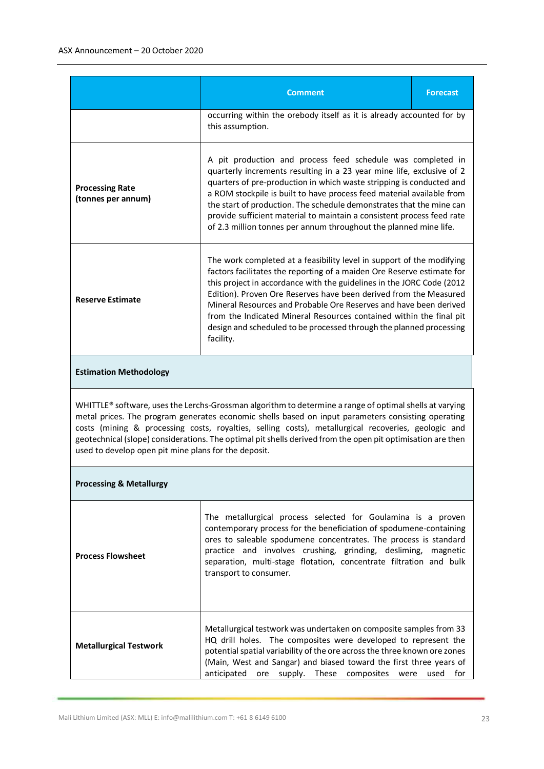|                                                                                                                                                                                                                                                                                                                                                                                                                                                                                             | <b>Comment</b><br><b>Forecast</b>                                                                                                                                                                                                                                                                                                                                                                                                                                                                                             |  |
|---------------------------------------------------------------------------------------------------------------------------------------------------------------------------------------------------------------------------------------------------------------------------------------------------------------------------------------------------------------------------------------------------------------------------------------------------------------------------------------------|-------------------------------------------------------------------------------------------------------------------------------------------------------------------------------------------------------------------------------------------------------------------------------------------------------------------------------------------------------------------------------------------------------------------------------------------------------------------------------------------------------------------------------|--|
|                                                                                                                                                                                                                                                                                                                                                                                                                                                                                             | occurring within the orebody itself as it is already accounted for by<br>this assumption.                                                                                                                                                                                                                                                                                                                                                                                                                                     |  |
| <b>Processing Rate</b><br>(tonnes per annum)                                                                                                                                                                                                                                                                                                                                                                                                                                                | A pit production and process feed schedule was completed in<br>quarterly increments resulting in a 23 year mine life, exclusive of 2<br>quarters of pre-production in which waste stripping is conducted and<br>a ROM stockpile is built to have process feed material available from<br>the start of production. The schedule demonstrates that the mine can<br>provide sufficient material to maintain a consistent process feed rate<br>of 2.3 million tonnes per annum throughout the planned mine life.                  |  |
| <b>Reserve Estimate</b>                                                                                                                                                                                                                                                                                                                                                                                                                                                                     | The work completed at a feasibility level in support of the modifying<br>factors facilitates the reporting of a maiden Ore Reserve estimate for<br>this project in accordance with the guidelines in the JORC Code (2012<br>Edition). Proven Ore Reserves have been derived from the Measured<br>Mineral Resources and Probable Ore Reserves and have been derived<br>from the Indicated Mineral Resources contained within the final pit<br>design and scheduled to be processed through the planned processing<br>facility. |  |
| <b>Estimation Methodology</b>                                                                                                                                                                                                                                                                                                                                                                                                                                                               |                                                                                                                                                                                                                                                                                                                                                                                                                                                                                                                               |  |
| WHITTLE® software, uses the Lerchs-Grossman algorithm to determine a range of optimal shells at varying<br>metal prices. The program generates economic shells based on input parameters consisting operating<br>costs (mining & processing costs, royalties, selling costs), metallurgical recoveries, geologic and<br>geotechnical (slope) considerations. The optimal pit shells derived from the open pit optimisation are then<br>used to develop open pit mine plans for the deposit. |                                                                                                                                                                                                                                                                                                                                                                                                                                                                                                                               |  |
| <b>Processing &amp; Metallurgy</b>                                                                                                                                                                                                                                                                                                                                                                                                                                                          |                                                                                                                                                                                                                                                                                                                                                                                                                                                                                                                               |  |
| <b>Process Flowsheet</b>                                                                                                                                                                                                                                                                                                                                                                                                                                                                    | The metallurgical process selected for Goulamina is a proven<br>contemporary process for the beneficiation of spodumene-containing<br>ores to saleable spodumene concentrates. The process is standard<br>practice and involves crushing, grinding, desliming, magnetic<br>separation, multi-stage flotation, concentrate filtration and bulk<br>transport to consumer.                                                                                                                                                       |  |
| <b>Metallurgical Testwork</b>                                                                                                                                                                                                                                                                                                                                                                                                                                                               | Metallurgical testwork was undertaken on composite samples from 33<br>HQ drill holes. The composites were developed to represent the<br>potential spatial variability of the ore across the three known ore zones<br>(Main, West and Sangar) and biased toward the first three years of<br>anticipated<br>ore supply.<br>These<br>composites<br>used<br>for<br>were                                                                                                                                                           |  |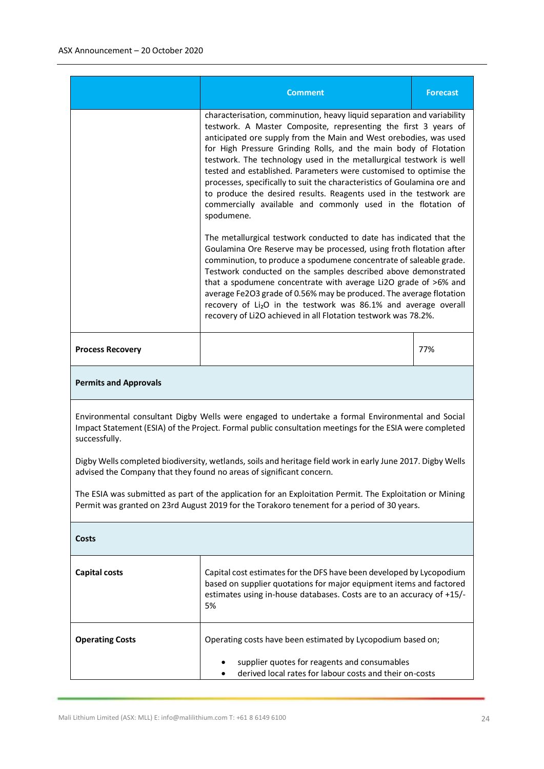| <b>Comment</b>                                                                                                                                                                                                               |                                                                                                                                                                                                                                                                                                                                                                                                                                                                                                                                                                                                                                                                | <b>Forecast</b> |
|------------------------------------------------------------------------------------------------------------------------------------------------------------------------------------------------------------------------------|----------------------------------------------------------------------------------------------------------------------------------------------------------------------------------------------------------------------------------------------------------------------------------------------------------------------------------------------------------------------------------------------------------------------------------------------------------------------------------------------------------------------------------------------------------------------------------------------------------------------------------------------------------------|-----------------|
|                                                                                                                                                                                                                              | characterisation, comminution, heavy liquid separation and variability<br>testwork. A Master Composite, representing the first 3 years of<br>anticipated ore supply from the Main and West orebodies, was used<br>for High Pressure Grinding Rolls, and the main body of Flotation<br>testwork. The technology used in the metallurgical testwork is well<br>tested and established. Parameters were customised to optimise the<br>processes, specifically to suit the characteristics of Goulamina ore and<br>to produce the desired results. Reagents used in the testwork are<br>commercially available and commonly used in the flotation of<br>spodumene. |                 |
|                                                                                                                                                                                                                              | The metallurgical testwork conducted to date has indicated that the<br>Goulamina Ore Reserve may be processed, using froth flotation after<br>comminution, to produce a spodumene concentrate of saleable grade.<br>Testwork conducted on the samples described above demonstrated<br>that a spodumene concentrate with average Li2O grade of >6% and<br>average Fe2O3 grade of 0.56% may be produced. The average flotation<br>recovery of Li <sub>2</sub> O in the testwork was 86.1% and average overall<br>recovery of Li2O achieved in all Flotation testwork was 78.2%.                                                                                  |                 |
| <b>Process Recovery</b>                                                                                                                                                                                                      |                                                                                                                                                                                                                                                                                                                                                                                                                                                                                                                                                                                                                                                                | 77%             |
| <b>Permits and Approvals</b>                                                                                                                                                                                                 |                                                                                                                                                                                                                                                                                                                                                                                                                                                                                                                                                                                                                                                                |                 |
| Environmental consultant Digby Wells were engaged to undertake a formal Environmental and Social<br>Impact Statement (ESIA) of the Project. Formal public consultation meetings for the ESIA were completed<br>successfully. |                                                                                                                                                                                                                                                                                                                                                                                                                                                                                                                                                                                                                                                                |                 |
| Digby Wells completed biodiversity, wetlands, soils and heritage field work in early June 2017. Digby Wells<br>advised the Company that they found no areas of significant concern.                                          |                                                                                                                                                                                                                                                                                                                                                                                                                                                                                                                                                                                                                                                                |                 |
| The ESIA was submitted as part of the application for an Exploitation Permit. The Exploitation or Mining<br>Permit was granted on 23rd August 2019 for the Torakoro tenement for a period of 30 years.                       |                                                                                                                                                                                                                                                                                                                                                                                                                                                                                                                                                                                                                                                                |                 |
| Costs                                                                                                                                                                                                                        |                                                                                                                                                                                                                                                                                                                                                                                                                                                                                                                                                                                                                                                                |                 |
| <b>Capital costs</b>                                                                                                                                                                                                         | Capital cost estimates for the DFS have been developed by Lycopodium<br>based on supplier quotations for major equipment items and factored<br>estimates using in-house databases. Costs are to an accuracy of +15/-<br>5%                                                                                                                                                                                                                                                                                                                                                                                                                                     |                 |
| <b>Operating Costs</b>                                                                                                                                                                                                       | Operating costs have been estimated by Lycopodium based on;<br>supplier quotes for reagents and consumables<br>derived local rates for labour costs and their on-costs                                                                                                                                                                                                                                                                                                                                                                                                                                                                                         |                 |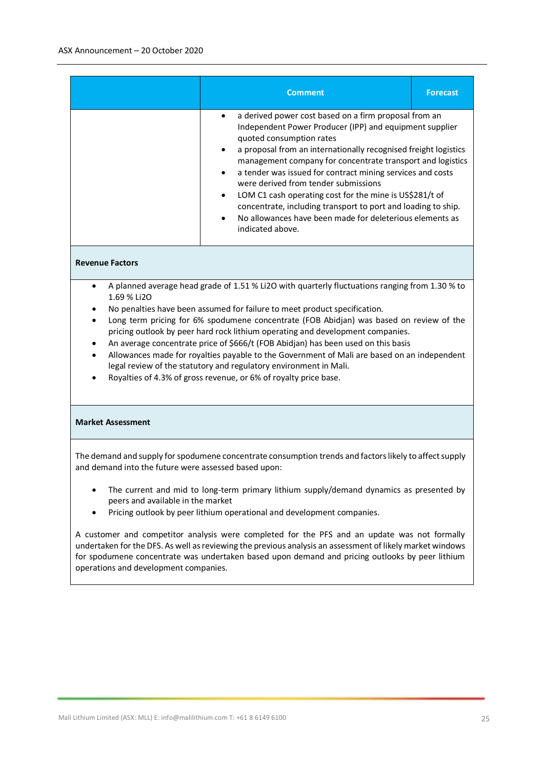|                                                                                                                                                                                                                                                                                                                                                                                                                                                                                                                                                                                                                                                                                                                   | <b>Comment</b>                                                                                                                                                                                                                                                                                                                                                                                                                                                                                                                                                                                                            | <b>Forecast</b> |  |
|-------------------------------------------------------------------------------------------------------------------------------------------------------------------------------------------------------------------------------------------------------------------------------------------------------------------------------------------------------------------------------------------------------------------------------------------------------------------------------------------------------------------------------------------------------------------------------------------------------------------------------------------------------------------------------------------------------------------|---------------------------------------------------------------------------------------------------------------------------------------------------------------------------------------------------------------------------------------------------------------------------------------------------------------------------------------------------------------------------------------------------------------------------------------------------------------------------------------------------------------------------------------------------------------------------------------------------------------------------|-----------------|--|
|                                                                                                                                                                                                                                                                                                                                                                                                                                                                                                                                                                                                                                                                                                                   | a derived power cost based on a firm proposal from an<br>$\bullet$<br>Independent Power Producer (IPP) and equipment supplier<br>quoted consumption rates<br>a proposal from an internationally recognised freight logistics<br>$\bullet$<br>management company for concentrate transport and logistics<br>a tender was issued for contract mining services and costs<br>were derived from tender submissions<br>LOM C1 cash operating cost for the mine is US\$281/t of<br>concentrate, including transport to port and loading to ship.<br>No allowances have been made for deleterious elements as<br>indicated above. |                 |  |
| <b>Revenue Factors</b>                                                                                                                                                                                                                                                                                                                                                                                                                                                                                                                                                                                                                                                                                            |                                                                                                                                                                                                                                                                                                                                                                                                                                                                                                                                                                                                                           |                 |  |
| A planned average head grade of 1.51 % Li2O with quarterly fluctuations ranging from 1.30 % to<br>$\bullet$<br>1.69 % Li2O<br>No penalties have been assumed for failure to meet product specification.<br>Long term pricing for 6% spodumene concentrate (FOB Abidjan) was based on review of the<br>pricing outlook by peer hard rock lithium operating and development companies.<br>An average concentrate price of \$666/t (FOB Abidjan) has been used on this basis<br>Allowances made for royalties payable to the Government of Mali are based on an independent<br>legal review of the statutory and regulatory environment in Mali.<br>Royalties of 4.3% of gross revenue, or 6% of royalty price base. |                                                                                                                                                                                                                                                                                                                                                                                                                                                                                                                                                                                                                           |                 |  |
| <b>Market Assessment</b>                                                                                                                                                                                                                                                                                                                                                                                                                                                                                                                                                                                                                                                                                          |                                                                                                                                                                                                                                                                                                                                                                                                                                                                                                                                                                                                                           |                 |  |
| The demand and supply for spodumene concentrate consumption trends and factors likely to affect supply<br>and demand into the future were assessed based upon:                                                                                                                                                                                                                                                                                                                                                                                                                                                                                                                                                    |                                                                                                                                                                                                                                                                                                                                                                                                                                                                                                                                                                                                                           |                 |  |
| The current and mid to long-term primary lithium supply/demand dynamics as presented by<br>peers and available in the market<br>Pricing outlook by peer lithium operational and development companies.                                                                                                                                                                                                                                                                                                                                                                                                                                                                                                            |                                                                                                                                                                                                                                                                                                                                                                                                                                                                                                                                                                                                                           |                 |  |

A customer and competitor analysis were completed for the PFS and an update was not formally undertaken for the DFS. As well as reviewing the previous analysis an assessment of likely market windows for spodumene concentrate was undertaken based upon demand and pricing outlooks by peer lithium operations and development companies.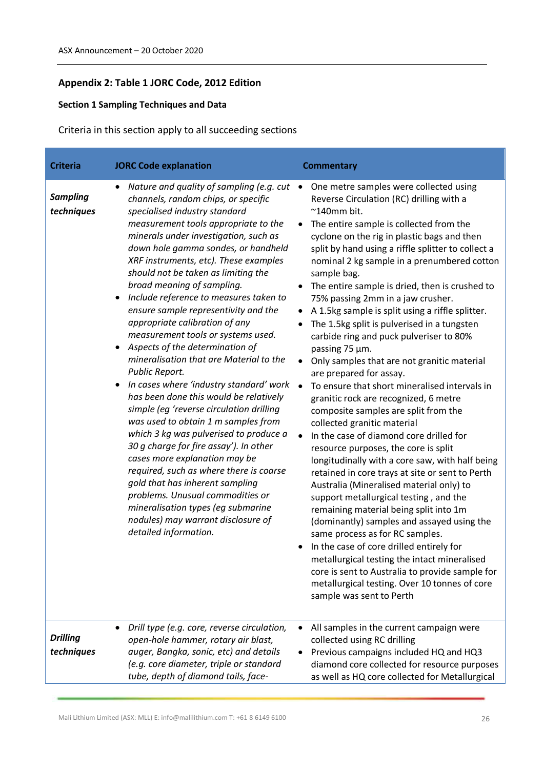### **Appendix 2: Table 1 JORC Code, 2012 Edition**

### **Section 1 Sampling Techniques and Data**

Criteria in this section apply to all succeeding sections

| <b>Criteria</b>               | <b>JORC Code explanation</b>                                                                                                                                                                                                                                                                                                                                                                                                                                                                                                                                                                                                                                                                                                                                                                                                                                                                                                                                                                                                                                                                                                                                                | <b>Commentary</b>                                                                                                                                                                                                                                                                                                                                                                                                                                                                                                                                                                                                                                                                                                                                                                                                                                                                                                                                                                                                                                                                                                                                                                                                                                                                                                                                                                                                                                                                                                     |
|-------------------------------|-----------------------------------------------------------------------------------------------------------------------------------------------------------------------------------------------------------------------------------------------------------------------------------------------------------------------------------------------------------------------------------------------------------------------------------------------------------------------------------------------------------------------------------------------------------------------------------------------------------------------------------------------------------------------------------------------------------------------------------------------------------------------------------------------------------------------------------------------------------------------------------------------------------------------------------------------------------------------------------------------------------------------------------------------------------------------------------------------------------------------------------------------------------------------------|-----------------------------------------------------------------------------------------------------------------------------------------------------------------------------------------------------------------------------------------------------------------------------------------------------------------------------------------------------------------------------------------------------------------------------------------------------------------------------------------------------------------------------------------------------------------------------------------------------------------------------------------------------------------------------------------------------------------------------------------------------------------------------------------------------------------------------------------------------------------------------------------------------------------------------------------------------------------------------------------------------------------------------------------------------------------------------------------------------------------------------------------------------------------------------------------------------------------------------------------------------------------------------------------------------------------------------------------------------------------------------------------------------------------------------------------------------------------------------------------------------------------------|
| <b>Sampling</b><br>techniques | Nature and quality of sampling (e.g. cut<br>$\bullet$<br>channels, random chips, or specific<br>specialised industry standard<br>measurement tools appropriate to the<br>minerals under investigation, such as<br>down hole gamma sondes, or handheld<br>XRF instruments, etc). These examples<br>should not be taken as limiting the<br>broad meaning of sampling.<br>Include reference to measures taken to<br>ensure sample representivity and the<br>appropriate calibration of any<br>measurement tools or systems used.<br>Aspects of the determination of<br>$\bullet$<br>mineralisation that are Material to the<br>Public Report.<br>In cases where 'industry standard' work<br>$\bullet$<br>has been done this would be relatively<br>simple (eq 'reverse circulation drilling<br>was used to obtain 1 m samples from<br>which 3 kg was pulverised to produce a<br>30 g charge for fire assay'). In other<br>cases more explanation may be<br>required, such as where there is coarse<br>gold that has inherent sampling<br>problems. Unusual commodities or<br>mineralisation types (eg submarine<br>nodules) may warrant disclosure of<br>detailed information. | One metre samples were collected using<br>$\bullet$<br>Reverse Circulation (RC) drilling with a<br>$~^{\sim}$ 140mm bit.<br>The entire sample is collected from the<br>$\bullet$<br>cyclone on the rig in plastic bags and then<br>split by hand using a riffle splitter to collect a<br>nominal 2 kg sample in a prenumbered cotton<br>sample bag.<br>The entire sample is dried, then is crushed to<br>75% passing 2mm in a jaw crusher.<br>A 1.5kg sample is split using a riffle splitter.<br>The 1.5kg split is pulverised in a tungsten<br>carbide ring and puck pulveriser to 80%<br>passing 75 µm.<br>Only samples that are not granitic material<br>$\bullet$<br>are prepared for assay.<br>To ensure that short mineralised intervals in<br>$\bullet$<br>granitic rock are recognized, 6 metre<br>composite samples are split from the<br>collected granitic material<br>In the case of diamond core drilled for<br>resource purposes, the core is split<br>longitudinally with a core saw, with half being<br>retained in core trays at site or sent to Perth<br>Australia (Mineralised material only) to<br>support metallurgical testing, and the<br>remaining material being split into 1m<br>(dominantly) samples and assayed using the<br>same process as for RC samples.<br>In the case of core drilled entirely for<br>metallurgical testing the intact mineralised<br>core is sent to Australia to provide sample for<br>metallurgical testing. Over 10 tonnes of core<br>sample was sent to Perth |
| <b>Drilling</b><br>techniques | Drill type (e.g. core, reverse circulation,<br>٠<br>open-hole hammer, rotary air blast,<br>auger, Bangka, sonic, etc) and details<br>(e.g. core diameter, triple or standard<br>tube, depth of diamond tails, face-                                                                                                                                                                                                                                                                                                                                                                                                                                                                                                                                                                                                                                                                                                                                                                                                                                                                                                                                                         | All samples in the current campaign were<br>collected using RC drilling<br>Previous campaigns included HQ and HQ3<br>diamond core collected for resource purposes<br>as well as HQ core collected for Metallurgical                                                                                                                                                                                                                                                                                                                                                                                                                                                                                                                                                                                                                                                                                                                                                                                                                                                                                                                                                                                                                                                                                                                                                                                                                                                                                                   |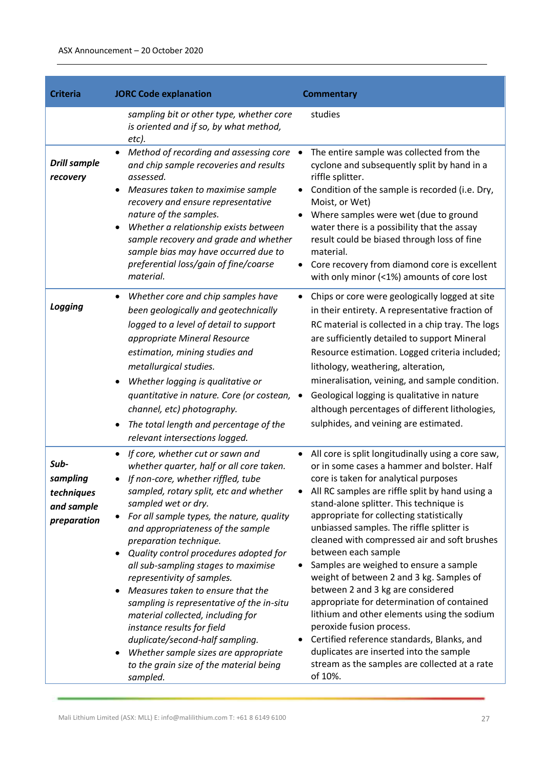| <b>Criteria</b>                                             | <b>JORC Code explanation</b>                                                                                                                                                                                                                                                                                                                                                                                                                                                                                                                                                                                                                                                                          | <b>Commentary</b>                                                                                                                                                                                                                                                                                                                                                                                                                                                                                                                                                                                                                                                                                                                                                                                                                   |
|-------------------------------------------------------------|-------------------------------------------------------------------------------------------------------------------------------------------------------------------------------------------------------------------------------------------------------------------------------------------------------------------------------------------------------------------------------------------------------------------------------------------------------------------------------------------------------------------------------------------------------------------------------------------------------------------------------------------------------------------------------------------------------|-------------------------------------------------------------------------------------------------------------------------------------------------------------------------------------------------------------------------------------------------------------------------------------------------------------------------------------------------------------------------------------------------------------------------------------------------------------------------------------------------------------------------------------------------------------------------------------------------------------------------------------------------------------------------------------------------------------------------------------------------------------------------------------------------------------------------------------|
|                                                             | sampling bit or other type, whether core<br>is oriented and if so, by what method,<br>etc).                                                                                                                                                                                                                                                                                                                                                                                                                                                                                                                                                                                                           | studies                                                                                                                                                                                                                                                                                                                                                                                                                                                                                                                                                                                                                                                                                                                                                                                                                             |
| <b>Drill sample</b><br>recovery                             | Method of recording and assessing core<br>and chip sample recoveries and results<br>assessed.<br>Measures taken to maximise sample<br>recovery and ensure representative<br>nature of the samples.<br>Whether a relationship exists between<br>sample recovery and grade and whether<br>sample bias may have occurred due to<br>preferential loss/gain of fine/coarse<br>material.                                                                                                                                                                                                                                                                                                                    | The entire sample was collected from the<br>cyclone and subsequently split by hand in a<br>riffle splitter.<br>Condition of the sample is recorded (i.e. Dry,<br>Moist, or Wet)<br>Where samples were wet (due to ground<br>water there is a possibility that the assay<br>result could be biased through loss of fine<br>material.<br>Core recovery from diamond core is excellent<br>with only minor (<1%) amounts of core lost                                                                                                                                                                                                                                                                                                                                                                                                   |
| Logging                                                     | Whether core and chip samples have<br>been geologically and geotechnically<br>logged to a level of detail to support<br>appropriate Mineral Resource<br>estimation, mining studies and<br>metallurgical studies.<br>Whether logging is qualitative or<br>quantitative in nature. Core (or costean,<br>channel, etc) photography.<br>The total length and percentage of the<br>relevant intersections logged.                                                                                                                                                                                                                                                                                          | Chips or core were geologically logged at site<br>in their entirety. A representative fraction of<br>RC material is collected in a chip tray. The logs<br>are sufficiently detailed to support Mineral<br>Resource estimation. Logged criteria included;<br>lithology, weathering, alteration,<br>mineralisation, veining, and sample condition.<br>Geological logging is qualitative in nature<br>$\bullet$<br>although percentages of different lithologies,<br>sulphides, and veining are estimated.                                                                                                                                                                                                                                                                                                                             |
| Sub-<br>sampling<br>techniques<br>and sample<br>preparation | If core, whether cut or sawn and<br>whether quarter, half or all core taken.<br>If non-core, whether riffled, tube<br>sampled, rotary split, etc and whether<br>sampled wet or dry.<br>For all sample types, the nature, quality<br>and appropriateness of the sample<br>preparation technique.<br>Quality control procedures adopted for<br>all sub-sampling stages to maximise<br>representivity of samples.<br>Measures taken to ensure that the<br>sampling is representative of the in-situ<br>material collected, including for<br>instance results for field<br>duplicate/second-half sampling.<br>Whether sample sizes are appropriate<br>to the grain size of the material being<br>sampled. | All core is split longitudinally using a core saw,<br>or in some cases a hammer and bolster. Half<br>core is taken for analytical purposes<br>All RC samples are riffle split by hand using a<br>٠<br>stand-alone splitter. This technique is<br>appropriate for collecting statistically<br>unbiassed samples. The riffle splitter is<br>cleaned with compressed air and soft brushes<br>between each sample<br>Samples are weighed to ensure a sample<br>weight of between 2 and 3 kg. Samples of<br>between 2 and 3 kg are considered<br>appropriate for determination of contained<br>lithium and other elements using the sodium<br>peroxide fusion process.<br>Certified reference standards, Blanks, and<br>$\bullet$<br>duplicates are inserted into the sample<br>stream as the samples are collected at a rate<br>of 10%. |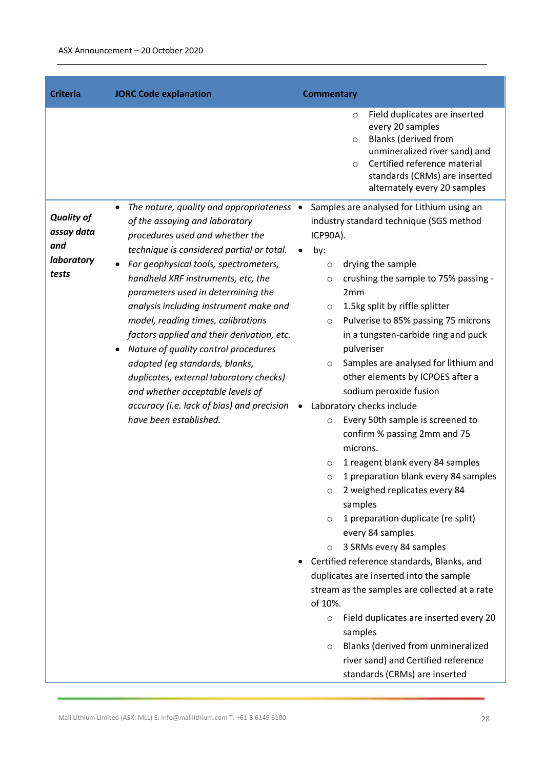| <b>Criteria</b>                                               | <b>JORC Code explanation</b>                                                                                                                                                                                                                                                                                                                                                                                                                                                                                                                                                                                                                            | <b>Commentary</b>                                                                                                                                                                                                                                                                                                                                                                                                                                                                                                                                                                                                                                                                                                                                                                                                                                                                                                                                                                                                                                                                                                                                                                                                       |
|---------------------------------------------------------------|---------------------------------------------------------------------------------------------------------------------------------------------------------------------------------------------------------------------------------------------------------------------------------------------------------------------------------------------------------------------------------------------------------------------------------------------------------------------------------------------------------------------------------------------------------------------------------------------------------------------------------------------------------|-------------------------------------------------------------------------------------------------------------------------------------------------------------------------------------------------------------------------------------------------------------------------------------------------------------------------------------------------------------------------------------------------------------------------------------------------------------------------------------------------------------------------------------------------------------------------------------------------------------------------------------------------------------------------------------------------------------------------------------------------------------------------------------------------------------------------------------------------------------------------------------------------------------------------------------------------------------------------------------------------------------------------------------------------------------------------------------------------------------------------------------------------------------------------------------------------------------------------|
|                                                               |                                                                                                                                                                                                                                                                                                                                                                                                                                                                                                                                                                                                                                                         | Field duplicates are inserted<br>$\circ$<br>every 20 samples<br><b>Blanks (derived from</b><br>$\circ$<br>unmineralized river sand) and<br>Certified reference material<br>$\circ$<br>standards (CRMs) are inserted<br>alternately every 20 samples                                                                                                                                                                                                                                                                                                                                                                                                                                                                                                                                                                                                                                                                                                                                                                                                                                                                                                                                                                     |
| <b>Quality of</b><br>assay data<br>and<br>laboratory<br>tests | The nature, quality and appropriateness $\bullet$<br>of the assaying and laboratory<br>procedures used and whether the<br>technique is considered partial or total.<br>For geophysical tools, spectrometers,<br>handheld XRF instruments, etc, the<br>parameters used in determining the<br>analysis including instrument make and<br>model, reading times, calibrations<br>factors applied and their derivation, etc.<br>Nature of quality control procedures<br>adopted (eg standards, blanks,<br>duplicates, external laboratory checks)<br>and whether acceptable levels of<br>accuracy (i.e. lack of bias) and precision<br>have been established. | Samples are analysed for Lithium using an<br>industry standard technique (SGS method<br>ICP90A).<br>by:<br>drying the sample<br>$\circ$<br>crushing the sample to 75% passing -<br>$\circ$<br>2mm<br>1.5kg split by riffle splitter<br>$\circ$<br>Pulverise to 85% passing 75 microns<br>$\circ$<br>in a tungsten-carbide ring and puck<br>pulveriser<br>Samples are analysed for lithium and<br>$\circ$<br>other elements by ICPOES after a<br>sodium peroxide fusion<br>Laboratory checks include<br>$\bullet$<br>Every 50th sample is screened to<br>$\circ$<br>confirm % passing 2mm and 75<br>microns.<br>1 reagent blank every 84 samples<br>$\circ$<br>1 preparation blank every 84 samples<br>$\circ$<br>2 weighed replicates every 84<br>O<br>samples<br>1 preparation duplicate (re split)<br>$\circ$<br>every 84 samples<br>3 SRMs every 84 samples<br>$\circ$<br>Certified reference standards, Blanks, and<br>duplicates are inserted into the sample<br>stream as the samples are collected at a rate<br>of 10%.<br>Field duplicates are inserted every 20<br>$\circ$<br>samples<br>Blanks (derived from unmineralized<br>$\circ$<br>river sand) and Certified reference<br>standards (CRMs) are inserted |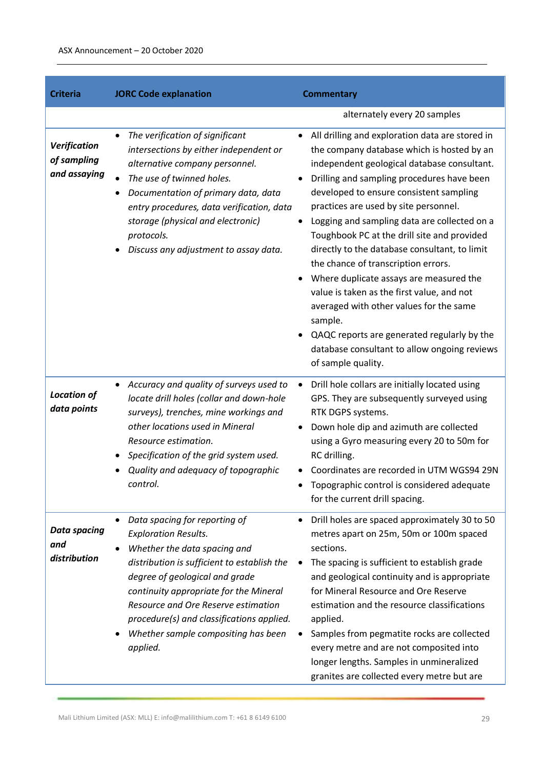| <b>Criteria</b>                                    | <b>JORC Code explanation</b>                                                                                                                                                                                                                                                                                                                                                | <b>Commentary</b>                                                                                                                                                                                                                                                                                                                                                                                                                                                                                                                                                                                                                                                                                                                                                   |
|----------------------------------------------------|-----------------------------------------------------------------------------------------------------------------------------------------------------------------------------------------------------------------------------------------------------------------------------------------------------------------------------------------------------------------------------|---------------------------------------------------------------------------------------------------------------------------------------------------------------------------------------------------------------------------------------------------------------------------------------------------------------------------------------------------------------------------------------------------------------------------------------------------------------------------------------------------------------------------------------------------------------------------------------------------------------------------------------------------------------------------------------------------------------------------------------------------------------------|
|                                                    |                                                                                                                                                                                                                                                                                                                                                                             | alternately every 20 samples                                                                                                                                                                                                                                                                                                                                                                                                                                                                                                                                                                                                                                                                                                                                        |
| <b>Verification</b><br>of sampling<br>and assaying | The verification of significant<br>$\bullet$<br>intersections by either independent or<br>alternative company personnel.<br>The use of twinned holes.<br>Documentation of primary data, data<br>$\bullet$<br>entry procedures, data verification, data<br>storage (physical and electronic)<br>protocols.<br>Discuss any adjustment to assay data.                          | All drilling and exploration data are stored in<br>$\bullet$<br>the company database which is hosted by an<br>independent geological database consultant.<br>Drilling and sampling procedures have been<br>developed to ensure consistent sampling<br>practices are used by site personnel.<br>Logging and sampling data are collected on a<br>$\bullet$<br>Toughbook PC at the drill site and provided<br>directly to the database consultant, to limit<br>the chance of transcription errors.<br>Where duplicate assays are measured the<br>value is taken as the first value, and not<br>averaged with other values for the same<br>sample.<br>QAQC reports are generated regularly by the<br>database consultant to allow ongoing reviews<br>of sample quality. |
| <b>Location of</b><br>data points                  | Accuracy and quality of surveys used to<br>$\bullet$<br>locate drill holes (collar and down-hole<br>surveys), trenches, mine workings and<br>other locations used in Mineral<br>Resource estimation.<br>Specification of the grid system used.<br>Quality and adequacy of topographic<br>control.                                                                           | Drill hole collars are initially located using<br>$\bullet$<br>GPS. They are subsequently surveyed using<br>RTK DGPS systems.<br>Down hole dip and azimuth are collected<br>using a Gyro measuring every 20 to 50m for<br>RC drilling.<br>Coordinates are recorded in UTM WGS94 29N<br>Topographic control is considered adequate<br>for the current drill spacing.                                                                                                                                                                                                                                                                                                                                                                                                 |
| <b>Data spacing</b><br>and<br>distribution         | Data spacing for reporting of<br>$\bullet$<br><b>Exploration Results.</b><br>Whether the data spacing and<br>distribution is sufficient to establish the<br>degree of geological and grade<br>continuity appropriate for the Mineral<br>Resource and Ore Reserve estimation<br>procedure(s) and classifications applied.<br>Whether sample compositing has been<br>applied. | Drill holes are spaced approximately 30 to 50<br>metres apart on 25m, 50m or 100m spaced<br>sections.<br>The spacing is sufficient to establish grade<br>٠<br>and geological continuity and is appropriate<br>for Mineral Resource and Ore Reserve<br>estimation and the resource classifications<br>applied.<br>Samples from pegmatite rocks are collected<br>every metre and are not composited into<br>longer lengths. Samples in unmineralized<br>granites are collected every metre but are                                                                                                                                                                                                                                                                    |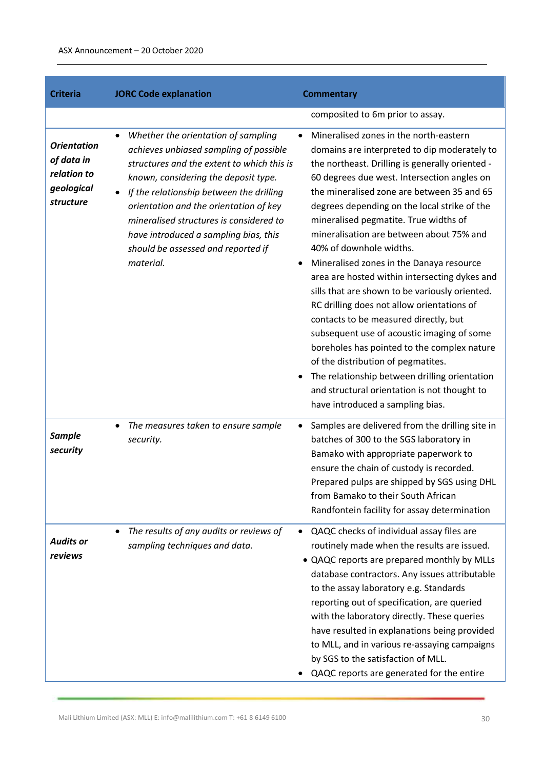| <b>Criteria</b>                                                            | <b>JORC Code explanation</b>                                                                                                                                                                                                                                                                                                                                                                                  | <b>Commentary</b>                                                                                                                                                                                                                                                                                                                                                                                                                                                                                                                                                                                                                                                                                                                                                                                                                                                                                                                                   |
|----------------------------------------------------------------------------|---------------------------------------------------------------------------------------------------------------------------------------------------------------------------------------------------------------------------------------------------------------------------------------------------------------------------------------------------------------------------------------------------------------|-----------------------------------------------------------------------------------------------------------------------------------------------------------------------------------------------------------------------------------------------------------------------------------------------------------------------------------------------------------------------------------------------------------------------------------------------------------------------------------------------------------------------------------------------------------------------------------------------------------------------------------------------------------------------------------------------------------------------------------------------------------------------------------------------------------------------------------------------------------------------------------------------------------------------------------------------------|
|                                                                            |                                                                                                                                                                                                                                                                                                                                                                                                               | composited to 6m prior to assay.                                                                                                                                                                                                                                                                                                                                                                                                                                                                                                                                                                                                                                                                                                                                                                                                                                                                                                                    |
| <b>Orientation</b><br>of data in<br>relation to<br>geological<br>structure | Whether the orientation of sampling<br>$\bullet$<br>achieves unbiased sampling of possible<br>structures and the extent to which this is<br>known, considering the deposit type.<br>If the relationship between the drilling<br>orientation and the orientation of key<br>mineralised structures is considered to<br>have introduced a sampling bias, this<br>should be assessed and reported if<br>material. | Mineralised zones in the north-eastern<br>$\bullet$<br>domains are interpreted to dip moderately to<br>the northeast. Drilling is generally oriented -<br>60 degrees due west. Intersection angles on<br>the mineralised zone are between 35 and 65<br>degrees depending on the local strike of the<br>mineralised pegmatite. True widths of<br>mineralisation are between about 75% and<br>40% of downhole widths.<br>Mineralised zones in the Danaya resource<br>$\bullet$<br>area are hosted within intersecting dykes and<br>sills that are shown to be variously oriented.<br>RC drilling does not allow orientations of<br>contacts to be measured directly, but<br>subsequent use of acoustic imaging of some<br>boreholes has pointed to the complex nature<br>of the distribution of pegmatites.<br>The relationship between drilling orientation<br>٠<br>and structural orientation is not thought to<br>have introduced a sampling bias. |
| <b>Sample</b><br>security                                                  | The measures taken to ensure sample<br>$\bullet$<br>security.                                                                                                                                                                                                                                                                                                                                                 | Samples are delivered from the drilling site in<br>$\bullet$<br>batches of 300 to the SGS laboratory in<br>Bamako with appropriate paperwork to<br>ensure the chain of custody is recorded.<br>Prepared pulps are shipped by SGS using DHL<br>from Bamako to their South African<br>Randfontein facility for assay determination                                                                                                                                                                                                                                                                                                                                                                                                                                                                                                                                                                                                                    |
| <b>Audits or</b><br>reviews                                                | The results of any audits or reviews of<br>sampling techniques and data.                                                                                                                                                                                                                                                                                                                                      | QAQC checks of individual assay files are<br>٠<br>routinely made when the results are issued.<br>• QAQC reports are prepared monthly by MLLs<br>database contractors. Any issues attributable<br>to the assay laboratory e.g. Standards<br>reporting out of specification, are queried<br>with the laboratory directly. These queries<br>have resulted in explanations being provided<br>to MLL, and in various re-assaying campaigns<br>by SGS to the satisfaction of MLL.<br>QAQC reports are generated for the entire                                                                                                                                                                                                                                                                                                                                                                                                                            |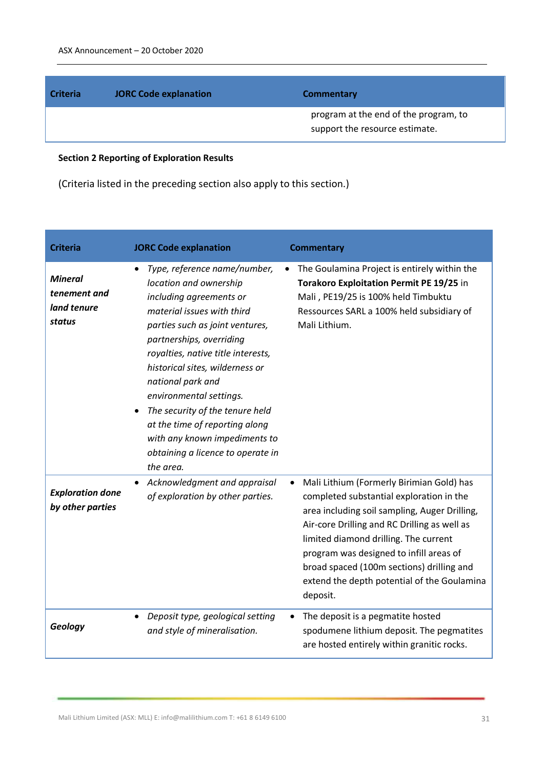| <b>Criteria</b> | <b>JORC Code explanation</b> | <b>Commentary</b>                                                       |
|-----------------|------------------------------|-------------------------------------------------------------------------|
|                 |                              | program at the end of the program, to<br>support the resource estimate. |

# **Section 2 Reporting of Exploration Results**

(Criteria listed in the preceding section also apply to this section.)

| <b>Criteria</b>                                         | <b>JORC Code explanation</b>                                                                                                                                                                                                                                                                                                                                                                                                                                                 | <b>Commentary</b>                                                                                                                                                                                                                                                                                                                                                                  |
|---------------------------------------------------------|------------------------------------------------------------------------------------------------------------------------------------------------------------------------------------------------------------------------------------------------------------------------------------------------------------------------------------------------------------------------------------------------------------------------------------------------------------------------------|------------------------------------------------------------------------------------------------------------------------------------------------------------------------------------------------------------------------------------------------------------------------------------------------------------------------------------------------------------------------------------|
| <b>Mineral</b><br>tenement and<br>land tenure<br>status | Type, reference name/number,<br>$\bullet$<br>location and ownership<br>including agreements or<br>material issues with third<br>parties such as joint ventures,<br>partnerships, overriding<br>royalties, native title interests,<br>historical sites, wilderness or<br>national park and<br>environmental settings.<br>The security of the tenure held<br>at the time of reporting along<br>with any known impediments to<br>obtaining a licence to operate in<br>the area. | The Goulamina Project is entirely within the<br>$\bullet$<br><b>Torakoro Exploitation Permit PE 19/25 in</b><br>Mali, PE19/25 is 100% held Timbuktu<br>Ressources SARL a 100% held subsidiary of<br>Mali Lithium.                                                                                                                                                                  |
| <b>Exploration done</b><br>by other parties             | Acknowledgment and appraisal<br>$\bullet$<br>of exploration by other parties.                                                                                                                                                                                                                                                                                                                                                                                                | Mali Lithium (Formerly Birimian Gold) has<br>completed substantial exploration in the<br>area including soil sampling, Auger Drilling,<br>Air-core Drilling and RC Drilling as well as<br>limited diamond drilling. The current<br>program was designed to infill areas of<br>broad spaced (100m sections) drilling and<br>extend the depth potential of the Goulamina<br>deposit. |
| Geology                                                 | Deposit type, geological setting<br>$\bullet$<br>and style of mineralisation.                                                                                                                                                                                                                                                                                                                                                                                                | The deposit is a pegmatite hosted<br>spodumene lithium deposit. The pegmatites<br>are hosted entirely within granitic rocks.                                                                                                                                                                                                                                                       |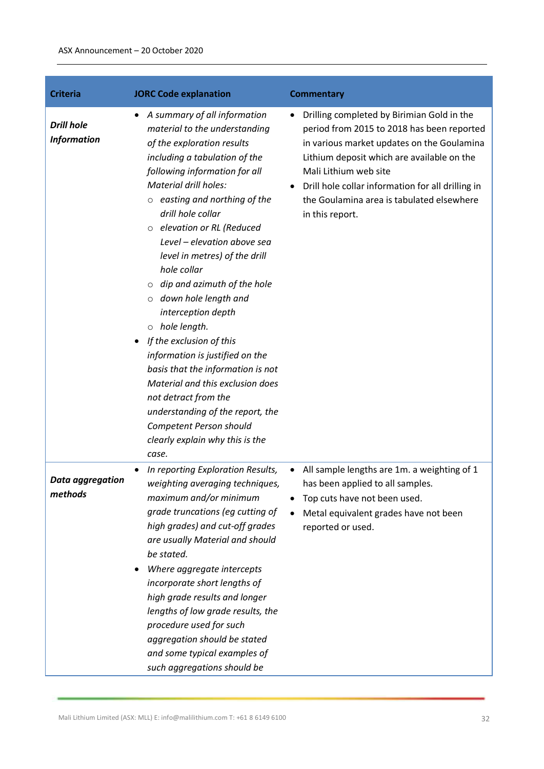| <b>Criteria</b>                         | <b>JORC Code explanation</b>                                                                                                                                                                                                                                                                                                                                                                                                                                                                                                                                                                                                                                                                                                                                                     | <b>Commentary</b>                                                                                                                                                                                                                                                                                                                       |
|-----------------------------------------|----------------------------------------------------------------------------------------------------------------------------------------------------------------------------------------------------------------------------------------------------------------------------------------------------------------------------------------------------------------------------------------------------------------------------------------------------------------------------------------------------------------------------------------------------------------------------------------------------------------------------------------------------------------------------------------------------------------------------------------------------------------------------------|-----------------------------------------------------------------------------------------------------------------------------------------------------------------------------------------------------------------------------------------------------------------------------------------------------------------------------------------|
| <b>Drill hole</b><br><b>Information</b> | A summary of all information<br>$\bullet$<br>material to the understanding<br>of the exploration results<br>including a tabulation of the<br>following information for all<br><b>Material drill holes:</b><br>$\circ$ easting and northing of the<br>drill hole collar<br>o elevation or RL (Reduced<br>Level - elevation above sea<br>level in metres) of the drill<br>hole collar<br>dip and azimuth of the hole<br>$\circ$<br>o down hole length and<br>interception depth<br>$\circ$ hole length.<br>If the exclusion of this<br>information is justified on the<br>basis that the information is not<br>Material and this exclusion does<br>not detract from the<br>understanding of the report, the<br>Competent Person should<br>clearly explain why this is the<br>case. | Drilling completed by Birimian Gold in the<br>٠<br>period from 2015 to 2018 has been reported<br>in various market updates on the Goulamina<br>Lithium deposit which are available on the<br>Mali Lithium web site<br>Drill hole collar information for all drilling in<br>the Goulamina area is tabulated elsewhere<br>in this report. |
| Data aggregation<br>methods             | In reporting Exploration Results,<br>weighting averaging techniques,<br>maximum and/or minimum<br>grade truncations (eg cutting of<br>high grades) and cut-off grades<br>are usually Material and should<br>be stated.<br>Where aggregate intercepts<br>incorporate short lengths of<br>high grade results and longer<br>lengths of low grade results, the<br>procedure used for such<br>aggregation should be stated<br>and some typical examples of<br>such aggregations should be                                                                                                                                                                                                                                                                                             | All sample lengths are 1m. a weighting of 1<br>has been applied to all samples.<br>Top cuts have not been used.<br>Metal equivalent grades have not been<br>reported or used.                                                                                                                                                           |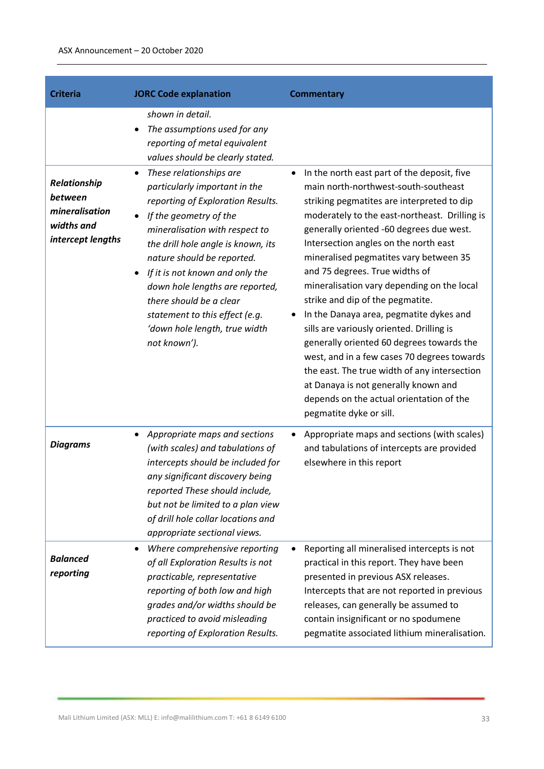| <b>Criteria</b>                                                              | <b>JORC Code explanation</b>                                                                                                                                                                                                                                                                                                                                                                                      | <b>Commentary</b>                                                                                                                                                                                                                                                                                                                                                                                                                                                                                                                                                                                                                                                                                                                                                                                     |
|------------------------------------------------------------------------------|-------------------------------------------------------------------------------------------------------------------------------------------------------------------------------------------------------------------------------------------------------------------------------------------------------------------------------------------------------------------------------------------------------------------|-------------------------------------------------------------------------------------------------------------------------------------------------------------------------------------------------------------------------------------------------------------------------------------------------------------------------------------------------------------------------------------------------------------------------------------------------------------------------------------------------------------------------------------------------------------------------------------------------------------------------------------------------------------------------------------------------------------------------------------------------------------------------------------------------------|
|                                                                              | shown in detail.<br>The assumptions used for any<br>reporting of metal equivalent<br>values should be clearly stated.                                                                                                                                                                                                                                                                                             |                                                                                                                                                                                                                                                                                                                                                                                                                                                                                                                                                                                                                                                                                                                                                                                                       |
| Relationship<br>between<br>mineralisation<br>widths and<br>intercept lengths | These relationships are<br>particularly important in the<br>reporting of Exploration Results.<br>If the geometry of the<br>mineralisation with respect to<br>the drill hole angle is known, its<br>nature should be reported.<br>If it is not known and only the<br>down hole lengths are reported,<br>there should be a clear<br>statement to this effect (e.g.<br>'down hole length, true width<br>not known'). | In the north east part of the deposit, five<br>$\bullet$<br>main north-northwest-south-southeast<br>striking pegmatites are interpreted to dip<br>moderately to the east-northeast. Drilling is<br>generally oriented -60 degrees due west.<br>Intersection angles on the north east<br>mineralised pegmatites vary between 35<br>and 75 degrees. True widths of<br>mineralisation vary depending on the local<br>strike and dip of the pegmatite.<br>In the Danaya area, pegmatite dykes and<br>sills are variously oriented. Drilling is<br>generally oriented 60 degrees towards the<br>west, and in a few cases 70 degrees towards<br>the east. The true width of any intersection<br>at Danaya is not generally known and<br>depends on the actual orientation of the<br>pegmatite dyke or sill. |
| <b>Diagrams</b>                                                              | Appropriate maps and sections<br>(with scales) and tabulations of<br>intercepts should be included for<br>any significant discovery being<br>reported These should include,<br>but not be limited to a plan view<br>of drill hole collar locations and<br>appropriate sectional views.                                                                                                                            | Appropriate maps and sections (with scales)<br>and tabulations of intercepts are provided<br>elsewhere in this report                                                                                                                                                                                                                                                                                                                                                                                                                                                                                                                                                                                                                                                                                 |
| <b>Balanced</b><br>reporting                                                 | Where comprehensive reporting<br>of all Exploration Results is not<br>practicable, representative<br>reporting of both low and high<br>grades and/or widths should be<br>practiced to avoid misleading<br>reporting of Exploration Results.                                                                                                                                                                       | Reporting all mineralised intercepts is not<br>practical in this report. They have been<br>presented in previous ASX releases.<br>Intercepts that are not reported in previous<br>releases, can generally be assumed to<br>contain insignificant or no spodumene<br>pegmatite associated lithium mineralisation.                                                                                                                                                                                                                                                                                                                                                                                                                                                                                      |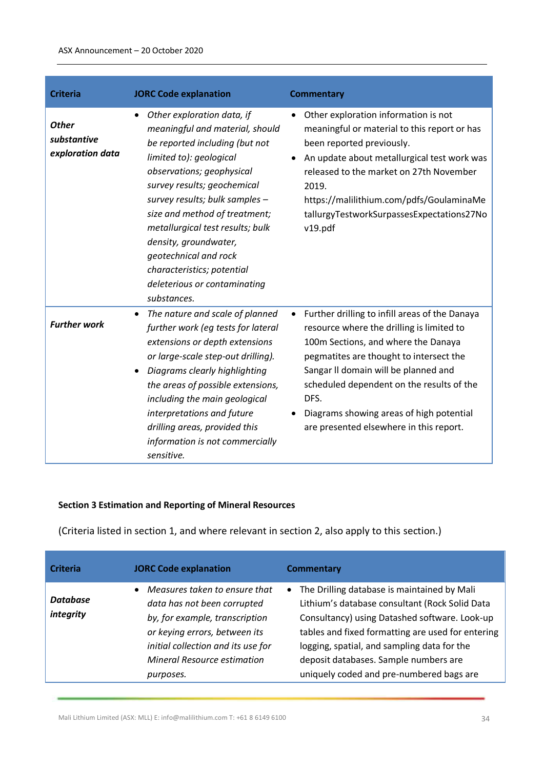| <b>Criteria</b>                                 | <b>JORC Code explanation</b>                                                                                                                                                                                                                                                                                                                                                                                                 | <b>Commentary</b>                                                                                                                                                                                                                                                                                                                                                 |
|-------------------------------------------------|------------------------------------------------------------------------------------------------------------------------------------------------------------------------------------------------------------------------------------------------------------------------------------------------------------------------------------------------------------------------------------------------------------------------------|-------------------------------------------------------------------------------------------------------------------------------------------------------------------------------------------------------------------------------------------------------------------------------------------------------------------------------------------------------------------|
| <b>Other</b><br>substantive<br>exploration data | Other exploration data, if<br>meaningful and material, should<br>be reported including (but not<br>limited to): geological<br>observations; geophysical<br>survey results; geochemical<br>survey results; bulk samples -<br>size and method of treatment;<br>metallurgical test results; bulk<br>density, groundwater,<br>geotechnical and rock<br>characteristics; potential<br>deleterious or contaminating<br>substances. | Other exploration information is not<br>meaningful or material to this report or has<br>been reported previously.<br>An update about metallurgical test work was<br>released to the market on 27th November<br>2019.<br>https://malilithium.com/pdfs/GoulaminaMe<br>tallurgyTestworkSurpassesExpectations27No<br>v19.pdf                                          |
| <b>Further work</b>                             | The nature and scale of planned<br>further work (eg tests for lateral<br>extensions or depth extensions<br>or large-scale step-out drilling).<br>Diagrams clearly highlighting<br>the areas of possible extensions,<br>including the main geological<br>interpretations and future<br>drilling areas, provided this<br>information is not commercially<br>sensitive.                                                         | Further drilling to infill areas of the Danaya<br>resource where the drilling is limited to<br>100m Sections, and where the Danaya<br>pegmatites are thought to intersect the<br>Sangar II domain will be planned and<br>scheduled dependent on the results of the<br>DFS.<br>Diagrams showing areas of high potential<br>are presented elsewhere in this report. |

### **Section 3 Estimation and Reporting of Mineral Resources**

(Criteria listed in section 1, and where relevant in section 2, also apply to this section.)

| <b>Criteria</b>       | <b>JORC Code explanation</b>                                                                                                                                                                                             | <b>Commentary</b>                                                                                                                                                                                                                                                                                                                         |
|-----------------------|--------------------------------------------------------------------------------------------------------------------------------------------------------------------------------------------------------------------------|-------------------------------------------------------------------------------------------------------------------------------------------------------------------------------------------------------------------------------------------------------------------------------------------------------------------------------------------|
| Database<br>integrity | Measures taken to ensure that<br>data has not been corrupted<br>by, for example, transcription<br>or keying errors, between its<br>initial collection and its use for<br><b>Mineral Resource estimation</b><br>purposes. | • The Drilling database is maintained by Mali<br>Lithium's database consultant (Rock Solid Data<br>Consultancy) using Datashed software. Look-up<br>tables and fixed formatting are used for entering<br>logging, spatial, and sampling data for the<br>deposit databases. Sample numbers are<br>uniquely coded and pre-numbered bags are |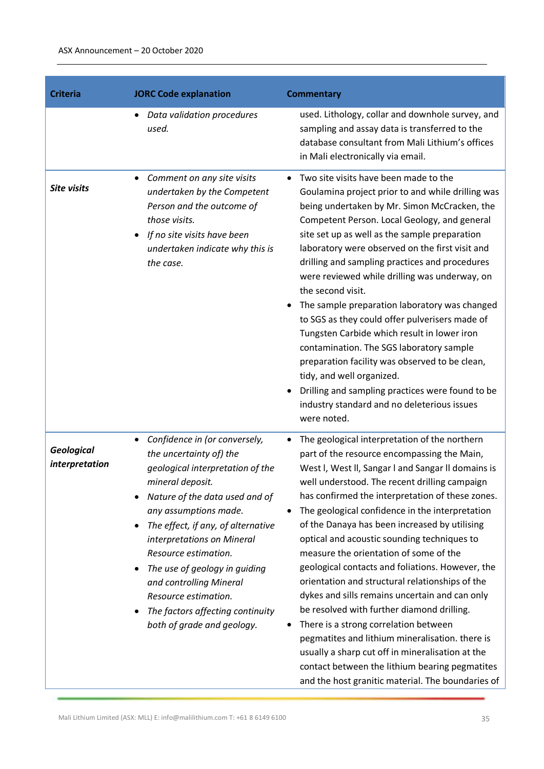| <b>Criteria</b>                     | <b>JORC Code explanation</b>                                                                                                                                                                                                                                                                                                                                                                                                                    | <b>Commentary</b>                                                                                                                                                                                                                                                                                                                                                                                                                                                                                                                                                                                                                                                                                                                                                                                                                                                                                                  |
|-------------------------------------|-------------------------------------------------------------------------------------------------------------------------------------------------------------------------------------------------------------------------------------------------------------------------------------------------------------------------------------------------------------------------------------------------------------------------------------------------|--------------------------------------------------------------------------------------------------------------------------------------------------------------------------------------------------------------------------------------------------------------------------------------------------------------------------------------------------------------------------------------------------------------------------------------------------------------------------------------------------------------------------------------------------------------------------------------------------------------------------------------------------------------------------------------------------------------------------------------------------------------------------------------------------------------------------------------------------------------------------------------------------------------------|
|                                     | Data validation procedures<br>$\bullet$<br>used.                                                                                                                                                                                                                                                                                                                                                                                                | used. Lithology, collar and downhole survey, and<br>sampling and assay data is transferred to the<br>database consultant from Mali Lithium's offices<br>in Mali electronically via email.                                                                                                                                                                                                                                                                                                                                                                                                                                                                                                                                                                                                                                                                                                                          |
| <b>Site visits</b>                  | Comment on any site visits<br>$\bullet$<br>undertaken by the Competent<br>Person and the outcome of<br>those visits.<br>If no site visits have been<br>undertaken indicate why this is<br>the case.                                                                                                                                                                                                                                             | Two site visits have been made to the<br>Goulamina project prior to and while drilling was<br>being undertaken by Mr. Simon McCracken, the<br>Competent Person. Local Geology, and general<br>site set up as well as the sample preparation<br>laboratory were observed on the first visit and<br>drilling and sampling practices and procedures<br>were reviewed while drilling was underway, on<br>the second visit.<br>The sample preparation laboratory was changed<br>to SGS as they could offer pulverisers made of<br>Tungsten Carbide which result in lower iron<br>contamination. The SGS laboratory sample<br>preparation facility was observed to be clean,<br>tidy, and well organized.<br>Drilling and sampling practices were found to be<br>industry standard and no deleterious issues<br>were noted.                                                                                              |
| <b>Geological</b><br>interpretation | Confidence in (or conversely,<br>$\bullet$<br>the uncertainty of) the<br>geological interpretation of the<br>mineral deposit.<br>Nature of the data used and of<br>any assumptions made.<br>The effect, if any, of alternative<br>٠<br>interpretations on Mineral<br>Resource estimation.<br>The use of geology in guiding<br>and controlling Mineral<br>Resource estimation.<br>The factors affecting continuity<br>both of grade and geology. | The geological interpretation of the northern<br>part of the resource encompassing the Main,<br>West I, West II, Sangar I and Sangar II domains is<br>well understood. The recent drilling campaign<br>has confirmed the interpretation of these zones.<br>The geological confidence in the interpretation<br>of the Danaya has been increased by utilising<br>optical and acoustic sounding techniques to<br>measure the orientation of some of the<br>geological contacts and foliations. However, the<br>orientation and structural relationships of the<br>dykes and sills remains uncertain and can only<br>be resolved with further diamond drilling.<br>There is a strong correlation between<br>pegmatites and lithium mineralisation. there is<br>usually a sharp cut off in mineralisation at the<br>contact between the lithium bearing pegmatites<br>and the host granitic material. The boundaries of |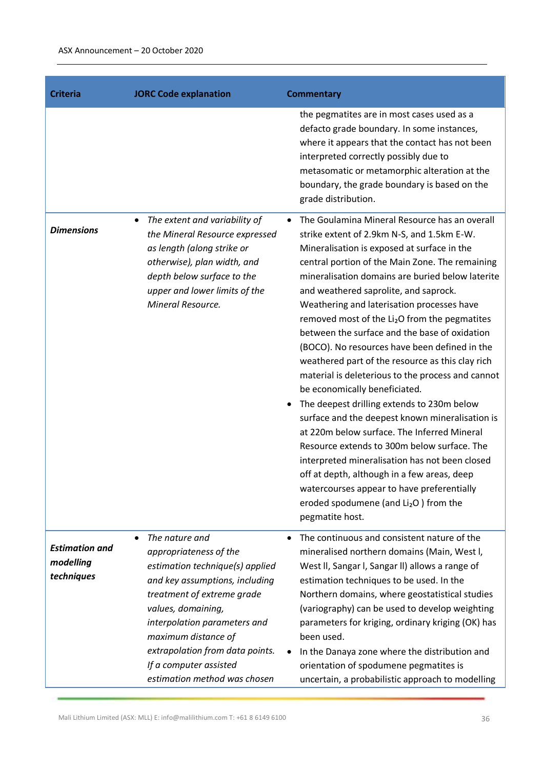| <b>Criteria</b>                                  | <b>JORC Code explanation</b>                                                                                                                                                                                                                                                                                                       | <b>Commentary</b>                                                                                                                                                                                                                                                                                                                                                                                                                                                                                                                                                                                                                                                                                                                                                                                                                                                                                                                                                                                                                                             |
|--------------------------------------------------|------------------------------------------------------------------------------------------------------------------------------------------------------------------------------------------------------------------------------------------------------------------------------------------------------------------------------------|---------------------------------------------------------------------------------------------------------------------------------------------------------------------------------------------------------------------------------------------------------------------------------------------------------------------------------------------------------------------------------------------------------------------------------------------------------------------------------------------------------------------------------------------------------------------------------------------------------------------------------------------------------------------------------------------------------------------------------------------------------------------------------------------------------------------------------------------------------------------------------------------------------------------------------------------------------------------------------------------------------------------------------------------------------------|
|                                                  |                                                                                                                                                                                                                                                                                                                                    | the pegmatites are in most cases used as a<br>defacto grade boundary. In some instances,<br>where it appears that the contact has not been<br>interpreted correctly possibly due to<br>metasomatic or metamorphic alteration at the<br>boundary, the grade boundary is based on the<br>grade distribution.                                                                                                                                                                                                                                                                                                                                                                                                                                                                                                                                                                                                                                                                                                                                                    |
| <b>Dimensions</b>                                | The extent and variability of<br>$\bullet$<br>the Mineral Resource expressed<br>as length (along strike or<br>otherwise), plan width, and<br>depth below surface to the<br>upper and lower limits of the<br>Mineral Resource.                                                                                                      | The Goulamina Mineral Resource has an overall<br>strike extent of 2.9km N-S, and 1.5km E-W.<br>Mineralisation is exposed at surface in the<br>central portion of the Main Zone. The remaining<br>mineralisation domains are buried below laterite<br>and weathered saprolite, and saprock.<br>Weathering and laterisation processes have<br>removed most of the Li <sub>2</sub> O from the pegmatites<br>between the surface and the base of oxidation<br>(BOCO). No resources have been defined in the<br>weathered part of the resource as this clay rich<br>material is deleterious to the process and cannot<br>be economically beneficiated.<br>The deepest drilling extends to 230m below<br>surface and the deepest known mineralisation is<br>at 220m below surface. The Inferred Mineral<br>Resource extends to 300m below surface. The<br>interpreted mineralisation has not been closed<br>off at depth, although in a few areas, deep<br>watercourses appear to have preferentially<br>eroded spodumene (and $Li2O$ ) from the<br>pegmatite host. |
| <b>Estimation and</b><br>modelling<br>techniques | The nature and<br>$\bullet$<br>appropriateness of the<br>estimation technique(s) applied<br>and key assumptions, including<br>treatment of extreme grade<br>values, domaining,<br>interpolation parameters and<br>maximum distance of<br>extrapolation from data points.<br>If a computer assisted<br>estimation method was chosen | The continuous and consistent nature of the<br>$\bullet$<br>mineralised northern domains (Main, West I,<br>West II, Sangar I, Sangar II) allows a range of<br>estimation techniques to be used. In the<br>Northern domains, where geostatistical studies<br>(variography) can be used to develop weighting<br>parameters for kriging, ordinary kriging (OK) has<br>been used.<br>In the Danaya zone where the distribution and<br>orientation of spodumene pegmatites is<br>uncertain, a probabilistic approach to modelling                                                                                                                                                                                                                                                                                                                                                                                                                                                                                                                                  |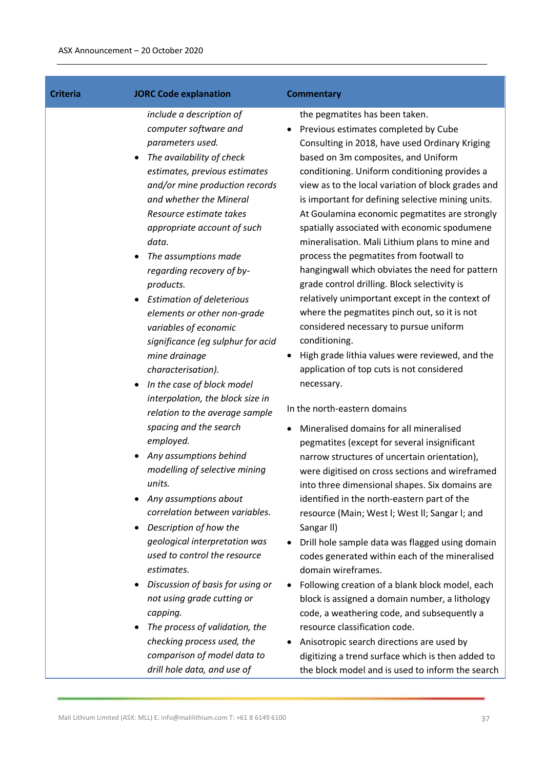| <b>Criteria</b> | <b>JORC Code explanation</b>                                                                                                                                                                                                                                                                                                                                                                                                                                                                                                                                                                                                                                                                                                                                                                                                                                                                                                          | <b>Commentary</b>                                                                                                                                                                                                                                                                                                                                                                                                                                                                                                                                                                                                                                                                                                                                                                                                                                                                                                                                                                                                                                                                                                                                                                                                                                                                                                                                                                                                                                                                     |
|-----------------|---------------------------------------------------------------------------------------------------------------------------------------------------------------------------------------------------------------------------------------------------------------------------------------------------------------------------------------------------------------------------------------------------------------------------------------------------------------------------------------------------------------------------------------------------------------------------------------------------------------------------------------------------------------------------------------------------------------------------------------------------------------------------------------------------------------------------------------------------------------------------------------------------------------------------------------|---------------------------------------------------------------------------------------------------------------------------------------------------------------------------------------------------------------------------------------------------------------------------------------------------------------------------------------------------------------------------------------------------------------------------------------------------------------------------------------------------------------------------------------------------------------------------------------------------------------------------------------------------------------------------------------------------------------------------------------------------------------------------------------------------------------------------------------------------------------------------------------------------------------------------------------------------------------------------------------------------------------------------------------------------------------------------------------------------------------------------------------------------------------------------------------------------------------------------------------------------------------------------------------------------------------------------------------------------------------------------------------------------------------------------------------------------------------------------------------|
|                 | include a description of<br>computer software and<br>parameters used.<br>The availability of check<br>estimates, previous estimates<br>and/or mine production records<br>and whether the Mineral<br>Resource estimate takes<br>appropriate account of such<br>data.<br>The assumptions made<br>regarding recovery of by-<br>products.<br><b>Estimation of deleterious</b><br>elements or other non-grade<br>variables of economic<br>significance (eg sulphur for acid<br>mine drainage<br>characterisation).<br>In the case of block model<br>interpolation, the block size in<br>relation to the average sample<br>spacing and the search<br>employed.<br>Any assumptions behind<br>modelling of selective mining<br>units.<br>Any assumptions about<br>correlation between variables.<br>Description of how the<br>geological interpretation was<br>used to control the resource<br>estimates.<br>Discussion of basis for using or | the pegmatites has been taken.<br>Previous estimates completed by Cube<br>Consulting in 2018, have used Ordinary Kriging<br>based on 3m composites, and Uniform<br>conditioning. Uniform conditioning provides a<br>view as to the local variation of block grades and<br>is important for defining selective mining units.<br>At Goulamina economic pegmatites are strongly<br>spatially associated with economic spodumene<br>mineralisation. Mali Lithium plans to mine and<br>process the pegmatites from footwall to<br>hangingwall which obviates the need for pattern<br>grade control drilling. Block selectivity is<br>relatively unimportant except in the context of<br>where the pegmatites pinch out, so it is not<br>considered necessary to pursue uniform<br>conditioning.<br>High grade lithia values were reviewed, and the<br>application of top cuts is not considered<br>necessary.<br>In the north-eastern domains<br>Mineralised domains for all mineralised<br>pegmatites (except for several insignificant<br>narrow structures of uncertain orientation),<br>were digitised on cross sections and wireframed<br>into three dimensional shapes. Six domains are<br>identified in the north-eastern part of the<br>resource (Main; West I; West II; Sangar I; and<br>Sangar II)<br>Drill hole sample data was flagged using domain<br>codes generated within each of the mineralised<br>domain wireframes.<br>Following creation of a blank block model, each |
|                 | not using grade cutting or<br>capping.<br>The process of validation, the<br>checking process used, the<br>comparison of model data to<br>drill hole data, and use of                                                                                                                                                                                                                                                                                                                                                                                                                                                                                                                                                                                                                                                                                                                                                                  | block is assigned a domain number, a lithology<br>code, a weathering code, and subsequently a<br>resource classification code.<br>Anisotropic search directions are used by<br>digitizing a trend surface which is then added to<br>the block model and is used to inform the search                                                                                                                                                                                                                                                                                                                                                                                                                                                                                                                                                                                                                                                                                                                                                                                                                                                                                                                                                                                                                                                                                                                                                                                                  |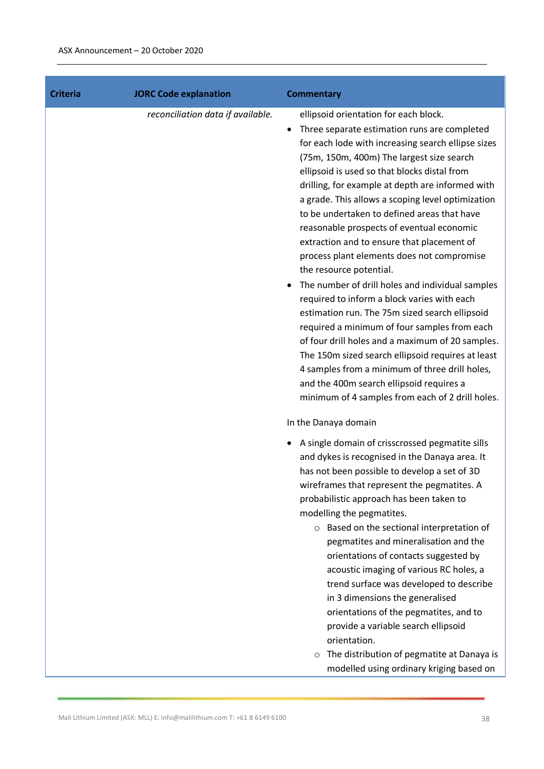| <b>Criteria</b> | <b>JORC Code explanation</b>      | <b>Commentary</b>                                                                                                                                                                                                                                                                                                                                                                                                                                                                                                                                                                                                                                                                                                                                                                                                                                                                                                                                                                                                                                              |
|-----------------|-----------------------------------|----------------------------------------------------------------------------------------------------------------------------------------------------------------------------------------------------------------------------------------------------------------------------------------------------------------------------------------------------------------------------------------------------------------------------------------------------------------------------------------------------------------------------------------------------------------------------------------------------------------------------------------------------------------------------------------------------------------------------------------------------------------------------------------------------------------------------------------------------------------------------------------------------------------------------------------------------------------------------------------------------------------------------------------------------------------|
|                 | reconciliation data if available. | ellipsoid orientation for each block.<br>Three separate estimation runs are completed<br>$\bullet$<br>for each lode with increasing search ellipse sizes<br>(75m, 150m, 400m) The largest size search<br>ellipsoid is used so that blocks distal from<br>drilling, for example at depth are informed with<br>a grade. This allows a scoping level optimization<br>to be undertaken to defined areas that have<br>reasonable prospects of eventual economic<br>extraction and to ensure that placement of<br>process plant elements does not compromise<br>the resource potential.<br>The number of drill holes and individual samples<br>$\bullet$<br>required to inform a block varies with each<br>estimation run. The 75m sized search ellipsoid<br>required a minimum of four samples from each<br>of four drill holes and a maximum of 20 samples.<br>The 150m sized search ellipsoid requires at least<br>4 samples from a minimum of three drill holes,<br>and the 400m search ellipsoid requires a<br>minimum of 4 samples from each of 2 drill holes. |
|                 |                                   | In the Danaya domain<br>A single domain of crisscrossed pegmatite sills<br>and dykes is recognised in the Danaya area. It<br>has not been possible to develop a set of 3D<br>wireframes that represent the pegmatites. A<br>probabilistic approach has been taken to<br>modelling the pegmatites.<br>o Based on the sectional interpretation of<br>pegmatites and mineralisation and the<br>orientations of contacts suggested by<br>acoustic imaging of various RC holes, a<br>trend surface was developed to describe<br>in 3 dimensions the generalised<br>orientations of the pegmatites, and to<br>provide a variable search ellipsoid<br>orientation.<br>The distribution of pegmatite at Danaya is<br>$\circ$<br>modelled using ordinary kriging based on                                                                                                                                                                                                                                                                                               |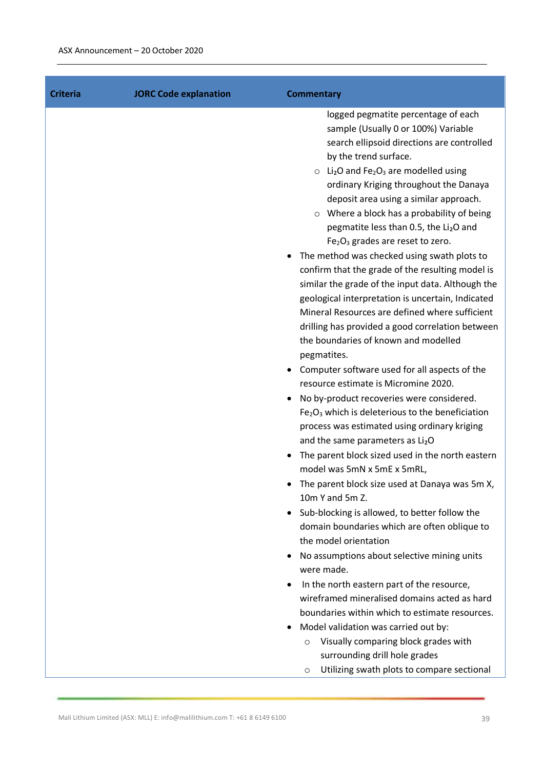| <b>JORC Code explanation</b><br><b>Criteria</b> | <b>Commentary</b>                                                                                                                                                                                                                                                                                                                                                                                                                                                                                                                                                                                                                                                                                                                                                                                                                                                                                                                                                                                                                                                                                                                                                                                                                                                                                                                                                                                                                                                                                                                                                                                                                                                                                                                                                                 |
|-------------------------------------------------|-----------------------------------------------------------------------------------------------------------------------------------------------------------------------------------------------------------------------------------------------------------------------------------------------------------------------------------------------------------------------------------------------------------------------------------------------------------------------------------------------------------------------------------------------------------------------------------------------------------------------------------------------------------------------------------------------------------------------------------------------------------------------------------------------------------------------------------------------------------------------------------------------------------------------------------------------------------------------------------------------------------------------------------------------------------------------------------------------------------------------------------------------------------------------------------------------------------------------------------------------------------------------------------------------------------------------------------------------------------------------------------------------------------------------------------------------------------------------------------------------------------------------------------------------------------------------------------------------------------------------------------------------------------------------------------------------------------------------------------------------------------------------------------|
|                                                 | logged pegmatite percentage of each<br>sample (Usually 0 or 100%) Variable<br>search ellipsoid directions are controlled<br>by the trend surface.<br>$\circ$ Li <sub>2</sub> O and Fe <sub>2</sub> O <sub>3</sub> are modelled using<br>ordinary Kriging throughout the Danaya<br>deposit area using a similar approach.<br>$\circ$ Where a block has a probability of being<br>pegmatite less than 0.5, the Li2O and<br>$Fe2O3$ grades are reset to zero.<br>The method was checked using swath plots to<br>confirm that the grade of the resulting model is<br>similar the grade of the input data. Although the<br>geological interpretation is uncertain, Indicated<br>Mineral Resources are defined where sufficient<br>drilling has provided a good correlation between<br>the boundaries of known and modelled<br>pegmatites.<br>Computer software used for all aspects of the<br>resource estimate is Micromine 2020.<br>No by-product recoveries were considered.<br>Fe <sub>2</sub> O <sub>3</sub> which is deleterious to the beneficiation<br>process was estimated using ordinary kriging<br>and the same parameters as Li <sub>2</sub> O<br>The parent block sized used in the north eastern<br>model was 5mN x 5mE x 5mRL,<br>The parent block size used at Danaya was 5m X,<br>10m Y and 5m Z.<br>Sub-blocking is allowed, to better follow the<br>domain boundaries which are often oblique to<br>the model orientation<br>No assumptions about selective mining units<br>were made.<br>In the north eastern part of the resource,<br>wireframed mineralised domains acted as hard<br>boundaries within which to estimate resources.<br>Model validation was carried out by:<br>Visually comparing block grades with<br>$\circ$<br>surrounding drill hole grades |
|                                                 | Utilizing swath plots to compare sectional<br>O                                                                                                                                                                                                                                                                                                                                                                                                                                                                                                                                                                                                                                                                                                                                                                                                                                                                                                                                                                                                                                                                                                                                                                                                                                                                                                                                                                                                                                                                                                                                                                                                                                                                                                                                   |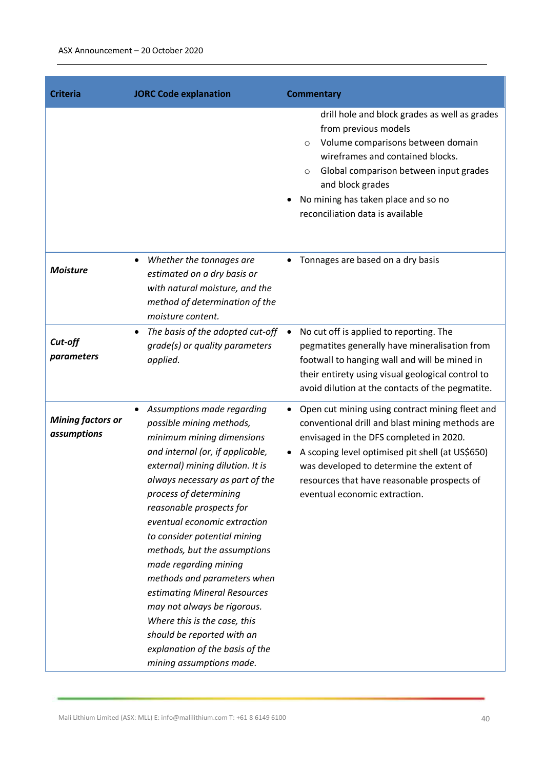| <b>Criteria</b>                         | <b>JORC Code explanation</b>                                                                                                                                                                                                                                                                                                                                                                                                                                                                                                                                                                                          | <b>Commentary</b>                                                                                                                                                                                                                                                                                                             |
|-----------------------------------------|-----------------------------------------------------------------------------------------------------------------------------------------------------------------------------------------------------------------------------------------------------------------------------------------------------------------------------------------------------------------------------------------------------------------------------------------------------------------------------------------------------------------------------------------------------------------------------------------------------------------------|-------------------------------------------------------------------------------------------------------------------------------------------------------------------------------------------------------------------------------------------------------------------------------------------------------------------------------|
|                                         |                                                                                                                                                                                                                                                                                                                                                                                                                                                                                                                                                                                                                       | drill hole and block grades as well as grades<br>from previous models<br>Volume comparisons between domain<br>$\circ$<br>wireframes and contained blocks.<br>Global comparison between input grades<br>$\circ$<br>and block grades<br>No mining has taken place and so no<br>reconciliation data is available                 |
| <b>Moisture</b>                         | Whether the tonnages are<br>$\bullet$<br>estimated on a dry basis or<br>with natural moisture, and the<br>method of determination of the<br>moisture content.                                                                                                                                                                                                                                                                                                                                                                                                                                                         | Tonnages are based on a dry basis                                                                                                                                                                                                                                                                                             |
| Cut-off<br>parameters                   | The basis of the adopted cut-off<br>$\bullet$<br>grade(s) or quality parameters<br>applied.                                                                                                                                                                                                                                                                                                                                                                                                                                                                                                                           | No cut off is applied to reporting. The<br>pegmatites generally have mineralisation from<br>footwall to hanging wall and will be mined in<br>their entirety using visual geological control to<br>avoid dilution at the contacts of the pegmatite.                                                                            |
| <b>Mining factors or</b><br>assumptions | Assumptions made regarding<br>$\bullet$<br>possible mining methods,<br>minimum mining dimensions<br>and internal (or, if applicable,<br>external) mining dilution. It is<br>always necessary as part of the<br>process of determining<br>reasonable prospects for<br>eventual economic extraction<br>to consider potential mining<br>methods, but the assumptions<br>made regarding mining<br>methods and parameters when<br>estimating Mineral Resources<br>may not always be rigorous.<br>Where this is the case, this<br>should be reported with an<br>explanation of the basis of the<br>mining assumptions made. | Open cut mining using contract mining fleet and<br>conventional drill and blast mining methods are<br>envisaged in the DFS completed in 2020.<br>A scoping level optimised pit shell (at US\$650)<br>was developed to determine the extent of<br>resources that have reasonable prospects of<br>eventual economic extraction. |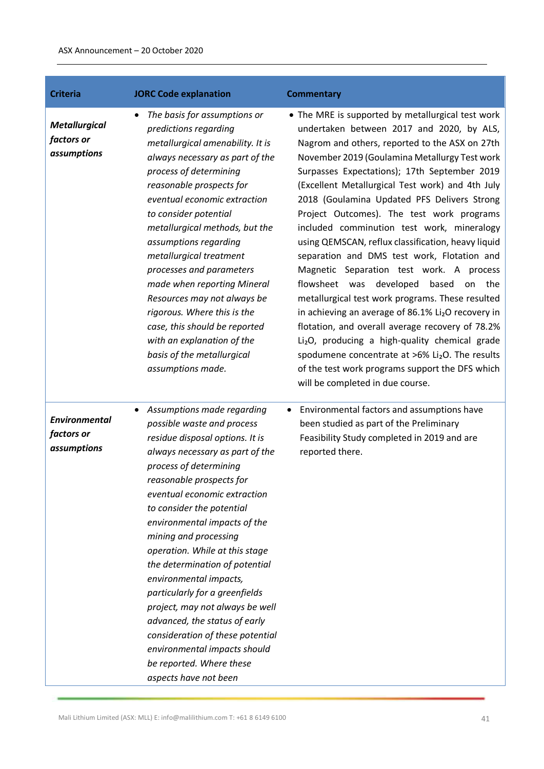| <b>Criteria</b>                                   | <b>JORC Code explanation</b>                                                                                                                                                                                                                                                                                                                                                                                                                                                                                                                                                                                                                 | <b>Commentary</b>                                                                                                                                                                                                                                                                                                                                                                                                                                                                                                                                                                                                                                                                                                                                                                                                                                                                                                                                                                                                                     |
|---------------------------------------------------|----------------------------------------------------------------------------------------------------------------------------------------------------------------------------------------------------------------------------------------------------------------------------------------------------------------------------------------------------------------------------------------------------------------------------------------------------------------------------------------------------------------------------------------------------------------------------------------------------------------------------------------------|---------------------------------------------------------------------------------------------------------------------------------------------------------------------------------------------------------------------------------------------------------------------------------------------------------------------------------------------------------------------------------------------------------------------------------------------------------------------------------------------------------------------------------------------------------------------------------------------------------------------------------------------------------------------------------------------------------------------------------------------------------------------------------------------------------------------------------------------------------------------------------------------------------------------------------------------------------------------------------------------------------------------------------------|
| <b>Metallurgical</b><br>factors or<br>assumptions | The basis for assumptions or<br>predictions regarding<br>metallurgical amenability. It is<br>always necessary as part of the<br>process of determining<br>reasonable prospects for<br>eventual economic extraction<br>to consider potential<br>metallurgical methods, but the<br>assumptions regarding<br>metallurgical treatment<br>processes and parameters<br>made when reporting Mineral<br>Resources may not always be<br>rigorous. Where this is the<br>case, this should be reported<br>with an explanation of the<br>basis of the metallurgical<br>assumptions made.                                                                 | • The MRE is supported by metallurgical test work<br>undertaken between 2017 and 2020, by ALS,<br>Nagrom and others, reported to the ASX on 27th<br>November 2019 (Goulamina Metallurgy Test work<br>Surpasses Expectations); 17th September 2019<br>(Excellent Metallurgical Test work) and 4th July<br>2018 (Goulamina Updated PFS Delivers Strong<br>Project Outcomes). The test work programs<br>included comminution test work, mineralogy<br>using QEMSCAN, reflux classification, heavy liquid<br>separation and DMS test work, Flotation and<br>Magnetic Separation test work. A process<br>developed<br>flowsheet was<br>based<br>the<br>on<br>metallurgical test work programs. These resulted<br>in achieving an average of 86.1% Li <sub>2</sub> O recovery in<br>flotation, and overall average recovery of 78.2%<br>Li <sub>2</sub> O, producing a high-quality chemical grade<br>spodumene concentrate at >6% Li2O. The results<br>of the test work programs support the DFS which<br>will be completed in due course. |
| <b>Environmental</b><br>factors or<br>assumptions | Assumptions made regarding<br>٠<br>possible waste and process<br>residue disposal options. It is<br>always necessary as part of the<br>process of determining<br>reasonable prospects for<br>eventual economic extraction<br>to consider the potential<br>environmental impacts of the<br>mining and processing<br>operation. While at this stage<br>the determination of potential<br>environmental impacts,<br>particularly for a greenfields<br>project, may not always be well<br>advanced, the status of early<br>consideration of these potential<br>environmental impacts should<br>be reported. Where these<br>aspects have not been | Environmental factors and assumptions have<br>been studied as part of the Preliminary<br>Feasibility Study completed in 2019 and are<br>reported there.                                                                                                                                                                                                                                                                                                                                                                                                                                                                                                                                                                                                                                                                                                                                                                                                                                                                               |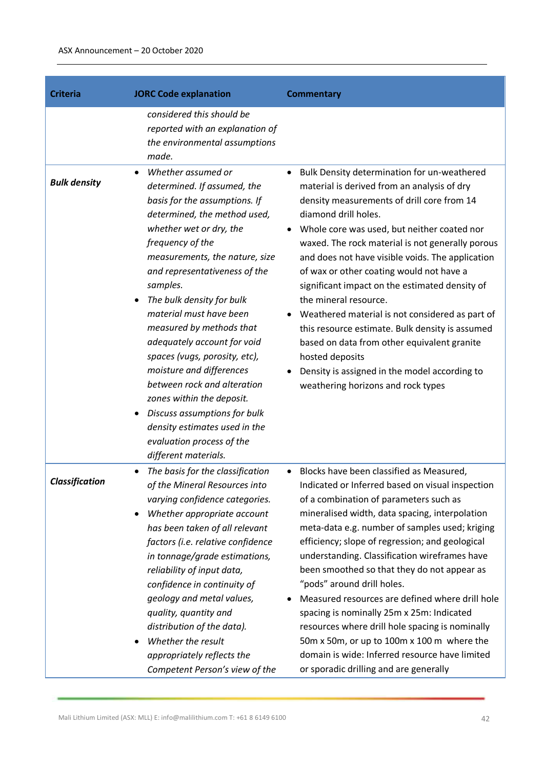| <b>Criteria</b>       | <b>JORC Code explanation</b>                                                                                                                                                                                                                                                                                                                                                                                                                                                                                                                                                                                                         | <b>Commentary</b>                                                                                                                                                                                                                                                                                                                                                                                                                                                                                                                                                                                                                                                                                                        |
|-----------------------|--------------------------------------------------------------------------------------------------------------------------------------------------------------------------------------------------------------------------------------------------------------------------------------------------------------------------------------------------------------------------------------------------------------------------------------------------------------------------------------------------------------------------------------------------------------------------------------------------------------------------------------|--------------------------------------------------------------------------------------------------------------------------------------------------------------------------------------------------------------------------------------------------------------------------------------------------------------------------------------------------------------------------------------------------------------------------------------------------------------------------------------------------------------------------------------------------------------------------------------------------------------------------------------------------------------------------------------------------------------------------|
|                       | considered this should be<br>reported with an explanation of<br>the environmental assumptions<br>made.                                                                                                                                                                                                                                                                                                                                                                                                                                                                                                                               |                                                                                                                                                                                                                                                                                                                                                                                                                                                                                                                                                                                                                                                                                                                          |
| <b>Bulk density</b>   | Whether assumed or<br>$\bullet$<br>determined. If assumed, the<br>basis for the assumptions. If<br>determined, the method used,<br>whether wet or dry, the<br>frequency of the<br>measurements, the nature, size<br>and representativeness of the<br>samples.<br>The bulk density for bulk<br>material must have been<br>measured by methods that<br>adequately account for void<br>spaces (vugs, porosity, etc),<br>moisture and differences<br>between rock and alteration<br>zones within the deposit.<br>Discuss assumptions for bulk<br>٠<br>density estimates used in the<br>evaluation process of the<br>different materials. | Bulk Density determination for un-weathered<br>material is derived from an analysis of dry<br>density measurements of drill core from 14<br>diamond drill holes.<br>Whole core was used, but neither coated nor<br>waxed. The rock material is not generally porous<br>and does not have visible voids. The application<br>of wax or other coating would not have a<br>significant impact on the estimated density of<br>the mineral resource.<br>Weathered material is not considered as part of<br>this resource estimate. Bulk density is assumed<br>based on data from other equivalent granite<br>hosted deposits<br>Density is assigned in the model according to<br>weathering horizons and rock types            |
| <b>Classification</b> | The basis for the classification<br>$\bullet$<br>of the Mineral Resources into<br>varying confidence categories.<br>Whether appropriate account<br>$\bullet$<br>has been taken of all relevant<br>factors (i.e. relative confidence<br>in tonnage/grade estimations,<br>reliability of input data,<br>confidence in continuity of<br>geology and metal values,<br>quality, quantity and<br>distribution of the data).<br>Whether the result<br>appropriately reflects the<br>Competent Person's view of the                                                                                                                          | Blocks have been classified as Measured,<br>Indicated or Inferred based on visual inspection<br>of a combination of parameters such as<br>mineralised width, data spacing, interpolation<br>meta-data e.g. number of samples used; kriging<br>efficiency; slope of regression; and geological<br>understanding. Classification wireframes have<br>been smoothed so that they do not appear as<br>"pods" around drill holes.<br>Measured resources are defined where drill hole<br>spacing is nominally 25m x 25m: Indicated<br>resources where drill hole spacing is nominally<br>50m x 50m, or up to 100m x 100 m where the<br>domain is wide: Inferred resource have limited<br>or sporadic drilling and are generally |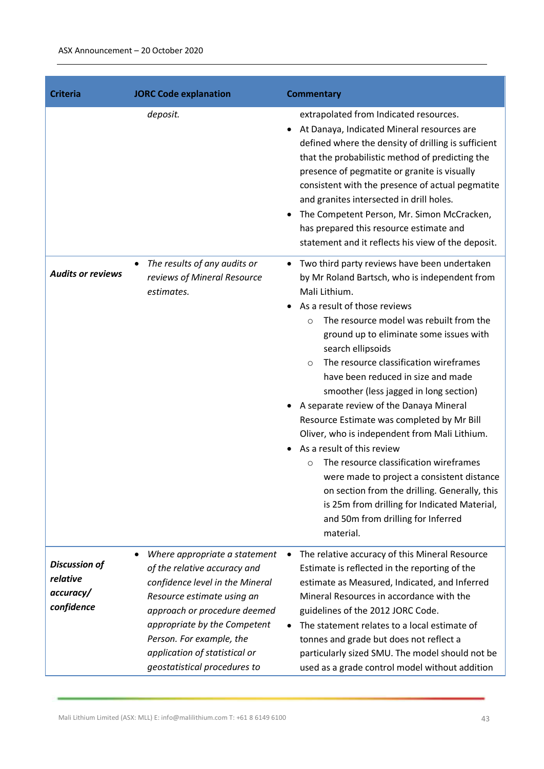| <b>Criteria</b>                                             | <b>JORC Code explanation</b>                                                                                                                                                                                                                                                                     | <b>Commentary</b>                                                                                                                                                                                                                                                                                                                                                                                                                                                                                                                                                                                                                                                                                                                                                                                                                        |
|-------------------------------------------------------------|--------------------------------------------------------------------------------------------------------------------------------------------------------------------------------------------------------------------------------------------------------------------------------------------------|------------------------------------------------------------------------------------------------------------------------------------------------------------------------------------------------------------------------------------------------------------------------------------------------------------------------------------------------------------------------------------------------------------------------------------------------------------------------------------------------------------------------------------------------------------------------------------------------------------------------------------------------------------------------------------------------------------------------------------------------------------------------------------------------------------------------------------------|
|                                                             | deposit.                                                                                                                                                                                                                                                                                         | extrapolated from Indicated resources.<br>At Danaya, Indicated Mineral resources are<br>defined where the density of drilling is sufficient<br>that the probabilistic method of predicting the<br>presence of pegmatite or granite is visually<br>consistent with the presence of actual pegmatite<br>and granites intersected in drill holes.<br>The Competent Person, Mr. Simon McCracken,<br>has prepared this resource estimate and<br>statement and it reflects his view of the deposit.                                                                                                                                                                                                                                                                                                                                            |
| <b>Audits or reviews</b>                                    | The results of any audits or<br>$\bullet$<br>reviews of Mineral Resource<br>estimates.                                                                                                                                                                                                           | Two third party reviews have been undertaken<br>by Mr Roland Bartsch, who is independent from<br>Mali Lithium.<br>As a result of those reviews<br>The resource model was rebuilt from the<br>$\circ$<br>ground up to eliminate some issues with<br>search ellipsoids<br>The resource classification wireframes<br>$\circ$<br>have been reduced in size and made<br>smoother (less jagged in long section)<br>A separate review of the Danaya Mineral<br>Resource Estimate was completed by Mr Bill<br>Oliver, who is independent from Mali Lithium.<br>As a result of this review<br>The resource classification wireframes<br>$\circ$<br>were made to project a consistent distance<br>on section from the drilling. Generally, this<br>is 25m from drilling for Indicated Material,<br>and 50m from drilling for Inferred<br>material. |
| <b>Discussion of</b><br>relative<br>accuracy/<br>confidence | Where appropriate a statement<br>٠<br>of the relative accuracy and<br>confidence level in the Mineral<br>Resource estimate using an<br>approach or procedure deemed<br>appropriate by the Competent<br>Person. For example, the<br>application of statistical or<br>geostatistical procedures to | The relative accuracy of this Mineral Resource<br>Estimate is reflected in the reporting of the<br>estimate as Measured, Indicated, and Inferred<br>Mineral Resources in accordance with the<br>guidelines of the 2012 JORC Code.<br>The statement relates to a local estimate of<br>tonnes and grade but does not reflect a<br>particularly sized SMU. The model should not be<br>used as a grade control model without addition                                                                                                                                                                                                                                                                                                                                                                                                        |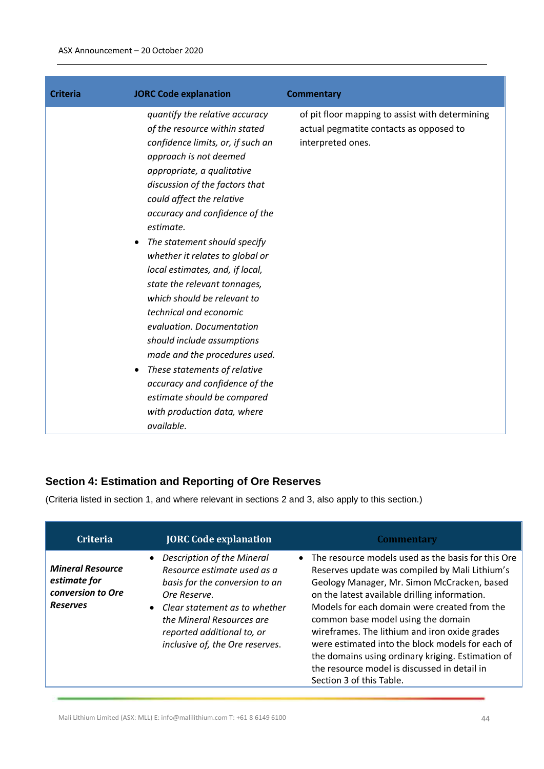| <b>Criteria</b> | <b>JORC Code explanation</b>                                                                                                                                                                                                                                                                                                                                                                                                                                                                                                                                                                                                                                                                                                     | <b>Commentary</b>                                                                                               |
|-----------------|----------------------------------------------------------------------------------------------------------------------------------------------------------------------------------------------------------------------------------------------------------------------------------------------------------------------------------------------------------------------------------------------------------------------------------------------------------------------------------------------------------------------------------------------------------------------------------------------------------------------------------------------------------------------------------------------------------------------------------|-----------------------------------------------------------------------------------------------------------------|
|                 | quantify the relative accuracy<br>of the resource within stated<br>confidence limits, or, if such an<br>approach is not deemed<br>appropriate, a qualitative<br>discussion of the factors that<br>could affect the relative<br>accuracy and confidence of the<br>estimate.<br>The statement should specify<br>$\bullet$<br>whether it relates to global or<br>local estimates, and, if local,<br>state the relevant tonnages,<br>which should be relevant to<br>technical and economic<br>evaluation. Documentation<br>should include assumptions<br>made and the procedures used.<br>These statements of relative<br>accuracy and confidence of the<br>estimate should be compared<br>with production data, where<br>available. | of pit floor mapping to assist with determining<br>actual pegmatite contacts as opposed to<br>interpreted ones. |

# **Section 4: Estimation and Reporting of Ore Reserves**

(Criteria listed in section 1, and where relevant in sections 2 and 3, also apply to this section.)

| <b>Criteria</b>                                                                 | <b>JORC Code explanation</b>                                                                                                                                                                                                                        | <b>Commentary</b>                                                                                                                                                                                                                                                                                                                                                                                                                                                                                                                  |
|---------------------------------------------------------------------------------|-----------------------------------------------------------------------------------------------------------------------------------------------------------------------------------------------------------------------------------------------------|------------------------------------------------------------------------------------------------------------------------------------------------------------------------------------------------------------------------------------------------------------------------------------------------------------------------------------------------------------------------------------------------------------------------------------------------------------------------------------------------------------------------------------|
| <b>Mineral Resource</b><br>estimate for<br>conversion to Ore<br><b>Reserves</b> | <b>Description of the Mineral</b><br>Resource estimate used as a<br>basis for the conversion to an<br>Ore Reserve.<br>• Clear statement as to whether<br>the Mineral Resources are<br>reported additional to, or<br>inclusive of, the Ore reserves. | • The resource models used as the basis for this Ore<br>Reserves update was compiled by Mali Lithium's<br>Geology Manager, Mr. Simon McCracken, based<br>on the latest available drilling information.<br>Models for each domain were created from the<br>common base model using the domain<br>wireframes. The lithium and iron oxide grades<br>were estimated into the block models for each of<br>the domains using ordinary kriging. Estimation of<br>the resource model is discussed in detail in<br>Section 3 of this Table. |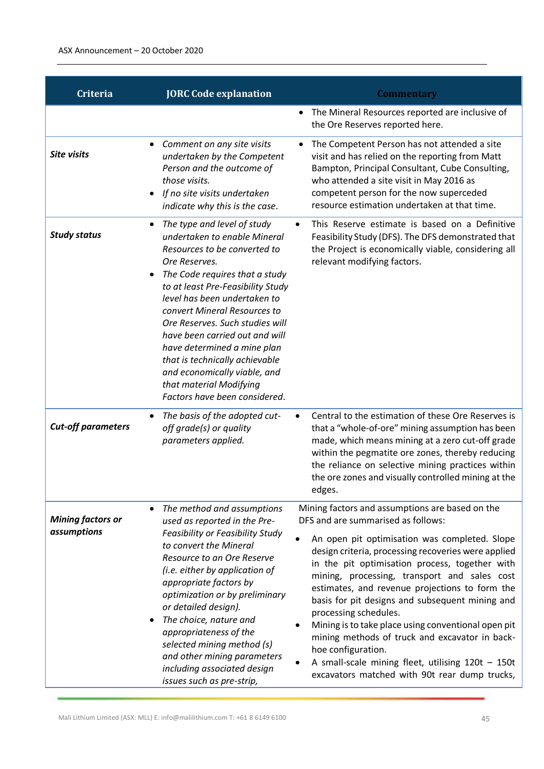| Criteria                  | <b>JORC Code explanation</b>                                                                                                                                                                                                                                                                                                                                                                                                                                                                            | <b>Commentary</b>                                                                                                                                                                                                                                                                                                                                                                                                                                                                                                                                                                                     |
|---------------------------|---------------------------------------------------------------------------------------------------------------------------------------------------------------------------------------------------------------------------------------------------------------------------------------------------------------------------------------------------------------------------------------------------------------------------------------------------------------------------------------------------------|-------------------------------------------------------------------------------------------------------------------------------------------------------------------------------------------------------------------------------------------------------------------------------------------------------------------------------------------------------------------------------------------------------------------------------------------------------------------------------------------------------------------------------------------------------------------------------------------------------|
|                           |                                                                                                                                                                                                                                                                                                                                                                                                                                                                                                         | The Mineral Resources reported are inclusive of<br>the Ore Reserves reported here.                                                                                                                                                                                                                                                                                                                                                                                                                                                                                                                    |
| <b>Site visits</b>        | Comment on any site visits<br>٠<br>undertaken by the Competent<br>Person and the outcome of<br>those visits.<br>If no site visits undertaken<br>indicate why this is the case.                                                                                                                                                                                                                                                                                                                          | The Competent Person has not attended a site<br>$\bullet$<br>visit and has relied on the reporting from Matt<br>Bampton, Principal Consultant, Cube Consulting,<br>who attended a site visit in May 2016 as<br>competent person for the now superceded<br>resource estimation undertaken at that time.                                                                                                                                                                                                                                                                                                |
| <b>Study status</b>       | The type and level of study<br>٠<br>undertaken to enable Mineral<br>Resources to be converted to<br>Ore Reserves.<br>The Code requires that a study<br>$\bullet$<br>to at least Pre-Feasibility Study<br>level has been undertaken to<br>convert Mineral Resources to<br>Ore Reserves. Such studies will<br>have been carried out and will<br>have determined a mine plan<br>that is technically achievable<br>and economically viable, and<br>that material Modifying<br>Factors have been considered. | This Reserve estimate is based on a Definitive<br>$\bullet$<br>Feasibility Study (DFS). The DFS demonstrated that<br>the Project is economically viable, considering all<br>relevant modifying factors.                                                                                                                                                                                                                                                                                                                                                                                               |
| <b>Cut-off parameters</b> | The basis of the adopted cut-<br>$\bullet$<br>off grade(s) or quality<br>parameters applied.                                                                                                                                                                                                                                                                                                                                                                                                            | Central to the estimation of these Ore Reserves is<br>$\bullet$<br>that a "whole-of-ore" mining assumption has been<br>made, which means mining at a zero cut-off grade<br>within the pegmatite ore zones, thereby reducing<br>the reliance on selective mining practices within<br>the ore zones and visually controlled mining at the<br>edges.                                                                                                                                                                                                                                                     |
| <b>Mining factors or</b>  | The method and assumptions<br>$\bullet$<br>used as reported in the Pre-                                                                                                                                                                                                                                                                                                                                                                                                                                 | Mining factors and assumptions are based on the<br>DFS and are summarised as follows:                                                                                                                                                                                                                                                                                                                                                                                                                                                                                                                 |
| assumptions               | Feasibility or Feasibility Study<br>to convert the Mineral<br>Resource to an Ore Reserve<br>(i.e. either by application of<br>appropriate factors by<br>optimization or by preliminary<br>or detailed design).<br>The choice, nature and<br>٠<br>appropriateness of the<br>selected mining method (s)<br>and other mining parameters<br>including associated design<br>issues such as pre-strip,                                                                                                        | An open pit optimisation was completed. Slope<br>$\bullet$<br>design criteria, processing recoveries were applied<br>in the pit optimisation process, together with<br>mining, processing, transport and sales cost<br>estimates, and revenue projections to form the<br>basis for pit designs and subsequent mining and<br>processing schedules.<br>Mining is to take place using conventional open pit<br>$\bullet$<br>mining methods of truck and excavator in back-<br>hoe configuration.<br>A small-scale mining fleet, utilising $120t - 150t$<br>excavators matched with 90t rear dump trucks, |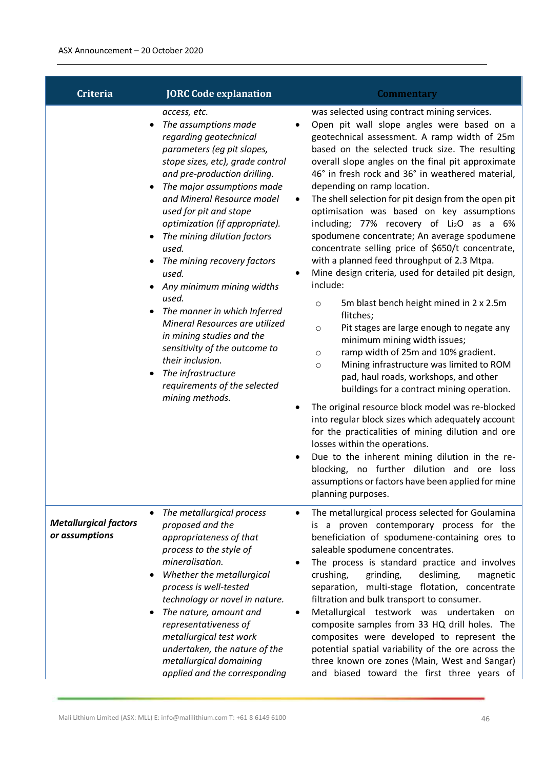| <b>Criteria</b>                                | <b>JORC Code explanation</b>                                                                                                                                                                                                                                                                                                                                                                                                                                                                                                                                                                                                                                       | <b>Commentary</b>                                                                                                                                                                                                                                                                                                                                                                                                                                                                                                                                                                                                                                                                                                                                                                                                                                                                                                                                                                                                                                                                                                                                                                                                                                                                                                                                                                                                                 |
|------------------------------------------------|--------------------------------------------------------------------------------------------------------------------------------------------------------------------------------------------------------------------------------------------------------------------------------------------------------------------------------------------------------------------------------------------------------------------------------------------------------------------------------------------------------------------------------------------------------------------------------------------------------------------------------------------------------------------|-----------------------------------------------------------------------------------------------------------------------------------------------------------------------------------------------------------------------------------------------------------------------------------------------------------------------------------------------------------------------------------------------------------------------------------------------------------------------------------------------------------------------------------------------------------------------------------------------------------------------------------------------------------------------------------------------------------------------------------------------------------------------------------------------------------------------------------------------------------------------------------------------------------------------------------------------------------------------------------------------------------------------------------------------------------------------------------------------------------------------------------------------------------------------------------------------------------------------------------------------------------------------------------------------------------------------------------------------------------------------------------------------------------------------------------|
|                                                | access, etc.<br>The assumptions made<br>regarding geotechnical<br>parameters (eg pit slopes,<br>stope sizes, etc), grade control<br>and pre-production drilling.<br>The major assumptions made<br>and Mineral Resource model<br>used for pit and stope<br>optimization (if appropriate).<br>The mining dilution factors<br>used.<br>The mining recovery factors<br>$\bullet$<br>used.<br>Any minimum mining widths<br>used.<br>The manner in which Inferred<br>٠<br>Mineral Resources are utilized<br>in mining studies and the<br>sensitivity of the outcome to<br>their inclusion.<br>The infrastructure<br>٠<br>requirements of the selected<br>mining methods. | was selected using contract mining services.<br>Open pit wall slope angles were based on a<br>geotechnical assessment. A ramp width of 25m<br>based on the selected truck size. The resulting<br>overall slope angles on the final pit approximate<br>46° in fresh rock and 36° in weathered material,<br>depending on ramp location.<br>The shell selection for pit design from the open pit<br>optimisation was based on key assumptions<br>including; 77% recovery of $Li2O$ as a 6%<br>spodumene concentrate; An average spodumene<br>concentrate selling price of \$650/t concentrate,<br>with a planned feed throughput of 2.3 Mtpa.<br>Mine design criteria, used for detailed pit design,<br>٠<br>include:<br>5m blast bench height mined in 2 x 2.5m<br>$\circ$<br>flitches;<br>Pit stages are large enough to negate any<br>$\circ$<br>minimum mining width issues;<br>ramp width of 25m and 10% gradient.<br>$\circ$<br>Mining infrastructure was limited to ROM<br>$\circ$<br>pad, haul roads, workshops, and other<br>buildings for a contract mining operation.<br>The original resource block model was re-blocked<br>into regular block sizes which adequately account<br>for the practicalities of mining dilution and ore<br>losses within the operations.<br>Due to the inherent mining dilution in the re-<br>blocking, no further dilution and ore loss<br>assumptions or factors have been applied for mine |
| <b>Metallurgical factors</b><br>or assumptions | The metallurgical process<br>proposed and the<br>appropriateness of that<br>process to the style of<br>mineralisation.<br>Whether the metallurgical<br>٠<br>process is well-tested<br>technology or novel in nature.<br>The nature, amount and<br>representativeness of<br>metallurgical test work<br>undertaken, the nature of the<br>metallurgical domaining<br>applied and the corresponding                                                                                                                                                                                                                                                                    | planning purposes.<br>The metallurgical process selected for Goulamina<br>is a proven contemporary process for the<br>beneficiation of spodumene-containing ores to<br>saleable spodumene concentrates.<br>The process is standard practice and involves<br>crushing,<br>grinding,<br>desliming,<br>magnetic<br>separation, multi-stage flotation, concentrate<br>filtration and bulk transport to consumer.<br>Metallurgical testwork was undertaken<br>on<br>composite samples from 33 HQ drill holes. The<br>composites were developed to represent the<br>potential spatial variability of the ore across the<br>three known ore zones (Main, West and Sangar)<br>and biased toward the first three years of                                                                                                                                                                                                                                                                                                                                                                                                                                                                                                                                                                                                                                                                                                                  |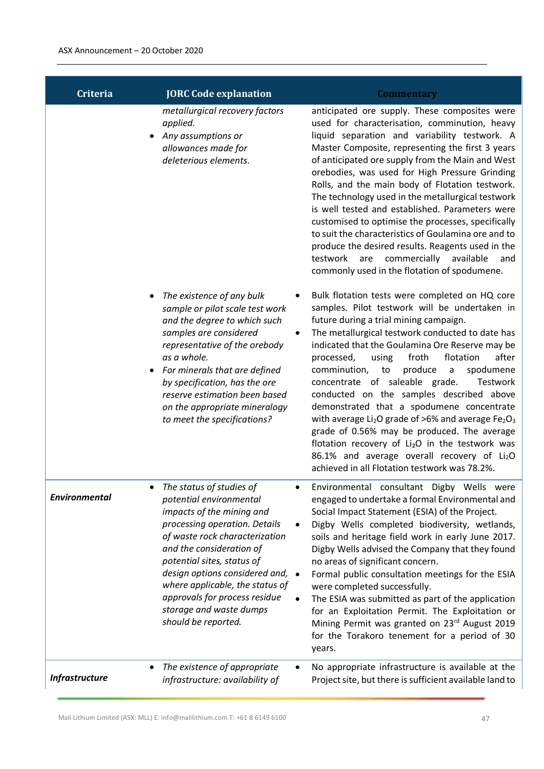| <b>Criteria</b>            | <b>JORC Code explanation</b>                                                                                                                                                                                                                                                                                                                                                       | <b>Commentary</b>                                                                                                                                                                                                                                                                                                                                                                                                                                                                                                                                                                                                                                                                                                                                                                                                    |
|----------------------------|------------------------------------------------------------------------------------------------------------------------------------------------------------------------------------------------------------------------------------------------------------------------------------------------------------------------------------------------------------------------------------|----------------------------------------------------------------------------------------------------------------------------------------------------------------------------------------------------------------------------------------------------------------------------------------------------------------------------------------------------------------------------------------------------------------------------------------------------------------------------------------------------------------------------------------------------------------------------------------------------------------------------------------------------------------------------------------------------------------------------------------------------------------------------------------------------------------------|
| ٠                          | metallurgical recovery factors<br>applied.<br>Any assumptions or<br>allowances made for<br>deleterious elements.                                                                                                                                                                                                                                                                   | anticipated ore supply. These composites were<br>used for characterisation, comminution, heavy<br>liquid separation and variability testwork. A<br>Master Composite, representing the first 3 years<br>of anticipated ore supply from the Main and West<br>orebodies, was used for High Pressure Grinding<br>Rolls, and the main body of Flotation testwork.<br>The technology used in the metallurgical testwork<br>is well tested and established. Parameters were<br>customised to optimise the processes, specifically<br>to suit the characteristics of Goulamina ore and to<br>produce the desired results. Reagents used in the<br>testwork are commercially available<br>and<br>commonly used in the flotation of spodumene.                                                                                 |
| ٠<br>$\bullet$             | The existence of any bulk<br>sample or pilot scale test work<br>and the degree to which such<br>samples are considered<br>representative of the orebody<br>as a whole.<br>For minerals that are defined<br>by specification, has the ore<br>reserve estimation been based<br>on the appropriate mineralogy<br>to meet the specifications?                                          | Bulk flotation tests were completed on HQ core<br>samples. Pilot testwork will be undertaken in<br>future during a trial mining campaign.<br>The metallurgical testwork conducted to date has<br>indicated that the Goulamina Ore Reserve may be<br>after<br>froth<br>flotation<br>processed,<br>using<br>produce<br>comminution,<br>spodumene<br>to<br>$\mathsf{a}$<br>concentrate of saleable grade.<br>Testwork<br>conducted on the samples described above<br>demonstrated that a spodumene concentrate<br>with average $Li2O$ grade of >6% and average Fe <sub>2</sub> O <sub>3</sub><br>grade of 0.56% may be produced. The average<br>flotation recovery of Li <sub>2</sub> O in the testwork was<br>86.1% and average overall recovery of Li <sub>2</sub> O<br>achieved in all Flotation testwork was 78.2%. |
| <b>Environmental</b>       | The status of studies of<br>potential environmental<br>impacts of the mining and<br>processing operation. Details<br>of waste rock characterization<br>and the consideration of<br>potential sites, status of<br>design options considered and,<br>$\bullet$<br>where applicable, the status of<br>approvals for process residue<br>storage and waste dumps<br>should be reported. | Environmental consultant Digby Wells were<br>engaged to undertake a formal Environmental and<br>Social Impact Statement (ESIA) of the Project.<br>Digby Wells completed biodiversity, wetlands,<br>soils and heritage field work in early June 2017.<br>Digby Wells advised the Company that they found<br>no areas of significant concern.<br>Formal public consultation meetings for the ESIA<br>were completed successfully.<br>The ESIA was submitted as part of the application<br>for an Exploitation Permit. The Exploitation or<br>Mining Permit was granted on 23rd August 2019<br>for the Torakoro tenement for a period of 30<br>years.                                                                                                                                                                   |
| ٠<br><b>Infrastructure</b> | The existence of appropriate<br>infrastructure: availability of                                                                                                                                                                                                                                                                                                                    | No appropriate infrastructure is available at the<br>Project site, but there is sufficient available land to                                                                                                                                                                                                                                                                                                                                                                                                                                                                                                                                                                                                                                                                                                         |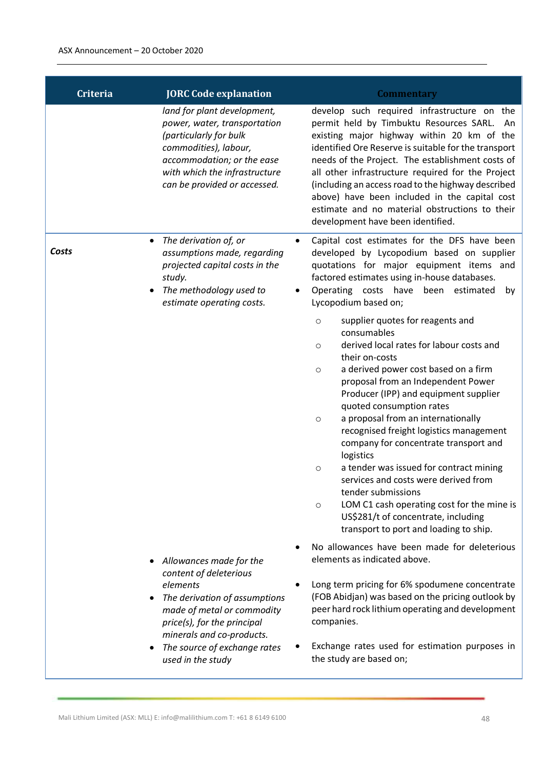| <b>Criteria</b>         | <b>JORC Code explanation</b>                                                                                                                                                                                             | <b>Commentary</b>                                                                                                                                                                                                                                                                                                                                                                                                                                                                                                                                                                                                                                                                                                 |
|-------------------------|--------------------------------------------------------------------------------------------------------------------------------------------------------------------------------------------------------------------------|-------------------------------------------------------------------------------------------------------------------------------------------------------------------------------------------------------------------------------------------------------------------------------------------------------------------------------------------------------------------------------------------------------------------------------------------------------------------------------------------------------------------------------------------------------------------------------------------------------------------------------------------------------------------------------------------------------------------|
|                         | land for plant development,<br>power, water, transportation<br>(particularly for bulk<br>commodities), labour,<br>accommodation; or the ease<br>with which the infrastructure<br>can be provided or accessed.            | develop such required infrastructure on the<br>permit held by Timbuktu Resources SARL. An<br>existing major highway within 20 km of the<br>identified Ore Reserve is suitable for the transport<br>needs of the Project. The establishment costs of<br>all other infrastructure required for the Project<br>(including an access road to the highway described<br>above) have been included in the capital cost<br>estimate and no material obstructions to their<br>development have been identified.                                                                                                                                                                                                            |
| ٠<br>Costs<br>$\bullet$ | The derivation of, or<br>assumptions made, regarding<br>projected capital costs in the<br>study.<br>The methodology used to<br>estimate operating costs.                                                                 | Capital cost estimates for the DFS have been<br>developed by Lycopodium based on supplier<br>quotations for major equipment items and<br>factored estimates using in-house databases.<br>Operating costs have<br>been estimated<br>by<br>Lycopodium based on;                                                                                                                                                                                                                                                                                                                                                                                                                                                     |
|                         |                                                                                                                                                                                                                          | supplier quotes for reagents and<br>$\circ$<br>consumables<br>derived local rates for labour costs and<br>$\circ$<br>their on-costs<br>a derived power cost based on a firm<br>$\circ$<br>proposal from an Independent Power<br>Producer (IPP) and equipment supplier<br>quoted consumption rates<br>a proposal from an internationally<br>$\circ$<br>recognised freight logistics management<br>company for concentrate transport and<br>logistics<br>a tender was issued for contract mining<br>$\circ$<br>services and costs were derived from<br>tender submissions<br>LOM C1 cash operating cost for the mine is<br>$\circ$<br>US\$281/t of concentrate, including<br>transport to port and loading to ship. |
| ٠<br>٠                  | Allowances made for the<br>content of deleterious<br>elements<br>The derivation of assumptions<br>made of metal or commodity<br>price(s), for the principal<br>minerals and co-products.<br>The source of exchange rates | No allowances have been made for deleterious<br>elements as indicated above.<br>Long term pricing for 6% spodumene concentrate<br>(FOB Abidjan) was based on the pricing outlook by<br>peer hard rock lithium operating and development<br>companies.<br>Exchange rates used for estimation purposes in                                                                                                                                                                                                                                                                                                                                                                                                           |
|                         | used in the study                                                                                                                                                                                                        | the study are based on;                                                                                                                                                                                                                                                                                                                                                                                                                                                                                                                                                                                                                                                                                           |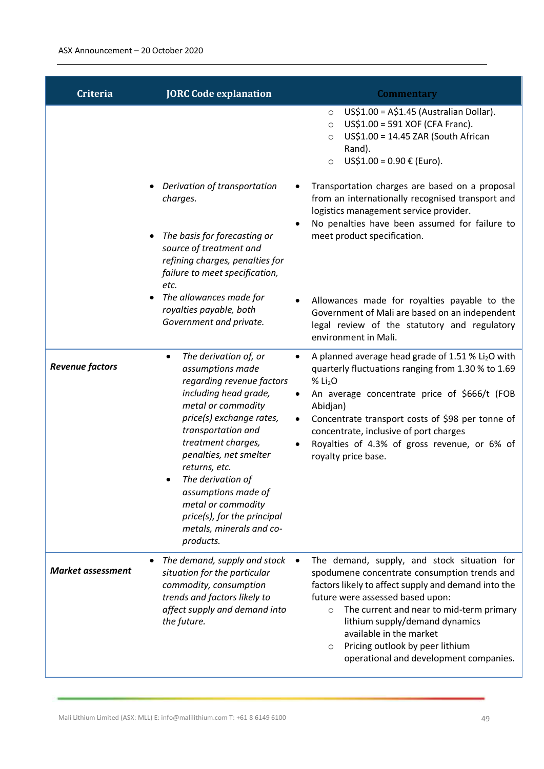| <b>Criteria</b>          | <b>JORC Code explanation</b>                                                                                                                                                                                                                                                                                                                                                                         | <b>Commentary</b>                                                                                                                                                                                                                                                                                                                                                                            |
|--------------------------|------------------------------------------------------------------------------------------------------------------------------------------------------------------------------------------------------------------------------------------------------------------------------------------------------------------------------------------------------------------------------------------------------|----------------------------------------------------------------------------------------------------------------------------------------------------------------------------------------------------------------------------------------------------------------------------------------------------------------------------------------------------------------------------------------------|
|                          |                                                                                                                                                                                                                                                                                                                                                                                                      | US\$1.00 = A\$1.45 (Australian Dollar).<br>$\circ$<br>US\$1.00 = 591 XOF (CFA Franc).<br>$\circ$<br>US\$1.00 = 14.45 ZAR (South African<br>$\circ$<br>Rand).<br>US\$1.00 = $0.90 \in$ (Euro).<br>$\circ$                                                                                                                                                                                     |
|                          | Derivation of transportation<br>charges.<br>The basis for forecasting or<br>source of treatment and<br>refining charges, penalties for<br>failure to meet specification,<br>etc.                                                                                                                                                                                                                     | Transportation charges are based on a proposal<br>from an internationally recognised transport and<br>logistics management service provider.<br>No penalties have been assumed for failure to<br>$\bullet$<br>meet product specification.                                                                                                                                                    |
|                          | The allowances made for<br>royalties payable, both<br>Government and private.                                                                                                                                                                                                                                                                                                                        | Allowances made for royalties payable to the<br>Government of Mali are based on an independent<br>legal review of the statutory and regulatory<br>environment in Mali.                                                                                                                                                                                                                       |
| <b>Revenue factors</b>   | The derivation of, or<br>$\bullet$<br>assumptions made<br>regarding revenue factors<br>including head grade,<br>metal or commodity<br>price(s) exchange rates,<br>transportation and<br>treatment charges,<br>penalties, net smelter<br>returns, etc.<br>The derivation of<br>٠<br>assumptions made of<br>metal or commodity<br>price(s), for the principal<br>metals, minerals and co-<br>products. | A planned average head grade of 1.51 % Li <sub>2</sub> O with<br>quarterly fluctuations ranging from 1.30 % to 1.69<br>% Li <sub>2</sub> O<br>An average concentrate price of \$666/t (FOB<br>Abidjan)<br>Concentrate transport costs of \$98 per tonne of<br>concentrate, inclusive of port charges<br>Royalties of 4.3% of gross revenue, or 6% of<br>royalty price base.                  |
| <b>Market assessment</b> | The demand, supply and stock<br>situation for the particular<br>commodity, consumption<br>trends and factors likely to<br>affect supply and demand into<br>the future.                                                                                                                                                                                                                               | The demand, supply, and stock situation for<br>spodumene concentrate consumption trends and<br>factors likely to affect supply and demand into the<br>future were assessed based upon:<br>The current and near to mid-term primary<br>$\circ$<br>lithium supply/demand dynamics<br>available in the market<br>Pricing outlook by peer lithium<br>O<br>operational and development companies. |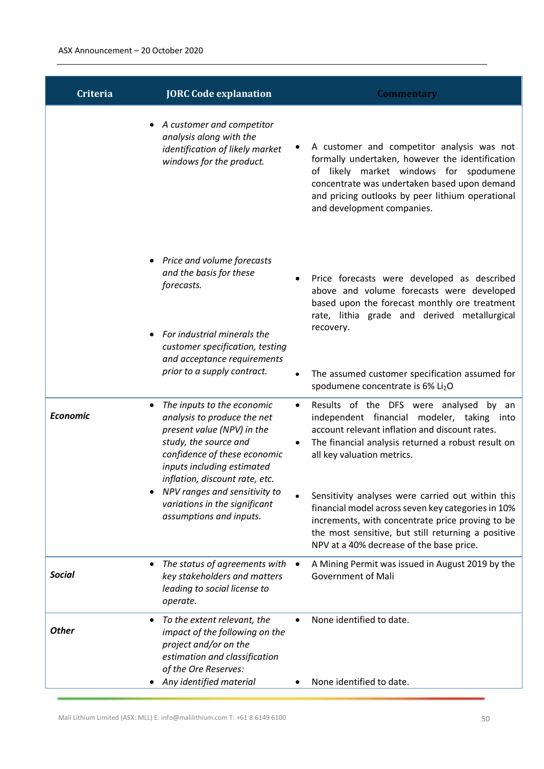| <b>Criteria</b>   | <b>JORC Code explanation</b>                                                                                                                                                                                                                                                                                  | <b>Commentary</b>                                                                                                                                                                                                                                                         |
|-------------------|---------------------------------------------------------------------------------------------------------------------------------------------------------------------------------------------------------------------------------------------------------------------------------------------------------------|---------------------------------------------------------------------------------------------------------------------------------------------------------------------------------------------------------------------------------------------------------------------------|
|                   | A customer and competitor<br>analysis along with the<br>identification of likely market<br>windows for the product.                                                                                                                                                                                           | A customer and competitor analysis was not<br>formally undertaken, however the identification<br>of likely market windows for spodumene<br>concentrate was undertaken based upon demand<br>and pricing outlooks by peer lithium operational<br>and development companies. |
|                   | Price and volume forecasts<br>and the basis for these<br>forecasts.<br>For industrial minerals the<br>customer specification, testing                                                                                                                                                                         | Price forecasts were developed as described<br>$\bullet$<br>above and volume forecasts were developed<br>based upon the forecast monthly ore treatment<br>rate, lithia grade and derived metallurgical<br>recovery.                                                       |
|                   | and acceptance requirements<br>prior to a supply contract.                                                                                                                                                                                                                                                    | The assumed customer specification assumed for<br>$\bullet$<br>spodumene concentrate is 6% Li <sub>2</sub> O                                                                                                                                                              |
| <b>Economic</b>   | The inputs to the economic<br>analysis to produce the net<br>present value (NPV) in the<br>study, the source and<br>confidence of these economic<br>inputs including estimated<br>inflation, discount rate, etc.<br>NPV ranges and sensitivity to<br>variations in the significant<br>assumptions and inputs. | Results of the DFS were analysed by<br>$\bullet$<br>an<br>independent financial modeler, taking into<br>account relevant inflation and discount rates.<br>The financial analysis returned a robust result on<br>all key valuation metrics.                                |
|                   |                                                                                                                                                                                                                                                                                                               | Sensitivity analyses were carried out within this<br>financial model across seven key categories in 10%<br>increments, with concentrate price proving to be<br>the most sensitive, but still returning a positive<br>NPV at a 40% decrease of the base price.             |
| <b>Social</b>     | The status of agreements with<br>key stakeholders and matters<br>leading to social license to<br>operate.                                                                                                                                                                                                     | A Mining Permit was issued in August 2019 by the<br>$\bullet$<br><b>Government of Mali</b>                                                                                                                                                                                |
| ٠<br><b>Other</b> | To the extent relevant, the<br>impact of the following on the<br>project and/or on the<br>estimation and classification<br>of the Ore Reserves:                                                                                                                                                               | None identified to date.                                                                                                                                                                                                                                                  |
|                   | Any identified material                                                                                                                                                                                                                                                                                       | None identified to date.                                                                                                                                                                                                                                                  |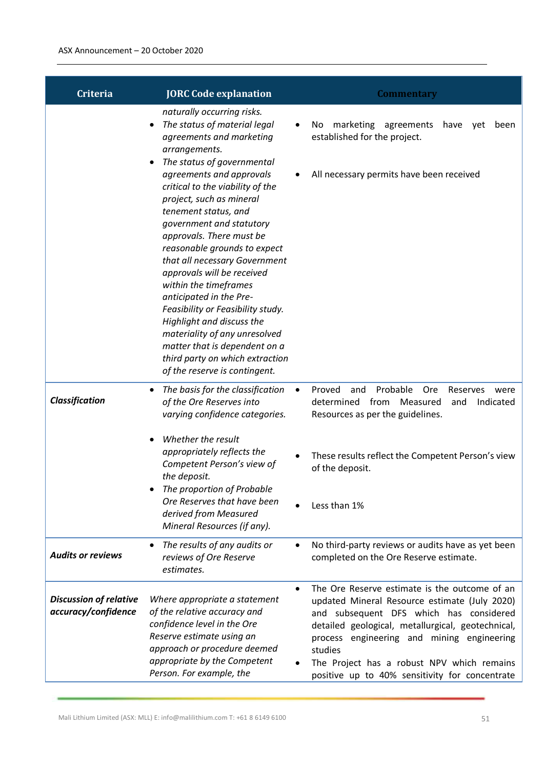| <b>Criteria</b>                                      | <b>JORC Code explanation</b>                                                                                                                                                                                                                                                                                                                                                                                                                                        | <b>Commentary</b>                                                                                                                                                                                                                                                                                                                                                    |
|------------------------------------------------------|---------------------------------------------------------------------------------------------------------------------------------------------------------------------------------------------------------------------------------------------------------------------------------------------------------------------------------------------------------------------------------------------------------------------------------------------------------------------|----------------------------------------------------------------------------------------------------------------------------------------------------------------------------------------------------------------------------------------------------------------------------------------------------------------------------------------------------------------------|
|                                                      | naturally occurring risks.<br>The status of material legal<br>$\bullet$<br>agreements and marketing<br>arrangements.<br>The status of governmental<br>$\bullet$<br>agreements and approvals<br>critical to the viability of the<br>project, such as mineral<br>tenement status, and<br>government and statutory<br>approvals. There must be<br>reasonable grounds to expect<br>that all necessary Government<br>approvals will be received<br>within the timeframes | marketing<br>agreements<br>No<br>have<br>$\bullet$<br>yet<br>been<br>established for the project.<br>All necessary permits have been received                                                                                                                                                                                                                        |
|                                                      | anticipated in the Pre-<br>Feasibility or Feasibility study.<br>Highlight and discuss the<br>materiality of any unresolved<br>matter that is dependent on a<br>third party on which extraction<br>of the reserve is contingent.                                                                                                                                                                                                                                     |                                                                                                                                                                                                                                                                                                                                                                      |
| Classification                                       | The basis for the classification<br>٠<br>of the Ore Reserves into<br>varying confidence categories.                                                                                                                                                                                                                                                                                                                                                                 | Probable<br>Proved<br>Ore<br>and<br>Reserves<br>$\bullet$<br>were<br>Indicated<br>determined<br>from<br>Measured<br>and<br>Resources as per the guidelines.                                                                                                                                                                                                          |
|                                                      | Whether the result<br>appropriately reflects the<br>Competent Person's view of<br>the deposit.<br>The proportion of Probable<br>Ore Reserves that have been                                                                                                                                                                                                                                                                                                         | These results reflect the Competent Person's view<br>of the deposit.<br>Less than 1%                                                                                                                                                                                                                                                                                 |
|                                                      | derived from Measured<br>Mineral Resources (if any).                                                                                                                                                                                                                                                                                                                                                                                                                |                                                                                                                                                                                                                                                                                                                                                                      |
| <b>Audits or reviews</b>                             | The results of any audits or<br>$\bullet$<br>reviews of Ore Reserve<br>estimates.                                                                                                                                                                                                                                                                                                                                                                                   | No third-party reviews or audits have as yet been<br>$\bullet$<br>completed on the Ore Reserve estimate.                                                                                                                                                                                                                                                             |
| <b>Discussion of relative</b><br>accuracy/confidence | Where appropriate a statement<br>of the relative accuracy and<br>confidence level in the Ore<br>Reserve estimate using an<br>approach or procedure deemed<br>appropriate by the Competent<br>Person. For example, the                                                                                                                                                                                                                                               | The Ore Reserve estimate is the outcome of an<br>$\bullet$<br>updated Mineral Resource estimate (July 2020)<br>and subsequent DFS which has considered<br>detailed geological, metallurgical, geotechnical,<br>process engineering and mining engineering<br>studies<br>The Project has a robust NPV which remains<br>positive up to 40% sensitivity for concentrate |